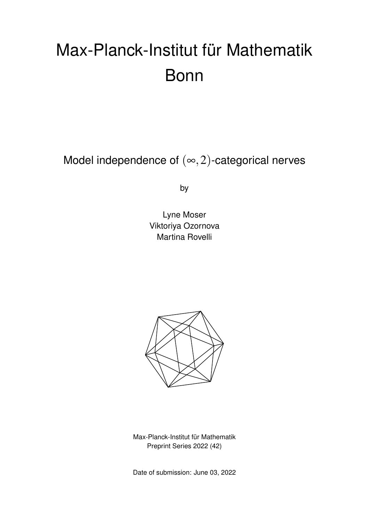# Max-Planck-Institut für Mathematik Bonn

Model independence of  $(\infty, 2)$ -categorical nerves

by

Lyne Moser Viktoriya Ozornova Martina Rovelli



Max-Planck-Institut für Mathematik Preprint Series 2022 (42)

Date of submission: June 03, 2022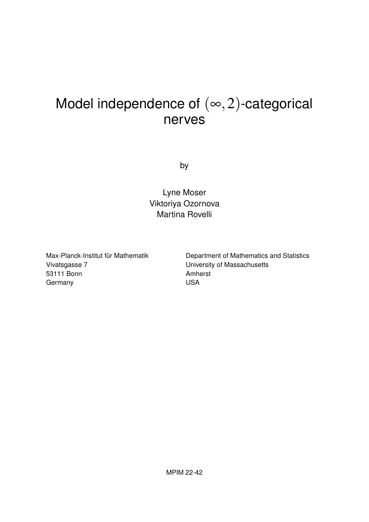## Model independence of  $(\infty, 2)$ -categorical nerves

by

Lyne Moser Viktoriya Ozornova Martina Rovelli

Max-Planck-Institut für Mathematik Vivatsgasse 7 53111 Bonn **Germany** 

Department of Mathematics and Statistics University of Massachusetts Amherst USA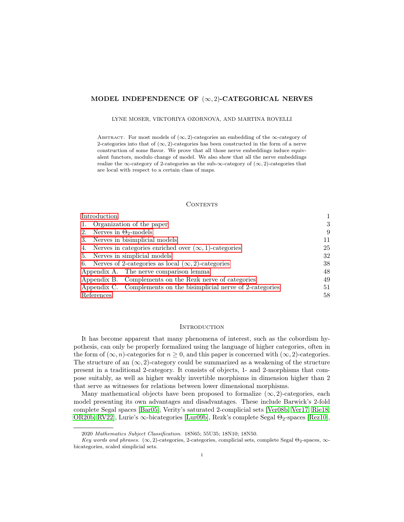#### MODEL INDEPENDENCE OF  $(\infty, 2)$ -CATEGORICAL NERVES

LYNE MOSER, VIKTORIYA OZORNOVA, AND MARTINA ROVELLI

ABSTRACT. For most models of  $(\infty, 2)$ -categories an embedding of the  $\infty$ -category of 2-categories into that of  $(\infty, 2)$ -categories has been constructed in the form of a nerve construction of some flavor. We prove that all those nerve embeddings induce equivalent functors, modulo change of model. We also show that all the nerve embeddings realize the ∞-category of 2-categories as the sub-∞-category of  $(\infty, 2)$ -categories that are local with respect to a certain class of maps.

#### **CONTENTS**

| Introduction                                                      |    |
|-------------------------------------------------------------------|----|
| Organization of the paper<br>1.                                   | 3  |
| 2. Nerves in $\Theta_2$ -models                                   | 9  |
| 3. Nerves in bisimplicial models                                  | 11 |
| 4. Nerves in categories enriched over $(\infty, 1)$ -categories   | 25 |
| 5. Nerves in simplicial models                                    | 32 |
| 6. Nerves of 2-categories as local $(\infty, 2)$ -categories      | 38 |
| Appendix A. The nerve comparison lemma                            | 48 |
| Appendix B. Complements on the Rezk nerve of categories           | 49 |
| Appendix C. Complements on the bisimplicial nerve of 2-categories | 51 |
| References                                                        | 58 |

#### <span id="page-2-0"></span>**INTRODUCTION**

It has become apparent that many phenomena of interest, such as the cobordism hypothesis, can only be properly formalized using the language of higher categories, often in the form of  $(\infty, n)$ -categories for  $n \geq 0$ , and this paper is concerned with  $(\infty, 2)$ -categories. The structure of an  $(\infty, 2)$ -category could be summarized as a weakening of the structure present in a traditional 2-category. It consists of objects, 1- and 2-morphisms that compose suitably, as well as higher weakly invertible morphisms in dimension higher than 2 that serve as witnesses for relations between lower dimensional morphisms.

Many mathematical objects have been proposed to formalize  $(\infty, 2)$ -categories, each model presenting its own advantages and disadvantages. These include Barwick's 2-fold complete Segal spaces [\[Bar05\]](#page-60-0), Verity's saturated 2-complicial sets [\[Ver08b,](#page-62-0) [Ver17,](#page-62-1) [Rie18,](#page-62-2) [OR20b,](#page-61-0) [RV22\]](#page-62-3), Lurie's  $\infty$ -bicategories [\[Lur09b\]](#page-61-1), Rezk's complete Segal  $\Theta_2$ -spaces [\[Rez10\]](#page-62-4),

<sup>2020</sup> Mathematics Subject Classification. 18N65; 55U35; 18N10; 18N50.

Key words and phrases. ( $\infty$ , 2)-categories, 2-categories, complicial sets, complete Segal  $\Theta_2$ -spaces,  $\infty$ bicategories, scaled simplicial sets.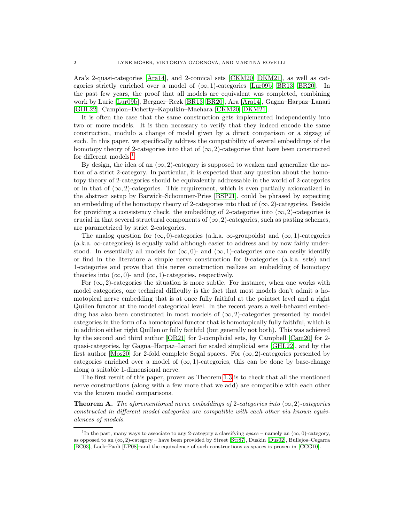Ara's 2-quasi-categories [\[Ara14\]](#page-60-1), and 2-comical sets [\[CKM20,](#page-60-2) [DKM21\]](#page-60-3), as well as categories strictly enriched over a model of  $(\infty, 1)$ -categories [\[Lur09b,](#page-61-1) [BR13,](#page-60-4) [BR20\]](#page-60-5). In the past few years, the proof that all models are equivalent was completed, combining work by Lurie [\[Lur09b\]](#page-61-1), Bergner–Rezk [\[BR13,](#page-60-4) [BR20\]](#page-60-5), Ara [\[Ara14\]](#page-60-1), Gagna–Harpaz–Lanari [\[GHL22\]](#page-60-6), Campion–Doherty–Kapulkin–Maehara [\[CKM20,](#page-60-2) [DKM21\]](#page-60-3).

It is often the case that the same construction gets implemented independently into two or more models. It is then necessary to verify that they indeed encode the same construction, modulo a change of model given by a direct comparison or a zigzag of such. In this paper, we specifically address the compatibility of several embeddings of the homotopy theory of 2-categories into that of  $(\infty, 2)$ -categories that have been constructed for different models.<sup>[1](#page-3-0)</sup>

By design, the idea of an  $(\infty, 2)$ -category is supposed to weaken and generalize the notion of a strict 2-category. In particular, it is expected that any question about the homotopy theory of 2-categories should be equivalently addressable in the world of 2-categories or in that of  $(\infty, 2)$ -categories. This requirement, which is even partially axiomatized in the abstract setup by Barwick–Schommer-Pries [\[BSP21\]](#page-60-7), could be phrased by expecting an embedding of the homotopy theory of 2-categories into that of  $(\infty, 2)$ -categories. Beside for providing a consistency check, the embedding of 2-categories into  $(\infty, 2)$ -categories is crucial in that several structural components of  $(\infty, 2)$ -categories, such as pasting schemes, are parametrized by strict 2-categories.

The analog question for  $(\infty, 0)$ -categories (a.k.a.  $\infty$ -groupoids) and  $(\infty, 1)$ -categories  $(a.k.a. \infty$ -categories) is equally valid although easier to address and by now fairly understood. In essentially all models for  $(\infty, 0)$ - and  $(\infty, 1)$ -categories one can easily identify or find in the literature a simple nerve construction for 0-categories (a.k.a. sets) and 1-categories and prove that this nerve construction realizes an embedding of homotopy theories into  $(\infty, 0)$ - and  $(\infty, 1)$ -categories, respectively.

For  $(\infty, 2)$ -categories the situation is more subtle. For instance, when one works with model categories, one technical difficulty is the fact that most models don't admit a homotopical nerve embedding that is at once fully faithful at the pointset level and a right Quillen functor at the model categorical level. In the recent years a well-behaved embedding has also been constructed in most models of  $(\infty, 2)$ -categories presented by model categories in the form of a homotopical functor that is homotopically fully faithful, which is in addition either right Quillen or fully faithful (but generally not both). This was achieved by the second and third author [\[OR21\]](#page-61-2) for 2-complicial sets, by Campbell [\[Cam20\]](#page-60-8) for 2 quasi-categories, by Gagna–Harpaz–Lanari for scaled simplicial sets [\[GHL22\]](#page-60-6), and by the first author [\[Mos20\]](#page-61-3) for 2-fold complete Segal spaces. For  $(\infty, 2)$ -categories presented by categories enriched over a model of  $(\infty, 1)$ -categories, this can be done by base-change along a suitable 1-dimensional nerve.

The first result of this paper, proven as Theorem [1.3](#page-7-0) is to check that all the mentioned nerve constructions (along with a few more that we add) are compatible with each other via the known model comparisons.

**Theorem A.** The aforementioned nerve embeddings of 2-categories into  $(\infty, 2)$ -categories constructed in different model categories are compatible with each other via known equivalences of models.

<span id="page-3-0"></span><sup>&</sup>lt;sup>1</sup>In the past, many ways to associate to any 2-category a classifying space – namely an  $(\infty, 0)$ -category, as opposed to an  $(\infty, 2)$ -category – have been provided by Street [\[Str87\]](#page-62-5), Duskin [\[Dus02\]](#page-60-9), Bullejos–Cegarra [\[BC03\]](#page-60-10), Lack–Paoli [\[LP08\]](#page-61-4)–and the equivalence of such constructions as spaces is proven in [\[CCG10\]](#page-60-11).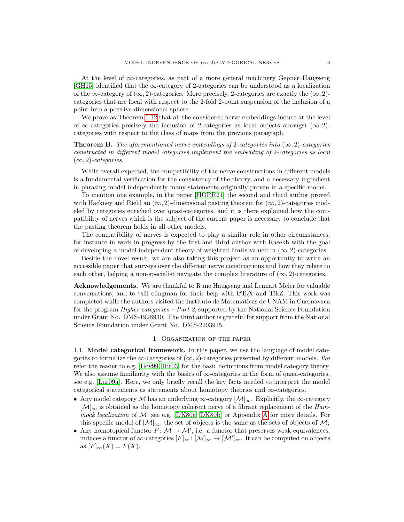At the level of ∞-categories, as part of a more general machinery Gepner–Haugseng  $\left[ \text{GH15} \right]$  identified that the  $\infty$ -category of 2-categories can be understood as a localization of the  $\infty$ -category of  $(\infty, 2)$ -categories. More precisely, 2-categories are exactly the  $(\infty, 2)$ categories that are local with respect to the 2-fold 2-point suspension of the inclusion of a point into a positive-dimensional sphere.

We prove as Theorem [1.12](#page-9-0) that all the considered nerve embeddings induce at the level of  $\infty$ -categories precisely the inclusion of 2-categories as local objects amongst  $(\infty, 2)$ categories with respect to the class of maps from the previous paragraph.

**Theorem B.** The aforementioned nerve embeddings of 2-categories into  $(\infty, 2)$ -categories constructed in different model categories implement the embedding of 2-categories as local  $(\infty, 2)$ -categories.

While overall expected, the compatibility of the nerve constructions in different models is a fundamental verification for the consistency of the theory, and a necessary ingredient in phrasing model independently many statements originally proven in a specific model.

To mention one example, in the paper [\[HORR21\]](#page-61-5) the second and third author proved with Hackney and Riehl an  $(\infty, 2)$ -dimensional pasting theorem for  $(\infty, 2)$ -categories modeled by categories enriched over quasi-categories, and it is there explained how the compatibility of nerves which is the subject of the current paper is necessary to conclude that the pasting theorem holds in all other models.

The compatibility of nerves is expected to play a similar role in other circumstances, for instance in work in progress by the first and third author with Rasekh with the goal of developing a model independent theory of weighted limits valued in  $(\infty, 2)$ -categories.

Beside the novel result, we are also taking this project as an opportunity to write an accessible paper that surveys over the different nerve constructions and how they relate to each other, helping a non-specialist navigate the complex literature of  $(\infty, 2)$ -categories.

Acknowledgements. We are thankful to Rune Haugseng and Lennart Meier for valuable conversations, and to tslil clingman for their help with LATEX and TikZ. This work was completed while the authors visited the Instituto de Matemáticas de UNAM in Cuernavaca for the program *Higher categories – Part 2*, supported by the National Science Foundation under Grant No. DMS-1928930. The third author is grateful for support from the National Science Foundation under Grant No. DMS-2203915.

#### 1. Organization of the paper

<span id="page-4-0"></span>1.1. Model categorical framework. In this paper, we use the language of model categories to formalize the  $\infty$ -categories of  $(\infty, 2)$ -categories presented by different models. We refer the reader to e.g. [\[Hov99,](#page-61-6) [Hir03\]](#page-61-7) for the basic definitions from model category theory. We also assume familiarity with the basics of  $\infty$ -categories in the form of quasi-categories, see e.g. [\[Lur09a\]](#page-61-8). Here, we only briefly recall the key facts needed to interpret the model categorical statements as statements about homotopy theories and ∞-categories.

- Any model category M has an underlying  $\infty$ -category  $\left[\mathcal{M}\right]_{\infty}$ . Explicitly, the  $\infty$ -category  $\mathcal{M}|_{\infty}$  is obtained as the homotopy coherent nerve of a fibrant replacement of the Hammock localization of  $M$ ; see e.g. [\[DK80a,](#page-60-13) [DK80b\]](#page-60-14) or [A](#page-49-0)ppendix A for more details. For this specific model of  $[\mathcal{M}]_{\infty}$ , the set of objects is the same as the sets of objects of  $\mathcal{M}$ ;
- Any homotopical functor  $F: \mathcal{M} \to \mathcal{M}'$ , i.e. a functor that preserves weak equivalences, induces a functor of  $\infty$ -categories  $[F]_{\infty} : [\mathcal{M}]_{\infty} \to [\mathcal{M}']_{\infty}$ . It can be computed on objects as  $[F]_{\infty}(X) = F(X)$ .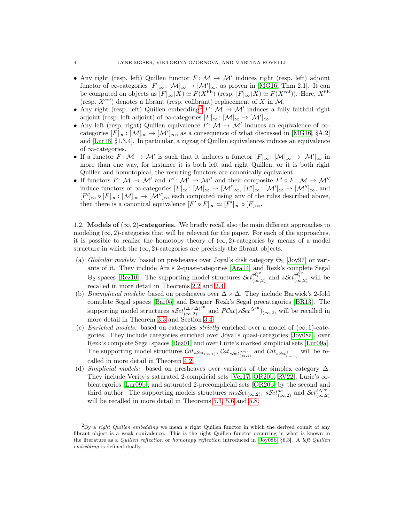- Any right (resp. left) Quillen functor  $F: \mathcal{M} \to \mathcal{M}'$  induces right (resp. left) adjoint functor of  $\infty$ -categories  $[F]_{\infty} : [\mathcal{M}]_{\infty} \to [\mathcal{M}']_{\infty}$ , as proven in [\[MG16,](#page-61-9) Thm 2.1]. It can be computed on objects as  $[F]_{\infty}(X) \simeq F(X^{\text{fib}})$  (resp.  $[F]_{\infty}(X) \simeq F(X^{\text{cof}})$ ). Here,  $X^{\text{fib}}$ (resp.  $X^{\text{cof}}$ ) denotes a fibrant (resp. cofibrant) replacement of X in M.
- Any right (resp. left) Quillen embedding<sup>[2](#page-5-0)</sup>  $F: \mathcal{M} \to \mathcal{M}'$  induces a fully faithful right adjoint (resp. left adjoint) of  $\infty$ -categories  $[F]_{\infty} : [\mathcal{M}]_{\infty} \to [\mathcal{M}']_{\infty}$ .
- Any left (resp. right) Quillen equivalence  $F: \mathcal{M} \to \mathcal{M}'$  induces an equivalence of  $\infty$ categories  $[F]_{\infty} : [\mathcal{M}]_{\infty} \to [\mathcal{M}']_{\infty}$ , as a consequence of what discussed in [\[MG16,](#page-61-9) §A.2] and [\[Lur18,](#page-61-10) §1.3.4]. In particular, a zigzag of Quillen equivalences induces an equivalence of  $\infty$ -categories.
- If a functor  $F: \mathcal{M} \to \mathcal{M}'$  is such that it induces a functor  $[F]_{\infty}: [\mathcal{M}]_{\infty} \to [\mathcal{M}']_{\infty}$  in more than one way, for instance it is both left and right Quillen, or it is both right Quillen and homotopical, the resulting functors are canonically equivalent.
- If functors  $F: \mathcal{M} \to \mathcal{M}'$  and  $F': \mathcal{M}' \to \mathcal{M}''$  and their composite  $F' \circ F: \mathcal{M} \to \mathcal{M}''$ induce functors of  $\infty$ -categories  $[F]_{\infty} : [\mathcal{M}]_{\infty} \to [\mathcal{M}']_{\infty}$ ,  $[F']_{\infty} : [\mathcal{M}']_{\infty} \to [\mathcal{M}'']_{\infty}$ , and  $[F']_{\infty} \circ [F]_{\infty} : [\mathcal{M}]_{\infty} \to [\mathcal{M}'']_{\infty}$  each computed using any of the rules described above, then there is a canonical equivalence  $[F' \circ F]_{\infty} \simeq [F']_{\infty} \circ [F]_{\infty}$ .

<span id="page-5-1"></span>1.2. Models of  $(\infty, 2)$ -categories. We briefly recall also the main different approaches to modeling  $(\infty, 2)$ -categories that will be relevant for the paper. For each of the approaches, it is possible to realize the homotopy theory of  $(\infty, 2)$ -categories by means of a model structure in which the  $(\infty, 2)$ -categories are precisely the fibrant objects.

- (a) Globular models: based on presheaves over Joyal's disk category  $\Theta_2$  [\[Joy97\]](#page-61-11) or variants of it. They include Ara's 2-quasi-categories [\[Ara14\]](#page-60-1) and Rezk's complete Segal  $\Theta_2$ -spaces [\[Rez10\]](#page-62-4). The supporting model structures  $\mathcal{S}et_{(\infty,2)}^{\Theta_2^{\rm op}}$  and  $\mathcal{S}et_{(\infty,2)}^{\Theta_2^{\rm op}}$  will be recalled in more detail in Theorems [2.2](#page-11-0) and [2.4.](#page-11-1)
- (b) Bisimplicial models: based on presheaves over  $\Delta \times \Delta$ . They include Barwick's 2-fold complete Segal spaces [\[Bar05\]](#page-60-0) and Bergner–Rezk's Segal precategories [\[BR13\]](#page-60-4). The supporting model structures  $sSet_{(\infty,2)}^{(\Delta \times \Delta)^{\bar{\mathrm{op}}}}$  and  $PCat(sSet^{\Delta^{\mathrm{op}}})_{(\infty,2)}$  will be recalled in more detail in Theorem [3.3](#page-13-0) and Section [3.4.](#page-19-0)
- (c) Enriched models: based on categories strictly enriched over a model of  $(\infty, 1)$ -categories. They include categories enriched over Joyal's quasi-categories [\[Joy08a\]](#page-61-12), over Rezk's complete Segal spaces [\[Rez01\]](#page-62-6) and over Lurie's marked simplicial sets [\[Lur09a\]](#page-61-8). The supporting model structures  $\mathcal{C}at_{sSet_{(\infty,1)}}, \mathcal{C}at_{sSet_{(\infty,1)}^{\text{op}}}$  and  $\mathcal{C}at_{sSet_{(\infty,1)}^+}$  will be recalled in more detail in Theorem [4.2.](#page-27-0)
- (d) Simplicial models: based on presheaves over variants of the simplex category  $\Delta$ . They include Verity's saturated 2-complicial sets [\[Ver17,](#page-62-1) [OR20b,](#page-61-0) [RV22\]](#page-62-3), Lurie's ∞ bicategories [\[Lur09b\]](#page-61-1), and saturated 2-precomplicial sets [\[OR20b\]](#page-61-0) by the second and third author. The supporting models structures  $msSet_{(\infty,2)}$ ,  $sSet_{(\infty,2)}^{sc}$  and  $Set_{(\infty,2)}^{t\Delta^{op}}$ will be recalled in more detail in Theorems [5.3,](#page-34-0) [5.6](#page-35-0) and [5.8.](#page-35-1)

<span id="page-5-0"></span> ${}^{2}_{1}$ By a *right Quillen embedding* we mean a right Quillen functor in which the derived counit of any fibrant object is a weak equivalence. This is the right Quillen functor occurring in what is known in the literature as a Quillen reflection or homotopy reflection introduced in [\[Joy08b,](#page-61-13) §6.3]. A left Quillen embedding is defined dually.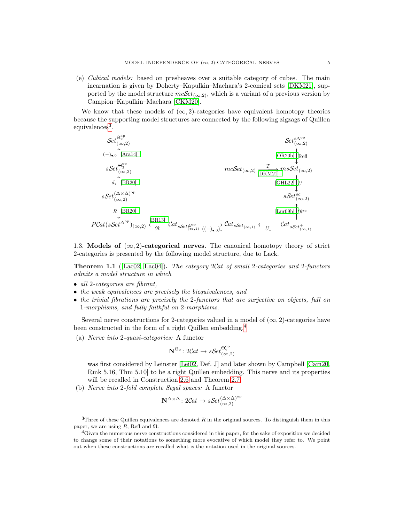(e) Cubical models: based on presheaves over a suitable category of cubes. The main incarnation is given by Doherty–Kapulkin–Maehara's 2-comical sets [\[DKM21\]](#page-60-3), supported by the model structure  $mcSet_{(\infty,2)}$ , which is a variant of a previous version by Campion–Kapulkin–Maehara [\[CKM20\]](#page-60-2).

We know that these models of  $(\infty, 2)$ -categories have equivalent homotopy theories because the supporting model structures are connected by the following zigzags of Quillen equivalences<sup>[3](#page-6-0)</sup>.

$$
\begin{array}{ll}\n\mathcal{S}et_{(\infty,2)}^{\mathcal{O}^{\mathcal{P}}}\n\end{array}\n\quad\n\begin{array}{ll}\n\mathcal{S}et_{(\infty,2)}^{\mathcal{O}^{\mathcal{P}}}\n\end{array}\n\quad\n\begin{array}{ll}\n\mathcal{S}et_{(\infty,2)}^{\mathcal{O}^{\mathcal{P}}}\n\end{array}\n\quad\n\begin{array}{ll}\n\mathcal{S}et_{(\infty,2)}^{\mathcal{O}^{\mathcal{P}}}\n\end{array}\n\quad\n\begin{array}{ll}\n\mathcal{S}et_{(\infty,2)}^{\mathcal{O}^{\mathcal{P}}}\n\end{array}\n\quad\n\begin{array}{ll}\n\mathcal{S}et_{(\infty,2)}^{\mathcal{O}^{\mathcal{P}}}\n\end{array}\n\quad\n\begin{array}{ll}\n\mathcal{S}et_{(\infty,2)}^{\mathcal{O}^{\mathcal{P}}}\n\end{array}\n\quad\n\begin{array}{ll}\n\mathcal{S}et_{(\infty,2)}^{\mathcal{O}^{\mathcal{P}}}\n\end{array}\n\quad\n\begin{array}{ll}\n\mathcal{S}et_{(\infty,2)}^{\mathcal{O}^{\mathcal{P}}}\n\end{array}\n\quad\n\begin{array}{ll}\n\mathcal{S}et_{(\infty,2)}^{\mathcal{O}^{\mathcal{P}}}\n\end{array}\n\quad\n\begin{array}{ll}\n\mathcal{S}et_{(\infty,2)}^{\mathcal{O}^{\mathcal{P}}}\n\end{array}\n\quad\n\begin{array}{ll}\n\mathcal{S}et_{(\infty,2)}^{\mathcal{O}^{\mathcal{P}}}\n\end{array}\n\quad\n\begin{array}{ll}\n\mathcal{S}et_{(\infty,2)}^{\mathcal{O}^{\mathcal{P}}}\n\end{array}\n\quad\n\begin{array}{ll}\n\mathcal{S}et_{(\infty,2)}^{\mathcal{O}^{\mathcal{P}}}\n\end{array}\n\quad\n\begin{array}{ll}\n\mathcal{S}et_{(\infty,2)}^{\mathcal{P}^{\mathcal{P}}}\n\end{array}\n\quad\n\begin{array}{ll}\n\mathcal{S}et_{(\infty,2)}^{\mathcal{P}^{\mathcal{P}}}\n\end{array}
$$

<span id="page-6-2"></span>1.3. Models of  $(\infty, 2)$ -categorical nerves. The canonical homotopy theory of strict 2-categories is presented by the following model structure, due to Lack.

<span id="page-6-3"></span>**Theorem 1.1** ( $[Lac02, Lac04]$  $[Lac02, Lac04]$ ). The category 2Cat of small 2-categories and 2-functors admits a model structure in which

- all 2-categories are fibrant,
- the weak equivalences are precisely the biequivalences, and
- the trivial fibrations are precisely the 2-functors that are surjective on objects, full on 1-morphisms, and fully faithful on 2-morphisms.

Several nerve constructions for 2-categories valued in a model of  $(\infty, 2)$ -categories have been constructed in the form of a right Quillen embedding.[4](#page-6-1)

(a) Nerve into 2-quasi-categories: A functor

$$
\mathbf{N}^{\Theta_2} \colon 2\mathcal{C}\mathit{at} \to \mathit{sSet}_{(\infty,2)}^{\Theta_2^{\mathrm{op}}}
$$

was first considered by Leinster [\[Lei02,](#page-61-16) Def. J] and later shown by Campbell [\[Cam20,](#page-60-8) Rmk 5.16, Thm 5.10] to be a right Quillen embedding. This nerve and its properties will be recalled in Construction [2.6](#page-12-1) and Theorem [2.7.](#page-12-2)

(b) Nerve into 2-fold complete Segal spaces: A functor

$$
\mathbf{N}^{\Delta \times \Delta} : 2\mathcal{C}at \to s\mathcal{S}et_{(\infty,2)}^{(\Delta \times \Delta)^{\mathrm{op}}}
$$

<span id="page-6-0"></span> $3$ Three of these Quillen equivalences are denoted R in the original sources. To distinguish them in this paper, we are using  $R$ , Refl and  $\Re$ .

<span id="page-6-1"></span><sup>&</sup>lt;sup>4</sup>Given the numerous nerve constructions considered in this paper, for the sake of exposition we decided to change some of their notations to something more evocative of which model they refer to. We point out when these constructions are recalled what is the notation used in the original sources.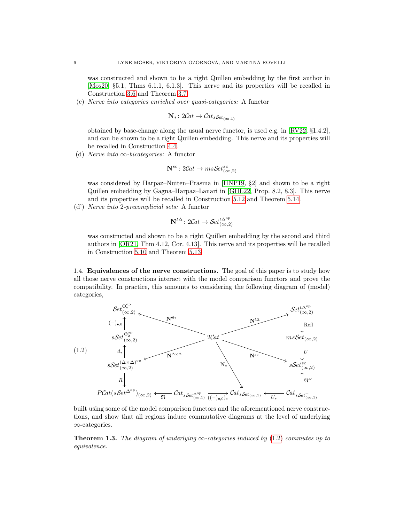was constructed and shown to be a right Quillen embedding by the first author in [\[Mos20,](#page-61-3) §5.1, Thms 6.1.1, 6.1.3]. This nerve and its properties will be recalled in Construction [3.6](#page-14-0) and Theorem [3.7.](#page-14-1)

(c) Nerve into categories enriched over quasi-categories: A functor

$$
\mathbf{N}_{*} \colon 2\mathcal{C}\mathit{at} \to \mathcal{C}\mathit{at}_{s\mathcal{S}\mathit{et}_{(\infty,1)}}
$$

obtained by base-change along the usual nerve functor, is used e.g. in [\[RV22,](#page-62-3) §1.4.2], and can be shown to be a right Quillen embedding. This nerve and its properties will be recalled in Construction [4.4.](#page-28-0)

(d) Nerve into  $\infty$ -bicategories: A functor

$$
\mathbf{N}^{sc} \colon 2\mathcal{C}\mathit{at} \to \mathit{msSet}^{sc}_{(\infty,2)}
$$

was considered by Harpaz–Nuiten–Prasma in [\[HNP19,](#page-61-17) §2] and shown to be a right Quillen embedding by Gagna–Harpaz–Lanari in [\[GHL22,](#page-60-6) Prop. 8.2, 8.3]. This nerve and its properties will be recalled in Construction [5.12](#page-36-0) and Theorem [5.14.](#page-37-0)

(d') Nerve into 2-precomplicial sets: A functor

$$
\mathbf{N}^{t\Delta} \colon 2\mathcal{C}at \to \mathcal{S}et_{(\infty,2)}^{t\Delta^{\mathrm{op}}}
$$

was constructed and shown to be a right Quillen embedding by the second and third authors in [\[OR21,](#page-61-2) Thm 4.12, Cor. 4.13]. This nerve and its properties will be recalled in Construction [5.10](#page-36-1) and Theorem [5.13.](#page-37-1)

1.4. Equivalences of the nerve constructions. The goal of this paper is to study how all those nerve constructions interact with the model comparison functors and prove the compatibility. In practice, this amounts to considering the following diagram of (model) categories,

<span id="page-7-1"></span>

built using some of the model comparison functors and the aforementioned nerve constructions, and show that all regions induce commutative diagrams at the level of underlying ∞-categories.

<span id="page-7-0"></span>**Theorem 1.3.** The diagram of underlying  $\infty$ -categories induced by [\(1.2\)](#page-7-1) commutes up to equivalence.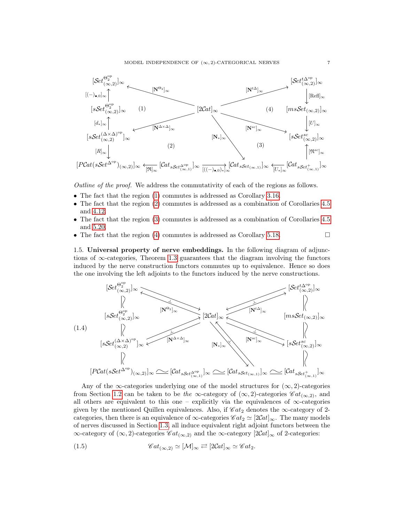<span id="page-8-0"></span>

Outline of the proof. We address the commutativity of each of the regions as follows.

- The fact that the region [\(1\)](#page-8-0) commutes is addressed as Corollary [3.16.](#page-19-1)
- The fact that the region [\(2\)](#page-8-0) commutes is addressed as a combination of Corollaries [4.5](#page-28-1) and [4.12.](#page-32-0)
- The fact that the region [\(3\)](#page-8-0) commutes is addressed as a combination of Corollaries [4.5](#page-28-1) and [5.20.](#page-38-0)
- The fact that the region [\(4\)](#page-8-0) commutes is addressed as Corollary [5.18.](#page-37-2)  $\Box$

<span id="page-8-2"></span>1.5. Universal property of nerve embeddings. In the following diagram of adjunctions of  $\infty$ -categories, Theorem [1.3](#page-7-0) guarantees that the diagram involving the functors induced by the nerve construction functors commutes up to equivalence. Hence so does the one involving the left adjoints to the functors induced by the nerve constructions.



Any of the  $\infty$ -categories underlying one of the model structures for  $(\infty, 2)$ -categories from Section [1.2](#page-5-1) can be taken to be the  $\infty$ -category of  $(\infty, 2)$ -categories  $\mathscr{C}at_{(\infty,2)}$ , and all others are equivalent to this one – explicitly via the equivalences of  $\infty$ -categories given by the mentioned Quillen equivalences. Also, if  $\mathscr{C}at_2$  denotes the  $\infty$ -category of 2categories, then there is an equivalence of  $\infty$ -categories  $\mathscr{C}at_2 \simeq [2\mathcal{C}at]_{\infty}$ . The many models of nerves discussed in Section [1.3,](#page-6-2) all induce equivalent right adjoint functors between the  $\infty$ -category of  $(\infty, 2)$ -categories Cat<sub>(∞,2)</sub> and the  $\infty$ -category [2Cat]<sub>∞</sub> of 2-categories:

<span id="page-8-1"></span>(1.5) 
$$
\mathscr{C}at_{(\infty,2)} \simeq [\mathcal{M}]_{\infty} \rightleftarrows [2\mathcal{C}at]_{\infty} \simeq \mathscr{C}at_2.
$$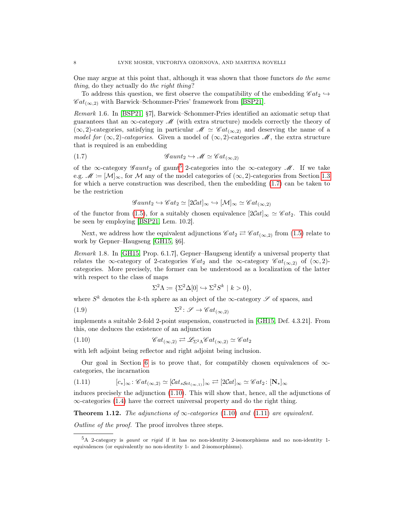One may argue at this point that, although it was shown that those functors do the same thing, do they actually do the right thing?

To address this question, we first observe the compatibility of the embedding  $\mathscr{C}at_2 \hookrightarrow$  $\mathscr{C}at_{(\infty,2)}$  with Barwick–Schommer-Pries' framework from [\[BSP21\]](#page-60-7).

Remark 1.6. In [\[BSP21,](#page-60-7) §7], Barwick–Schommer-Pries identified an axiomatic setup that guarantees that an  $\infty$ -category M (with extra structure) models correctly the theory of  $(\infty, 2)$ -categories, satisfying in particular  $\mathcal{M} \simeq \mathcal{C}at_{(\infty,2)}$  and deserving the name of a model for  $(\infty, 2)$ -categories. Given a model of  $(\infty, 2)$ -categories M, the extra structure that is required is an embedding

(1.7) G aunt<sup>2</sup> ,→ M ≃ C at(∞,2)

of the  $\infty$ -category  $\mathscr{G}aunt_2$  of gaunt<sup>[5](#page-9-1)</sup> 2-categories into the  $\infty$ -category  $\mathscr{M}$ . If we take e.g.  $\mathscr{M} \coloneqq [\mathcal{M}]_{\infty}$ , for M any of the model categories of  $(\infty, 2)$ -categories from Section [1.3](#page-6-2) for which a nerve construction was described, then the embedding [\(1.7\)](#page-9-2) can be taken to be the restriction

<span id="page-9-2"></span>
$$
\mathscr{G}aunt_2 \hookrightarrow \mathscr{C}at_2 \simeq [2Cat]_{\infty} \hookrightarrow [\mathcal{M}]_{\infty} \simeq \mathscr{C}at_{(\infty,2)}
$$

of the functor from [\(1.5\)](#page-8-1), for a suitably chosen equivalence  $[2Cat]_{\infty} \simeq \mathscr{C}at_2$ . This could be seen by employing [\[BSP21,](#page-60-7) Lem. 10.2].

Next, we address how the equivalent adjunctions  $\mathscr{C}at_2 \rightleftarrows \mathscr{C}at_{(\infty,2)}$  from [\(1.5\)](#page-8-1) relate to work by Gepner–Haugseng [\[GH15,](#page-60-12) §6].

Remark 1.8. In [\[GH15,](#page-60-12) Prop. 6.1.7], Gepner–Haugseng identify a universal property that relates the ∞-category of 2-categories Cat<sub>2</sub> and the ∞-category Cat<sub>(∞,2)</sub> of (∞,2)categories. More precisely, the former can be understood as a localization of the latter with respect to the class of maps

<span id="page-9-5"></span><span id="page-9-3"></span>
$$
\Sigma^2 \Lambda \coloneqq \{ \Sigma^2 \Delta[0] \hookrightarrow \Sigma^2 S^k \mid k > 0 \},
$$

where  $S^k$  denotes the k-th sphere as an object of the  $\infty$ -category  $\mathscr S$  of spaces, and

(1.9) 
$$
\Sigma^2 \colon \mathscr{S} \to \mathscr{C}at_{(\infty,2)}
$$

implements a suitable 2-fold 2-point suspension, constructed in [\[GH15,](#page-60-12) Def. 4.3.21]. From this, one deduces the existence of an adjunction

(1.10) 
$$
\mathscr{C}at_{(\infty,2)} \rightleftarrows \mathscr{L}_{\Sigma^2\Lambda} \mathscr{C}at_{(\infty,2)} \simeq \mathscr{C}at_2
$$

with left adjoint being reflector and right adjoint being inclusion.

Our goal in Section [6](#page-39-0) is to prove that, for compatibly chosen equivalences of  $\infty$ categories, the incarnation

<span id="page-9-4"></span>
$$
(1.11) \qquad [c_*]_{\infty} : \mathscr{C}at_{(\infty,2)} \simeq [\mathscr{C}at_{sSet_{(\infty,1)}}]_{\infty} \rightleftarrows [2\mathscr{C}at]_{\infty} \simeq \mathscr{C}at_2 \colon [\mathbf{N}_*]_{\infty}
$$

induces precisely the adjunction [\(1.10\)](#page-9-3). This will show that, hence, all the adjunctions of ∞-categories [\(1.4\)](#page-8-2) have the correct universal property and do the right thing.

<span id="page-9-0"></span>**Theorem 1.12.** The adjunctions of  $\infty$ -categories [\(1.10\)](#page-9-3) and [\(1.11\)](#page-9-4) are equivalent.

Outline of the proof. The proof involves three steps.

<span id="page-9-1"></span> $5A$  2-category is gaunt or rigid if it has no non-identity 2-isomorphisms and no non-identity 1equivalences (or equivalently no non-identity 1- and 2-isomorphisms).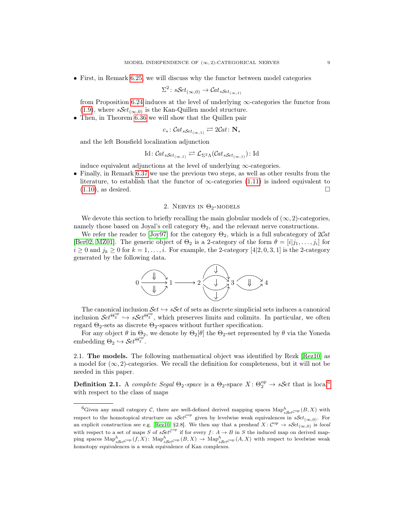• First, in Remark [6.25,](#page-44-0) we will discuss why the functor between model categories

$$
\Sigma^2 \colon s\mathcal{S}et_{(\infty,0)} \to \mathcal{C}at_{s\mathcal{S}et_{(\infty,1)}}
$$

from Proposition [6.24](#page-44-1) induces at the level of underlying  $\infty$ -categories the functor from [\(1.9\)](#page-9-5), where  $sSet_{(\infty,0)}$  is the Kan-Quillen model structure.

• Then, in Theorem [6.36](#page-47-0) we will show that the Quillen pair

$$
c_*\colon \mathcal{C}at_{s\mathcal{S}et_{(\infty,1)}} \rightleftarrows 2\mathcal{C}at\colon \mathbf{N}_*
$$

and the left Bousfield localization adjunction

Id: 
$$
Cat_{sSet_{(\infty,1)}} \rightleftarrows \mathcal{L}_{\Sigma^2\Lambda}(Cat_{sSet_{(\infty,1)}})
$$
: Id

induce equivalent adjunctions at the level of underlying  $\infty$ -categories.

• Finally, in Remark [6.37](#page-48-0) we use the previous two steps, as well as other results from the literature, to establish that the functor of  $\infty$ -categories [\(1.11\)](#page-9-4) is indeed equivalent to  $(1.10)$ , as desired. □

#### 2. NERVES IN  $\Theta_2$ -MODELS

<span id="page-10-0"></span>We devote this section to briefly recalling the main globular models of  $(\infty, 2)$ -categories, namely those based on Joyal's cell category  $\Theta_2$ , and the relevant nerve constructions.

We refer the reader to [\[Joy97\]](#page-61-11) for the category  $\Theta_2$ , which is a full subcategory of  $2Cat$ [\[Ber02,](#page-60-15) [MZ01\]](#page-61-18). The generic object of  $\Theta_2$  is a 2-category of the form  $\theta = [i|j_1,\ldots,j_i]$  for  $i \geq 0$  and  $j_k \geq 0$  for  $k = 1, \ldots, i$ . For example, the 2-category [4|2, 0, 3, 1] is the 2-category generated by the following data.



The canonical inclusion  $\mathcal{S}et \hookrightarrow \mathcal{S}\mathcal{S}et$  of sets as discrete simplicial sets induces a canonical inclusion  $\mathcal{S}et^{\Theta_2^{\rm op}} \hookrightarrow \mathcal{S}et^{\Theta_2^{\rm op}}$ , which preserves limits and colimits. In particular, we often regard  $\Theta_2$ -sets as discrete  $\Theta_2$ -spaces without further specification.

For any object  $\theta$  in  $\Theta_2$ , we denote by  $\Theta_2[\theta]$  the  $\Theta_2$ -set represented by  $\theta$  via the Yoneda embedding  $\Theta_2 \hookrightarrow \mathcal{S}et^{\Theta_2^{\rm op}}$ .

2.1. The models. The following mathematical object was identified by Rezk [\[Rez10\]](#page-62-4) as a model for  $(\infty, 2)$ -categories. We recall the definition for completeness, but it will not be needed in this paper.

<span id="page-10-2"></span>**Definition 2.1.** A complete Segal  $\Theta_2$ -space is a  $\Theta_2$ -space  $X: \Theta_2^{\rm op} \to s\mathcal{S}et$  that is local<sup>[6](#page-10-1)</sup> with respect to the class of maps

<span id="page-10-1"></span><sup>&</sup>lt;sup>6</sup>Given any small category C, there are well-defined derived mapping spaces  $\mathrm{Map}^h_{sSet^{C^{op}}}(B, X)$  with respect to the homotopical structure on  $sSet^{C^{op}}$  given by levelwise weak equivalences in  $sSet_{(\infty,0)}$ . For an explicit construction see e.g. [\[Rez10,](#page-62-4) §2.8]. We then say that a presheaf  $X: \mathcal{C}^{\text{op}} \to \mathcal{S} \mathcal{E} t_{(\infty,0)}$  is local with respect to a set of maps S of  $sSet^{C^{op}}$  if for every  $f: A \to B$  in S the induced map on derived mapping spaces  $\operatorname{Map}^h_{sSet^{Cop}}(f, X)$ :  $\operatorname{Map}^h_{sSet^{Cop}}(B, X) \to \operatorname{Map}^h_{sSet^{Cop}}(A, X)$  with respect to levelwise weak homotopy equivalences is a weak equivalence of Kan complexes.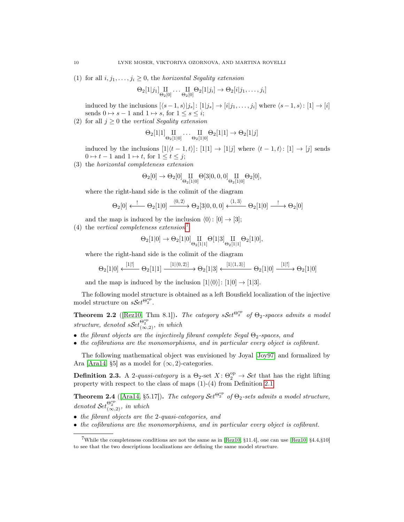(1) for all  $i, j_1, \ldots, j_i \geq 0$ , the *horizontal Segality extension* 

$$
\Theta_2[1|j_1]\underset{\Theta_2[0]}{\amalg} \cdots \underset{\Theta_2[0]}{\amalg} \Theta_2[1|j_i] \rightarrow \Theta_2[i|j_1,\ldots,j_i]
$$

induced by the inclusions  $[\langle s-1,s\rangle |j_s]: [1|j_s] \rightarrow [i|j_1,\ldots,j_i]$  where  $\langle s-1,s\rangle: [1] \rightarrow [i]$ sends  $0 \mapsto s - 1$  and  $1 \mapsto s$ , for  $1 \leq s \leq i$ ;

(2) for all  $j \geq 0$  the vertical Segality extension

$$
\Theta_2[1|1]\hspace{-0.3em}\underset{\Theta_2[1|0]}{\amalg}\hspace{-0.3em}\ldots\hspace{-0.3em}\underset{\Theta_2[1|0]}{\amalg}\hspace{-0.3em}\Theta_2[1|1]\to \Theta_2[1|j]
$$

induced by the inclusions  $[1|(t-1,t)|: [1|1] \rightarrow [1|j]$  where  $\langle t-1,t \rangle: [1] \rightarrow [j]$  sends  $0 \mapsto t - 1$  and  $1 \mapsto t$ , for  $1 \leq t \leq j$ ;

(3) the horizontal completeness extension

$$
\Theta_2[0]\rightarrow \Theta_2[0]\underset{\Theta_2[1|0]}{\amalg}\Theta[3|0,0,0]\underset{\Theta_2[1|0]}{\amalg}\Theta_2[0],
$$

where the right-hand side is the colimit of the diagram

$$
\Theta_2[0] \xleftarrow{\cdot} \Theta_2[1|0] \xrightarrow{\langle 0,2\rangle} \Theta_2[3|0,0,0] \xleftarrow{\langle 1,3\rangle} \Theta_2[1|0] \xrightarrow{\cdot} \Theta_2[0]
$$

- and the map is induced by the inclusion  $\langle 0 \rangle$ :  $[0] \rightarrow [3]$ ;
- (4) the vertical completeness extension<sup>[7](#page-11-2)</sup>

$$
\Theta_2[1|0]\rightarrow \Theta_2[1|0]\underset{\Theta_2[1|1]}{\amalg}\Theta[1|3]\underset{\Theta_2[1|1]}{\amalg}\Theta_2[1|0],
$$

where the right-hand side is the colimit of the diagram

$$
\Theta_2[1|0] \xleftarrow{[1|!]} \Theta_2[1|1] \xrightarrow{[1|\langle 0,2\rangle]} \Theta_2[1|3] \xleftarrow{[1|\langle 1,3\rangle]} \Theta_2[1|0] \xrightarrow{[1|!]} \Theta_2[1|0]
$$

and the map is induced by the inclusion  $[1|\langle 0 \rangle]$ :  $[1|0] \rightarrow [1|3]$ .

The following model structure is obtained as a left Bousfield localization of the injective model structure on  $s\mathcal{S}et^{\Theta_2^{\rm op}}$ .

<span id="page-11-0"></span>**Theorem 2.2** ([\[Rez10,](#page-62-4) Thm 8.1]). The category  $sSet^{\Theta_2^{op}}$  of  $\Theta_2$ -spaces admits a model structure, denoted  $sSet_{(\infty,2)}^{\Theta_2^{op}},$  in which

- the fibrant objects are the injectively fibrant complete Segal  $\Theta_2$ -spaces, and
- the cofibrations are the monomorphisms, and in particular every object is cofibrant.

The following mathematical object was envisioned by Joyal [\[Joy97\]](#page-61-11) and formalized by Ara [\[Ara14,](#page-60-1) §5] as a model for  $(\infty, 2)$ -categories.

**Definition 2.3.** A 2-quasi-category is a  $\Theta_2$ -set  $X: \Theta_2^{\text{op}} \to \mathcal{S}et$  that has the right lifting property with respect to the class of maps (1)-(4) from Definition [2.1.](#page-10-2)

<span id="page-11-1"></span>**Theorem 2.4** ([\[Ara14,](#page-60-1) §5.17]). The category  $\mathcal{S}et^{\Theta_2^{\mathrm{op}}}$  of  $\Theta_2$ -sets admits a model structure, denoted  $\mathcal{S}et_{(\infty,2)}^{\Theta_2^{\rm op}}$ , in which

- the fibrant objects are the 2-quasi-categories, and
- the cofibrations are the monomorphisms, and in particular every object is cofibrant.

<span id="page-11-2"></span><sup>7</sup>While the completeness conditions are not the same as in [\[Rez10,](#page-62-4) §11.4], one can use [\[Rez10,](#page-62-4) §4.4,§10] to see that the two descriptions localizations are defining the same model structure.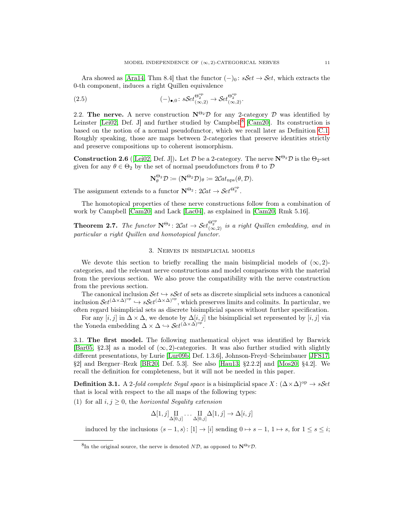Ara showed as [\[Ara14,](#page-60-1) Thm 8.4] that the functor  $(-)_0$ :  $sSet \rightarrow Set$ , which extracts the 0-th component, induces a right Quillen equivalence

(2.5) 
$$
(-)_{\bullet,0}: s\mathcal{S}et_{(\infty,2)}^{\Theta_2^{\mathrm{op}}}\to \mathcal{S}et_{(\infty,2)}^{\Theta_2^{\mathrm{op}}}.
$$

2.2. The nerve. A nerve construction  $N^{\Theta_2} \mathcal{D}$  for any 2-category  $\mathcal{D}$  was identified by Leinster [\[Lei02,](#page-61-16) Def. J] and further studied by Campbell<sup>[8](#page-12-3)</sup> [\[Cam20\]](#page-60-8). Its construction is based on the notion of a normal pseudofunctor, which we recall later as Definition [C.1.](#page-52-1) Roughly speaking, those are maps between 2-categories that preserve identities strictly and preserve compositions up to coherent isomorphism.

<span id="page-12-1"></span>**Construction 2.6** ([\[Lei02,](#page-61-16) Def. J]). Let  $\mathcal{D}$  be a 2-category. The nerve  $N^{\Theta_2} \mathcal{D}$  is the  $\Theta_2$ -set given for any  $\theta \in \Theta_2$  by the set of normal pseudofunctors from  $\theta$  to  $\mathcal D$ 

<span id="page-12-5"></span>
$$
\mathbf{N}_{\theta}^{\Theta_2} \mathcal{D} \coloneqq (\mathbf{N}^{\Theta_2} \mathcal{D})_{\theta} \coloneqq 2\mathcal{C}at_{\text{nps}}(\theta, \mathcal{D}).
$$

The assignment extends to a functor  $\mathbf{N}^{\Theta_2}$ :  $2Cat \to Set^{\Theta_2^{\rm op}}$ .

The homotopical properties of these nerve constructions follow from a combination of work by Campbell [\[Cam20\]](#page-60-8) and Lack [\[Lac04\]](#page-61-15), as explained in [\[Cam20,](#page-60-8) Rmk 5.16].

<span id="page-12-2"></span>**Theorem 2.7.** The functor  $N^{\Theta_2}$ :  $2Cat \rightarrow Set_{(\infty,2)}^{\Theta_2^{op}}$  is a right Quillen embedding, and in particular a right Quillen and homotopical functor.

#### 3. Nerves in bisimplicial models

<span id="page-12-0"></span>We devote this section to briefly recalling the main bisimplicial models of  $(\infty, 2)$ categories, and the relevant nerve constructions and model comparisons with the material from the previous section. We also prove the compatibility with the nerve construction from the previous section.

The canonical inclusion  $\mathcal{S}et \hookrightarrow s\mathcal{S}et$  of sets as discrete simplicial sets induces a canonical inclusion  $Set^{(\Delta \times \Delta)^{op}} \hookrightarrow sSet^{(\Delta \times \Delta)^{op}}$ , which preserves limits and colimits. In particular, we often regard bisimplicial sets as discrete bisimplicial spaces without further specification.

For any [i, j] in  $\Delta \times \Delta$ , we denote by  $\Delta[i, j]$  the bisimplicial set represented by [i, j] via the Yoneda embedding  $\Delta \times \Delta \hookrightarrow \mathcal{S}et^{(\Delta \times \Delta)^{\rm op}}$ .

3.1. The first model. The following mathematical object was identified by Barwick [\[Bar05,](#page-60-0) §2.3] as a model of  $(\infty, 2)$ -categories. It was also further studied with slightly different presentations, by Lurie [\[Lur09b,](#page-61-1) Def. 1.3.6], Johnson-Freyd–Scheimbauer [\[JFS17,](#page-61-19)  $\S2$ ] and Bergner–Rezk [\[BR20,](#page-60-5) Def. 5.3]. See also [\[Hau13,](#page-61-20)  $\S2.2.2$ ] and [\[Mos20,](#page-61-3)  $\S4.2$ ]. We recall the definition for completeness, but it will not be needed in this paper.

**Definition 3.1.** A 2-fold complete Segal space is a bisimplicial space  $X : (\Delta \times \Delta)^{op} \to sSet$ that is local with respect to the all maps of the following types:

<span id="page-12-4"></span>(1) for all  $i, j \geq 0$ , the *horizontal Segality extension* 

$$
\Delta[1,j]\underset{\Delta[0,j]}{\amalg}\dots\underset{\Delta[0,j]}{\amalg}\Delta[1,j]\rightarrow\Delta[i,j]
$$

induced by the inclusions  $\langle s - 1, s \rangle : [1] \rightarrow [i]$  sending  $0 \mapsto s - 1, 1 \mapsto s$ , for  $1 \le s \le i$ ;

<span id="page-12-3"></span><sup>&</sup>lt;sup>8</sup>In the original source, the nerve is denoted  $N\mathcal{D}$ , as opposed to  $\mathbf{N}^{\Theta_2}\mathcal{D}$ .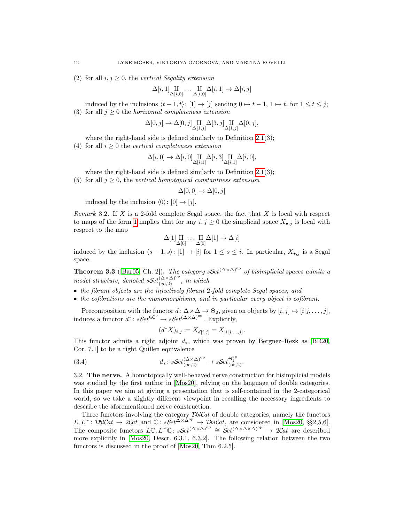(2) for all  $i, j \geq 0$ , the vertical Segality extension

$$
\Delta[i,1]\underset{\Delta[i,0]}{\amalg}\dots\underset{\Delta[i,0]}{\amalg}\Delta[i,1]\rightarrow\Delta[i,j]
$$

induced by the inclusions  $\langle t-1, t \rangle$ :  $[1] \rightarrow [j]$  sending  $0 \rightarrow t-1$ ,  $1 \rightarrow t$ , for  $1 \le t \le j$ ; (3) for all  $j \geq 0$  the *horizontal completeness extension* 

$$
\Delta[0,j] \to \Delta[0,j] \underset{\Delta[1,j]}{\amalg} \Delta[3,j] \underset{\Delta[1,j]}{\amalg} \Delta[0,j],
$$

where the right-hand side is defined similarly to Definition [2.1\(](#page-10-2)3);

(4) for all  $i \geq 0$  the vertical completeness extension

$$
\Delta[i,0] \to \Delta[i,0] \underset{\Delta[i,1]}{\amalg} \Delta[i,3] \underset{\Delta[i,1]}{\amalg} \Delta[i,0],
$$

where the right-hand side is defined similarly to Definition [2.1\(](#page-10-2)3);

(5) for all  $j \geq 0$ , the vertical homotopical constantness extension

$$
\Delta[0,0] \to \Delta[0,j]
$$

induced by the inclusion  $\langle 0 \rangle : [0] \rightarrow [j]$ .

<span id="page-13-3"></span>Remark 3.2. If  $X$  is a 2-fold complete Segal space, the fact that  $X$  is local with respect to maps of the form [1](#page-12-4) implies that for any  $i, j \geq 0$  the simplicial space  $X_{\bullet,j}$  is local with respect to the map

$$
\Delta[1]\underset{\Delta[0]}{\amalg}\dots\underset{\Delta[0]}{\amalg}\Delta[1]\rightarrow\Delta[i]
$$

induced by the inclusion  $\langle s - 1, s \rangle : [1] \to [i]$  for  $1 \leq s \leq i$ . In particular,  $X_{\bullet, j}$  is a Segal space.

<span id="page-13-0"></span>**Theorem 3.3** ([\[Bar05,](#page-60-0) Ch. 2]). The category s $\mathcal{S}et^{(\Delta \times \Delta)^{op}}$  of bisimplicial spaces admits a model structure, denoted  $sSet_{(\infty,2)}^{(\Delta\times\Delta)^{\mathrm{op}}}$ , in which

- the fibrant objects are the injectively fibrant 2-fold complete Segal spaces, and
- the cofibrations are the monomorphisms, and in particular every object is cofibrant.

Precomposition with the functor  $d: \Delta \times \Delta \to \Theta_2$ , given on objects by  $[i, j] \mapsto [i|j, \ldots, j],$ induces a functor  $d^* \colon \mathcal{S}et^{\Theta_2^{\mathrm{op}}} \to \mathcal{S}Set^{(\Delta \times \Delta)^{\mathrm{op}}}$ . Explicitly,

<span id="page-13-1"></span>
$$
(d^*X)_{i,j} := X_{d[i,j]} = X_{[i|j,\ldots,j]}.
$$

This functor admits a right adjoint  $d_*$ , which was proven by Bergner–Rezk as [\[BR20,](#page-60-5) Cor. 7.1] to be a right Quillen equivalence

(3.4) 
$$
d_* \colon sSet_{(\infty,2)}^{(\Delta \times \Delta)^{\text{op}}} \to sSet_{(\infty,2)}^{\mathcal{Q}^{\text{op}}}
$$

3.2. The nerve. A homotopically well-behaved nerve construction for bisimplicial models was studied by the first author in [\[Mos20\]](#page-61-3), relying on the language of double categories. In this paper we aim at giving a presentation that is self-contained in the 2-categorical world, so we take a slightly different viewpoint in recalling the necessary ingredients to describe the aforementioned nerve construction.

<span id="page-13-2"></span>Three functors involving the category  $\mathcal{D}blCat$  of double categories, namely the functors  $L, L^{\simeq}$ :  $\mathcal{D}blCat \rightarrow 2Cat$  and  $\mathbb{C}$ :  $sSet^{\tilde{\Delta} \times \tilde{\Delta}^{op}} \rightarrow \mathcal{D}blCat$ , are considered in [\[Mos20,](#page-61-3) §§2,5,6]. The composite functors  $LC$ ,  $L^{\infty}C$ :  $sSet^{(\Delta \times \Delta)^{op}} \cong Set^{(\Delta \times \Delta \times \Delta)^{op}} \to 2Cat$  are described more explicitly in [\[Mos20,](#page-61-3) Descr. 6.3.1, 6.3.2]. The following relation between the two functors is discussed in the proof of [\[Mos20,](#page-61-3) Thm 6.2.5].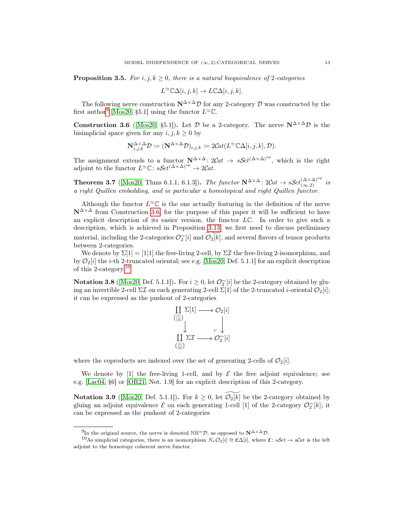**Proposition 3.5.** For i, j,  $k \geq 0$ , there is a natural biequivalence of 2-categories

$$
L^{\infty} \mathbb{C} \Delta[i, j, k] \to L \mathbb{C} \Delta[i, j, k].
$$

The following nerve construction  $N^{\Delta \times \Delta} \mathcal{D}$  for any 2-category  $\mathcal D$  was constructed by the first author<sup>[9](#page-14-2)</sup> [\[Mos20,](#page-61-3) §5.1] using the functor  $L^{\simeq} \mathbb{C}$ .

<span id="page-14-0"></span>**Construction 3.6** ([\[Mos20,](#page-61-3) §5.1]). Let  $\mathcal{D}$  be a 2-category. The nerve  $N^{\Delta \times \Delta} \mathcal{D}$  is the bisimplicial space given for any  $i, j, k \geq 0$  by

$$
\mathbf{N}_{i,j,k}^{\Delta \times \Delta} \mathcal{D} \coloneqq (\mathbf{N}^{\Delta \times \Delta} \mathcal{D})_{i,j,k} \coloneqq 2\mathcal{C}\mathcal{A}(L^{\simeq} \mathbb{C}\Delta[i,j,k], \mathcal{D}).
$$

The assignment extends to a functor  $N^{\Delta \times \Delta}$ :  $2Cat \rightarrow sSet^{(\Delta \times \Delta)^{op}}$ , which is the right adjoint to the functor  $L^{\simeq} \mathbb{C}$ :  $sSet^{(\Delta \times \Delta)^{\rm op}} \to 2\mathcal{C}at$ .

<span id="page-14-1"></span>**Theorem 3.7** ([\[Mos20,](#page-61-3) Thms 6.1.1, 6.1.3]). The functor  $N^{\Delta \times \Delta}$ :  $2Cat \rightarrow sSet_{(\infty,2)}^{(\Delta \times \Delta)^{op}}$  is a right Quillen embedding, and in particular a homotopical and right Quillen functor.

Although the functor  $L^{\infty} \mathbb{C}$  is the one actually featuring in the definition of the nerve  $N^{\Delta \times \Delta}$  from Construction [3.6,](#page-14-0) for the purpose of this paper it will be sufficient to have an explicit description of its easier version, the functor  $L\mathbb{C}$ . In order to give such a description, which is achieved in Proposition [3.13,](#page-17-0) we first need to discuss preliminary material, including the 2-categories  $\mathcal{O}_2^{\sim}[i]$  and  $\widetilde{\mathcal{O}_2[k]}$ , and several flavors of tensor products between 2-categories.

We denote by  $\Sigma[1] = [1|1]$  the free-living 2-cell, by  $\Sigma \mathcal{I}$  the free-living 2-isomorphism, and by  $\mathcal{O}_2[i]$  the *i*-th 2-truncated oriental; see e.g. [\[Mos20,](#page-61-3) Def. 5.1.1] for an explicit description of this 2-category.[10](#page-14-3)

Notation 3.8 ([\[Mos20,](#page-61-3) Def. 5.1.1]). For  $i \geq 0$ , let  $\mathcal{O}_2^{\sim}[i]$  be the 2-category obtained by gluing an invertible 2-cell  $\Sigma\mathcal{I}$  on each generating 2-cell  $\Sigma[1]$  of the 2-truncated *i*-oriental  $\mathcal{O}_2[i]$ ; it can be expressed as the pushout of 2-categories

$$
\coprod_{\binom{[i]}{[2]}} \Sigma[1] \longrightarrow \mathcal{O}_2[i]
$$
\n
$$
\downarrow \qquad \qquad \downarrow
$$
\n
$$
\coprod_{\binom{[i]}{[2]}} \Sigma \mathcal{I} \longrightarrow \mathcal{O}_2^{\sim}[i]
$$

where the coproducts are indexed over the set of generating 2-cells of  $\mathcal{O}_2[i]$ .

We denote by [1] the free-living 1-cell, and by  $\mathcal E$  the free adjoint equivalence; see e.g. [\[Lac04,](#page-61-15) §6] or [\[OR21,](#page-61-2) Not. 1.9] for an explicit description of this 2-category.

Notation 3.9 ([\[Mos20,](#page-61-3) Def. 5.1.1]). For  $k \geq 0$ , let  $\mathcal{O}_2[k]$  be the 2-category obtained by gluing an adjoint equivalence  $\mathcal E$  on each generating 1-cell [1] of the 2-category  $\mathcal O_2^{\sim}[k]$ ; it can be expressed as the pushout of 2-categories

<span id="page-14-3"></span><span id="page-14-2"></span><sup>&</sup>lt;sup>9</sup>In the original source, the nerve is denoted NH<sup>≃</sup>D, as opposed to  $N^{\Delta \times \Delta}D$ .

<sup>&</sup>lt;sup>10</sup>As simplicial categories, there is an isomorphism  $N_*\mathcal{O}_2[i] \cong \mathfrak{C}\Delta[i]$ , where  $\mathfrak{C}: sSet \to sCat$  is the left adjoint to the homotopy coherent nerve functor.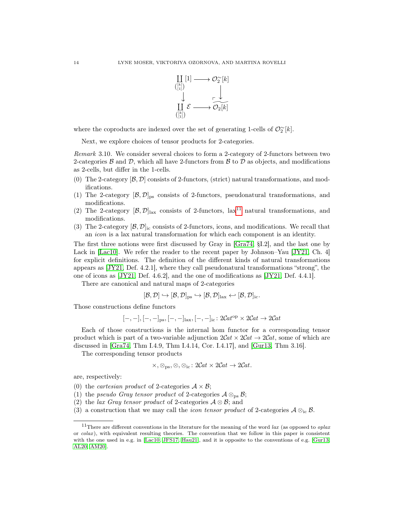

where the coproducts are indexed over the set of generating 1-cells of  $\mathcal{O}_2^{\sim}[k]$ .

Next, we explore choices of tensor products for 2-categories.

<span id="page-15-5"></span>Remark 3.10. We consider several choices to form a 2-category of 2-functors between two 2-categories  $\beta$  and  $\mathcal{D}$ , which all have 2-functors from  $\beta$  to  $\mathcal{D}$  as objects, and modifications as 2-cells, but differ in the 1-cells.

- (0) The 2-category  $[\beta, \mathcal{D}]$  consists of 2-functors, (strict) natural transformations, and modifications.
- (1) The 2-category  $[\mathcal{B}, \mathcal{D}]_{\text{ps}}$  consists of 2-functors, pseudonatural transformations, and modifications.
- (2) The 2-category  $[\mathcal{B}, \mathcal{D}]_{\text{lax}}$  consists of 2-functors, lax<sup>[11](#page-15-0)</sup> natural transformations, and modifications.
- (3) The 2-category  $[\mathcal{B}, \mathcal{D}]_{\text{ic}}$  consists of 2-functors, icons, and modifications. We recall that an icon is a lax natural transformation for which each component is an identity.

The first three notions were first discussed by Gray in [\[Gra74,](#page-60-16) §I.2], and the last one by Lack in [\[Lac10\]](#page-61-21). We refer the reader to the recent paper by Johnson–Yau [\[JY21,](#page-61-22) Ch. 4] for explicit definitions. The definition of the different kinds of natural transformations appears as [\[JY21,](#page-61-22) Def. 4.2.1], where they call pseudonatural transformations "strong", the one of icons as [\[JY21,](#page-61-22) Def. 4.6.2], and the one of modifications as [\[JY21,](#page-61-22) Def. 4.4.1].

There are canonical and natural maps of 2-categories

$$
[\mathcal{B},\mathcal{D}]\hookrightarrow [\mathcal{B},\mathcal{D}]_{\mathrm{ps}}\hookrightarrow [\mathcal{B},\mathcal{D}]_{\mathrm{lax}}\hookleftarrow [\mathcal{B},\mathcal{D}]_{\mathrm{ic}}.
$$

Those constructions define functors

$$
[-,-], [-,-]_{\rm{ps}}, [-,-]_{\rm{tax}}, [-,-]_{\rm{ic}} \colon 2\mathcal{C}\mathit{at}^{\rm{op}} \times 2\mathcal{C}\mathit{at} \rightarrow 2\mathcal{C}\mathit{at}
$$

Each of those constructions is the internal hom functor for a corresponding tensor product which is part of a two-variable adjunction  $2Cat \times 2Cat \rightarrow 2Cat$ , some of which are discussed in [\[Gra74,](#page-60-16) Thm I.4.9, Thm I.4.14, Cor. I.4.17], and [\[Gur13,](#page-60-17) Thm 3.16].

The corresponding tensor products

$$
\times, \otimes_{\text{ps}}, \otimes, \otimes_{\text{ic}} : 2\mathcal{C}at \times 2\mathcal{C}at \to 2\mathcal{C}at.
$$

are, respectively:

- <span id="page-15-1"></span>(0) the *cartesian product* of 2-categories  $A \times B$ ;
- <span id="page-15-2"></span>(1) the pseudo Gray tensor product of 2-categories  $A \otimes_{\text{ps}} B$ ;
- <span id="page-15-3"></span>(2) the lax Gray tensor product of 2-categories  $A \otimes B$ ; and
- <span id="page-15-4"></span>(3) a construction that we may call the *icon tensor product* of 2-categories  $\mathcal{A} \otimes_{i} \mathcal{B}$ .

<span id="page-15-0"></span><sup>&</sup>lt;sup>11</sup>There are different conventions in the literature for the meaning of the word lax (as opposed to *oplax* or  $colax$ ), with equivalent resulting theories. The convention that we follow in this paper is consistent with the one used in e.g. in [\[Lac10,](#page-61-21) [JFS17,](#page-61-19) [Hau21\]](#page-61-23), and it is opposite to the conventions of e.g. [\[Gur13,](#page-60-17) [AL20,](#page-59-1) [AM20\]](#page-60-18).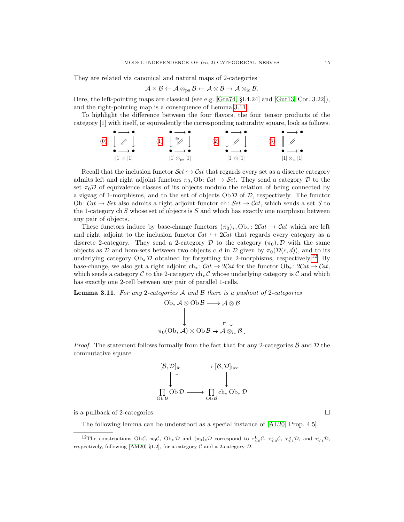They are related via canonical and natural maps of 2-categories

$$
\mathcal{A}\times\mathcal{B}\leftarrow \mathcal{A}\otimes_\text{ps}\mathcal{B}\leftarrow \mathcal{A}\otimes\mathcal{B}\to\mathcal{A}\otimes_\text{ic}\mathcal{B}.
$$

Here, the left-pointing maps are classical (see e.g. [\[Gra74,](#page-60-16) §I.4.24] and [\[Gur13,](#page-60-17) Cor. 3.22]), and the right-pointing map is a consequence of Lemma [3.11.](#page-16-0)

To highlight the difference between the four flavors, the four tensor products of the category [1] with itself, or equivalently the corresponding naturality square, look as follows.

$$
\begin{array}{ccccccccc}\n\bullet & \longrightarrow & \bullet & & \bullet & \longrightarrow & \bullet & & \longrightarrow & \bullet & & \longrightarrow & \bullet & & \longrightarrow & \bullet & \longrightarrow & \bullet & \longrightarrow & \bullet & \longrightarrow & \bullet & \longrightarrow & \bullet & \longrightarrow & \bullet & \longrightarrow & \bullet & \longrightarrow & \bullet & \longrightarrow & \bullet & \longrightarrow & \bullet & \longrightarrow & \bullet & \longrightarrow & \bullet & \longrightarrow & \bullet & \longrightarrow & \bullet & \longrightarrow & \bullet & \longrightarrow & \bullet & \longrightarrow & \bullet & \longrightarrow & \bullet & \longrightarrow & \bullet & \longrightarrow & \bullet & \longrightarrow & \bullet & \longrightarrow & \bullet & \longrightarrow & \bullet & \longrightarrow & \bullet & \longrightarrow & \bullet & \longrightarrow & \bullet & \longrightarrow & \bullet & \longrightarrow & \bullet & \longrightarrow & \bullet & \longrightarrow & \bullet & \longrightarrow & \bullet & \longrightarrow & \bullet & \longrightarrow & \bullet & \longrightarrow & \bullet & \longrightarrow & \bullet & \longrightarrow & \bullet & \longrightarrow & \bullet & \longrightarrow & \bullet & \longrightarrow & \bullet & \longrightarrow & \bullet & \longrightarrow & \bullet & \longrightarrow & \bullet & \longrightarrow & \bullet & \longrightarrow & \bullet & \longrightarrow & \bullet & \longrightarrow & \bullet & \longrightarrow & \bullet & \longrightarrow & \bullet & \longrightarrow & \bullet & \longrightarrow & \bullet & \longrightarrow & \bullet & \longrightarrow & \bullet & \longrightarrow & \bullet & \longrightarrow & \bullet & \longrightarrow & \bullet & \longrightarrow & \bullet & \longrightarrow & \bullet & \longrightarrow & \bullet & \longrightarrow & \bullet & \longrightarrow & \bullet & \longrightarrow & \bullet & \longrightarrow & \bullet & \longrightarrow & \bullet & \longrightarrow & \bullet & \longrightarrow & \bullet & \longrightarrow & \bullet & \longrightarrow & \bullet & \longrightarrow & \bullet & \longrightarrow & \bullet & \longrightarrow & \bullet & \longrightarrow & \bullet & \longrightarrow & \bullet & \longrightarrow & \bullet & \longrightarrow & \bullet & \longrightarrow & \bullet & \longrightarrow & \bullet & \longrightarrow & \bullet & \longrightarrow & \bullet & \longrightarrow & \bullet & \longrightarrow & \bullet & \longrightarrow & \bullet & \longrightarrow & \bullet & \longrightarrow & \bullet & \longrightarrow & \bullet & \longrightarrow & \bullet & \longrightarrow & \bullet & \longrightarrow & \bullet & \longrightarrow & \bullet & \longrightarrow & \bullet & \longrightarrow & \bullet & \longrightarrow & \bullet & \longrightarrow & \bullet & \longrightarrow & \bullet & \longrightarrow & \bullet & \longrightarrow & \bullet & \longrightarrow & \bullet & \longrightarrow & \bullet & \longrightarrow & \bullet & \longrightarrow & \bullet & \longrightarrow & \bullet & \longrightarrow & \bullet & \longrightarrow & \bullet & \longrightarrow & \bullet & \longrightarrow & \bullet & \longrightarrow & \bullet & \longrightarrow & \bullet & \longrightarrow & \bullet & \longrightarrow & \bullet & \longrightarrow & \bullet & \longrightarrow & \bullet & \longrightarrow & \bullet & \longrightarrow & \bullet & \longrightarrow & \bullet & \longrightarrow & \bullet & \longrightarrow & \bullet & \longrightarrow & \bullet & \longrightarrow & \bullet & \longrightarrow & \bullet & \longrightarrow & \bullet & \longrightarrow
$$

Recall that the inclusion functor  $\mathcal{S}et \hookrightarrow \mathcal{C}at$  that regards every set as a discrete category admits left and right adjoint functors  $\pi_0$ , Ob:  $Cat \rightarrow Set$ . They send a category  $D$  to the set  $\pi_0 \mathcal{D}$  of equivalence classes of its objects modulo the relation of being connected by a zigzag of 1-morphisms, and to the set of objects  $\text{Ob } \mathcal{D}$  of  $\mathcal{D}$ , respectively. The functor Ob:  $\mathcal{C}at \to \mathcal{S}et$  also admits a right adjoint functor ch:  $\mathcal{S}et \to \mathcal{C}at$ , which sends a set S to the 1-category ch  $S$  whose set of objects is  $S$  and which has exactly one morphism between any pair of objects.

These functors induce by base-change functors  $(\pi_0)_*, \text{Ob}_* : 2Cat \to Cat$  which are left and right adjoint to the inclusion functor  $\mathcal{C}at \hookrightarrow 2\mathcal{C}at$  that regards every category as a discrete 2-category. They send a 2-category  $\mathcal D$  to the category  $(\pi_0)_*\mathcal D$  with the same objects as D and hom-sets between two objects c, d in D given by  $\pi_0(\mathcal{D}(c, d))$ , and to its underlying category  $Ob_*\mathcal{D}$  obtained by forgetting the 2-morphisms, respectively.<sup>[12](#page-16-1)</sup> By base-change, we also get a right adjoint ch<sub>∗</sub>:  $Cat \rightarrow 2Cat$  for the functor  $Ob_* : 2Cat \rightarrow Cat$ , which sends a category C to the 2-category ch<sub>∗</sub>C whose underlying category is C and which has exactly one 2-cell between any pair of parallel 1-cells.

<span id="page-16-0"></span>**Lemma 3.11.** For any 2-categories  $A$  and  $B$  there is a pushout of 2-categories

$$
\begin{array}{c}\n\text{Ob}_{*}\mathcal{A}\otimes\text{Ob}\,\mathcal{B}\longrightarrow\mathcal{A}\otimes\mathcal{B} \\
\downarrow \qquad \qquad \downarrow \qquad \qquad \downarrow \\
\pi_{0}(\text{Ob}_{*}\mathcal{A})\otimes\text{Ob}\,\mathcal{B}\rightarrow\mathcal{A}\otimes_{\text{ic}}\mathcal{B}\n\end{array}
$$

*Proof.* The statement follows formally from the fact that for any 2-categories  $\beta$  and  $\mathcal{D}$  the commutative square



is a pullback of 2-categories.  $\Box$ 

The following lemma can be understood as a special instance of [\[AL20,](#page-59-1) Prop. 4.5].

<span id="page-16-2"></span><span id="page-16-1"></span><sup>&</sup>lt;sup>12</sup>The constructions Ob C,  $\pi_0 C$ , Ob<sub>\*</sub>D and  $(\pi_0)_* \mathcal{D}$  correspond to  $\tau_{\leq 0}^{\mathsf{b}} C$ ,  $\tau_{\leq 0}^{\mathsf{b}} C$ ,  $\tau_{\leq 1}^{\mathsf{b}} \mathcal{D}$ , and  $\tau_{\leq 1}^{\mathsf{i}} \mathcal{D}$ , respectively, following [\[AM20,](#page-60-18) §1.2], for a category  $C$  and a 2-category  $D$ .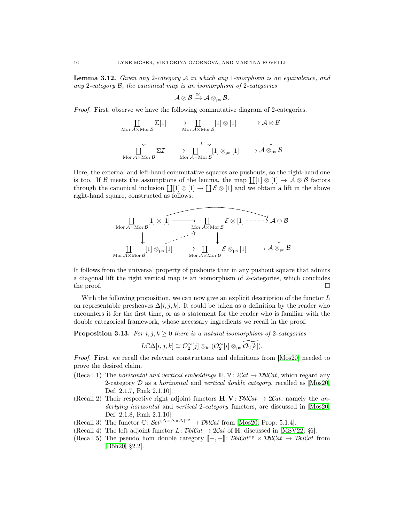**Lemma 3.12.** Given any 2-category  $A$  in which any 1-morphism is an equivalence, and any 2-category  $\mathcal{B}$ , the canonical map is an isomorphism of 2-categories

$$
\mathcal{A}\otimes\mathcal{B}\xrightarrow{\cong}\mathcal{A}\otimes_{\rm{ps}}\mathcal{B}.
$$

Proof. First, observe we have the following commutative diagram of 2-categories.

$$
\begin{array}{ccc}\n\coprod_{\text{Mor } \mathcal{A} \times \text{Mor } \mathcal{B}} \Sigma[1] \longrightarrow & \coprod_{\text{Mor } \mathcal{A} \times \text{Mor } \mathcal{B}} [1] \otimes [1] \longrightarrow \mathcal{A} \otimes \mathcal{B} \\
\downarrow & & \downarrow & \downarrow & \\
\downarrow & & \downarrow & \downarrow & \\
\downarrow & & \downarrow & & \downarrow \\
\downarrow & & \downarrow & & \downarrow \\
\downarrow & & \downarrow & & \downarrow \\
\downarrow & & \downarrow & & \downarrow \\
\downarrow & & \downarrow & & \downarrow \\
\downarrow & & \downarrow & & \downarrow \\
\downarrow & & \downarrow & & \downarrow \\
\downarrow & & \downarrow & & \downarrow \\
\downarrow & & \downarrow & & \downarrow \\
\downarrow & & \downarrow & & \downarrow \\
\downarrow & & \downarrow & & \downarrow \\
\downarrow & & \downarrow & & \downarrow \\
\downarrow & & \downarrow & & \downarrow \\
\downarrow & & \downarrow & & \downarrow \\
\downarrow & & \downarrow & & \downarrow \\
\downarrow & & \downarrow & & \downarrow \\
\downarrow & & \downarrow & & \downarrow \\
\downarrow & & \downarrow & & \downarrow \\
\downarrow & & \downarrow & & \downarrow \\
\downarrow & & \downarrow & & \downarrow \\
\downarrow & & \downarrow & & \downarrow \\
\downarrow & & \downarrow & & \downarrow \\
\downarrow & & \downarrow & & \downarrow \\
\downarrow & & \downarrow & & \downarrow \\
\downarrow & & \downarrow & & \downarrow \\
\downarrow & & \downarrow & & \downarrow \\
\downarrow & & \downarrow & & \downarrow \\
\downarrow & & \downarrow & & \downarrow \\
\downarrow & & \downarrow & & \downarrow \\
\downarrow & & \downarrow & & \downarrow \\
\downarrow & & \downarrow & & \downarrow \\
\downarrow & & \downarrow & & \downarrow \\
\downarrow & & \downarrow & & \downarrow \\
\downarrow & & \downarrow & & \downarrow \\
\downarrow & & \downarrow & & \downarrow \\
\downarrow & & \downarrow & & \downarrow \\
\downarrow & & \downarrow & & \downarrow \\
\downarrow & & \downarrow & & \downarrow \\
\downarrow & & \downarrow & & \downarrow \\
\downarrow & & \downarrow & & \downarrow \\
\downarrow & & \downarrow & & \downarrow \\
\downarrow & & \downarrow & & \downarrow \\
\downarrow & & \downarrow & & \downarrow \\
\downarrow & & \downarrow & & \downarrow \\
\downarrow & & \downarrow & & \downarrow \\
\downarrow
$$

Here, the external and left-hand commutative squares are pushouts, so the right-hand one is too. If B meets the assumptions of the lemma, the map  $\prod[1] \otimes [1] \to \mathcal{A} \otimes \mathcal{B}$  factors through the canonical inclusion  $\coprod [1] \otimes [1] \rightarrow \coprod \mathcal{E} \otimes [1]$  and we obtain a lift in the above right-hand square, constructed as follows.

$$
\underset{\text{Mor } \mathcal{A} \times \text{Mor } \mathcal{B}}{\coprod} [1] \otimes [1] \xrightarrow{\text{Mor } \mathcal{A} \times \text{Mor } \mathcal{B}} \mathcal{E} \otimes [1] \xrightarrow{\text{Mor } \mathcal{A} \times \text{Mor } \mathcal{B}} \mathcal{A} \otimes \mathcal{B}
$$
\n
$$
\downarrow \qquad \qquad \downarrow \qquad \qquad \downarrow
$$
\n
$$
\underset{\text{Mor } \mathcal{A} \times \text{Mor } \mathcal{B}}{\coprod} [1] \otimes_{\text{ps}} [1] \xrightarrow{\text{Mor } \mathcal{A} \times \text{Mor } \mathcal{B}} \mathcal{E} \otimes_{\text{ps}} [1] \xrightarrow{\text{Mor } \mathcal{A} \times \text{Mor } \mathcal{B}} \mathcal{A} \otimes_{\text{ps}} \mathcal{B}
$$

It follows from the universal property of pushouts that in any pushout square that admits a diagonal lift the right vertical map is an isomorphism of 2-categories, which concludes the proof.  $\Box$ 

With the following proposition, we can now give an explicit description of the functor  $L$ on representable presheaves  $\Delta[i, j, k]$ . It could be taken as a definition by the reader who encounters it for the first time, or as a statement for the reader who is familiar with the double categorical framework, whose necessary ingredients we recall in the proof.

<span id="page-17-0"></span>**Proposition 3.13.** For  $i, j, k \geq 0$  there is a natural isomorphism of 2-categories

$$
L\mathbb{C}\Delta[i,j,k]\cong \mathcal{O}_2^{\sim}[j]\otimes_{\rm ic}(\mathcal{O}_2^{\sim}[i]\otimes_{\rm ps}\widetilde{\mathcal{O}_2[k]}).
$$

Proof. First, we recall the relevant constructions and definitions from [\[Mos20\]](#page-61-3) needed to prove the desired claim.

- (Recall 1) The *horizontal and vertical embeddings*  $\mathbb{H}, \mathbb{V}: 2Cat \rightarrow \mathcal{D}blCat$ , which regard any 2-category  $\mathcal D$  as a *horizontal* and vertical double category, recalled as [\[Mos20,](#page-61-3) Def. 2.1.7, Rmk 2.1.10].
- <span id="page-17-3"></span>(Recall 2) Their respective right adjoint functors  $H, V: \mathcal{D}blCat \rightarrow 2Cat$ , namely the un-derlying horizontal and vertical 2-category functors, are discussed in [\[Mos20,](#page-61-3) Def. 2.1.8, Rmk 2.1.10].
- (Recall 3) The functor  $\mathbb{C}$ :  $\mathcal{S}et^{(\Delta \times \Delta \times \Delta)^{op}} \to \mathcal{D}bl\mathcal{C}at$  from [\[Mos20,](#page-61-3) Prop. 5.1.4].
- <span id="page-17-1"></span>(Recall 4) The left adjoint functor  $L: \mathcal{D}blCat \to 2Cat$  of  $\mathbb{H}$ , discussed in [\[MSV22,](#page-61-24) §6].
- <span id="page-17-2"></span>(Recall 5) The pseudo hom double category  $\mathbb{I}$ –,  $-\mathbb{I}$ : *DblCat*<sup>op</sup> × *DblCat*  $\rightarrow$  *DblCat* from [\[Böh20,](#page-60-19) §2.2].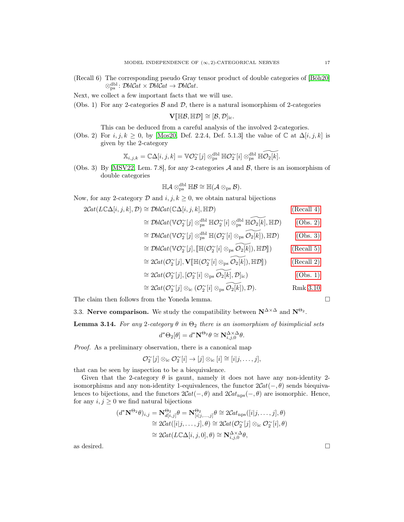- (Recall 6) The corresponding pseudo Gray tensor product of double categories of [\[Böh20\]](#page-60-19)  $\otimes_{\text{ps}}^{\text{dbl}}: \mathcal{D}blCat \times \mathcal{D}blCat \rightarrow \mathcal{D}blCat.$
- Next, we collect a few important facts that we will use.
- <span id="page-18-2"></span>(Obs. 1) For any 2-categories  $\beta$  and  $\mathcal{D}$ , there is a natural isomorphism of 2-categories

$$
\mathbf{V}[\![\mathbb{H}\mathcal{B}, \mathbb{H}\mathcal{D}]\!] \cong [\mathcal{B}, \mathcal{D}]_{\mathrm{ic}}.
$$

This can be deduced from a careful analysis of the involved 2-categories.

<span id="page-18-0"></span>(Obs. 2) For  $i, j, k \geq 0$ , by [\[Mos20,](#page-61-3) Def. 2.2.4, Def. 5.1.3] the value of  $\mathbb C$  at  $\Delta[i, j, k]$  is given by the 2-category

$$
\mathbb{X}_{i,j,k}=\mathbb{C}\Delta[i,j,k]=\mathbb{V}\mathcal{O}_2^\sim[j]\otimes_{\rm ps}^{\rm dbl}\mathbb{H}\mathcal{O}_2^\sim[i]\otimes_{\rm ps}^{\rm dbl}\mathbb{H}\widetilde{\mathcal{O}_2[k]}.
$$

<span id="page-18-1"></span>(Obs. 3) By [\[MSV22,](#page-61-24) Lem. 7.8], for any 2-categories  $A$  and  $B$ , there is an isomorphism of double categories

$$
\mathbb{H}{\mathcal{A}}\otimes^{\mathrm{dbl}}_{\mathrm{ps}}\mathbb{H}{\mathcal{B}}\cong \mathbb{H}({\mathcal{A}}\otimes_{\mathrm{ps}}{\mathcal{B}}).
$$

Now, for any 2-category  $D$  and  $i, j, k \ge 0$ , we obtain natural bijections

$$
2Cat(L\mathbb{C}\Delta[i,j,k],\mathcal{D}) \cong \mathcal{D}blCat(\mathbb{C}\Delta[i,j,k],\mathbb{H}\mathcal{D})
$$
 (Recall 4)

$$
\cong \mathcal{D}blCat(\mathbb{V}\mathcal{O}_2^{\sim}[j] \otimes_{\text{ps}}^{\text{dbl}} \mathbb{H}\mathcal{O}_2^{\sim}[i] \otimes_{\text{ps}}^{\text{dbl}} \mathbb{H}\widetilde{\mathcal{O}_2[k]}, \mathbb{H}\mathcal{D})
$$
 (Obs. 2)

$$
\cong \mathcal{D}blCat(\mathbb{V}\mathcal{O}_{2}^{\sim}[j] \otimes_{\text{ps}}^{\text{dbl}} \mathbb{H}(\mathcal{O}_{2}^{\sim}[i] \otimes_{\text{ps}} \widetilde{\mathcal{O}_{2}[k]}), \mathbb{H}\mathcal{D})
$$
 (Obs. 3)

$$
\cong \mathcal{D}blCat(\mathbb{V}O_2^{\sim}[j], [\![\mathbb{H}(\mathcal{O}_2^{\sim}[i]\otimes_{\text{ps}}\widetilde{\mathcal{O}_2[k]}), \mathbb{H}\mathcal{D}]\!])
$$
 (Recall 5)

$$
\cong 2\mathcal{C}\!at(\mathcal{O}_{2}^{\sim}[j], \mathbf{V}[\mathbb{H}(\mathcal{O}_{2}^{\sim}[i]\otimes_{\mathrm{ps}}\widetilde{\mathcal{O}_{2}[k]}), \mathbb{H}\mathcal{D}])
$$
(Recall 2)

$$
\cong 2\mathcal{C}\!at(\mathcal{O}_{2}^{\sim}[j], [\mathcal{O}_{2}^{\sim}[i]\otimes_{\text{ps}}\widetilde{\mathcal{O}_{2}[k]}, \mathcal{D}]_{\text{ic}}) \tag{Obs. 1}
$$

$$
\cong 2\mathcal{C}\!at(\mathcal{O}_{2}^{\sim}[j]\otimes_{\mathrm{ic}}(\mathcal{O}_{2}^{\sim}[i]\otimes_{\mathrm{ps}}\widetilde{\mathcal{O}_{2}[k]}),\mathcal{D}).\qquad \qquad \mathrm{Rmk}\;3.10
$$

The claim then follows from the Yoneda lemma.  $\Box$ 

3.3. **Nerve comparison.** We study the compatibility between 
$$
N^{\Delta \times \Delta}
$$
 and  $N^{\Theta_2}$ 

<span id="page-18-4"></span>Lemma 3.14. For any 2-category  $\theta$  in  $\Theta_2$  there is an isomorphism of bisimplicial sets

$$
d^*\Theta_2[\theta] = d^*\mathbf{N}^{\Theta_2}\theta \cong \mathbf{N}^{\Delta \times \Delta}_{i,j,0}\theta.
$$

Proof. As a preliminary observation, there is a canonical map

$$
\mathcal{O}_2^{\sim}[j]\otimes_{\mathrm{i}\mathrm{c}}\mathcal{O}_2^{\sim}[i]\rightarrow[j]\otimes_{\mathrm{i}\mathrm{c}}[i]\cong[i|j,\ldots,j],
$$

that can be seen by inspection to be a biequivalence.

Given that the 2-category  $\theta$  is gaunt, namely it does not have any non-identity 2isomorphisms and any non-identity 1-equivalences, the functor  $2Cat(-, \theta)$  sends biequivalences to bijections, and the functors  $2Cat(-, \theta)$  and  $2Cat_{\text{nps}}(-, \theta)$  are isomorphic. Hence, for any  $i, j \geq 0$  we find natural bijections

$$
(d^*\mathbf{N}^{\Theta_2}\theta)_{i,j} = \mathbf{N}_{d[i,j]}^{\Theta_2}\theta = \mathbf{N}_{[i|j,\ldots,j]}^{\Theta_2}\theta \cong 2Cat_{\text{nps}}([i|j,\ldots,j],\theta)
$$
  
\n
$$
\cong 2Cat([i|j,\ldots,j],\theta) \cong 2Cat(\mathcal{O}_2^{\sim}[j] \otimes_{\text{ic}} \mathcal{O}_2^{\sim}[i],\theta)
$$
  
\n
$$
\cong 2Cat(L\mathbb{C}\Delta[i,j,0],\theta) \cong \mathbf{N}_{i,j,0}^{\Delta \times \Delta}\theta,
$$

<span id="page-18-3"></span>as desired.  $\Box$ 

.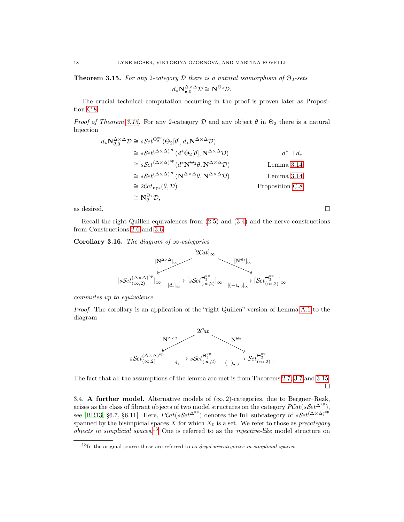**Theorem 3.15.** For any 2-category D there is a natural isomorphism of  $\Theta_2$ -sets

$$
d_*\mathbf N^{\Delta\times \Delta}_{\bullet,0} \mathcal D \cong \mathbf N^{\Theta_2} \mathcal D.
$$

The crucial technical computation occurring in the proof is proven later as Proposition [C.8.](#page-59-2)

*Proof of Theorem [3.15.](#page-18-3)* For any 2-category D and any object  $\theta$  in  $\Theta_2$  there is a natural bijection

$$
d_*\mathbf{N}_{\theta,0}^{\Delta \times \Delta} \mathcal{D} \cong sSet^{\Theta_2^{\text{op}}}(\Theta_2[\theta], d_*\mathbf{N}^{\Delta \times \Delta} \mathcal{D})
$$
  
\n
$$
\cong sSet^{(\Delta \times \Delta)^{\text{op}}} (d^* \Theta_2[\theta], \mathbf{N}^{\Delta \times \Delta} \mathcal{D}) \qquad d^* \dashv d_*
$$
  
\n
$$
\cong sSet^{(\Delta \times \Delta)^{\text{op}}} (d^* \mathbf{N}^{\Theta_2} \theta, \mathbf{N}^{\Delta \times \Delta} \mathcal{D})
$$
  
\n
$$
\cong sSet^{(\Delta \times \Delta)^{\text{op}}} (\mathbf{N}^{\Delta \times \Delta} \theta, \mathbf{N}^{\Delta \times \Delta} \mathcal{D})
$$
  
\n
$$
\cong 2Cat_{\text{nps}}(\theta, \mathcal{D})
$$
  
\n
$$
\cong \mathbf{N}_{\theta}^{\Theta_2} \mathcal{D},
$$
  
\n
$$
\cong \mathbf{N}_{\theta}^{\Theta_2} \mathcal{D},
$$
  
\n
$$
\cong \mathbf{N}_{\theta}^{\Theta_2} \mathcal{D},
$$
  
\n
$$
\cong \mathbf{N}_{\theta}^{\Theta_2} \mathcal{D},
$$
  
\n
$$
\cong \mathbf{N}_{\theta}^{\Theta_2} \mathcal{D},
$$
  
\n
$$
\cong \mathbf{N}_{\theta}^{\Theta_2} \mathcal{D},
$$
  
\n
$$
\cong \mathbf{N}_{\theta}^{\Theta_2} \mathcal{D},
$$
  
\n
$$
\cong \mathbf{N}_{\theta}^{\Theta_2} \mathcal{D},
$$
  
\n
$$
\cong \mathbf{N}_{\theta}^{\Theta_2} \mathcal{D},
$$
  
\n
$$
\cong \mathbf{N}_{\theta}^{\Theta_2} \mathcal{D},
$$
  
\n
$$
\cong \mathbf{N}_{\theta}^{\Theta_2} \mathcal{D},
$$
  
\n
$$
\cong \mathbf{N}_{\theta}^{\Theta_2} \mathcal{D},
$$
  
\n
$$
\cong \mathbf{N}_{\theta}^{\Theta_2}
$$

as desired.  $\Box$ 

Recall the right Quillen equivalences from [\(2.5\)](#page-12-5) and [\(3.4\)](#page-13-1) and the nerve constructions from Constructions [2.6](#page-12-1) and [3.6.](#page-14-0)

<span id="page-19-1"></span>Corollary 3.16. The diagram of  $\infty$ -categories



commutes up to equivalence.

Proof. The corollary is an application of the "right Quillen" version of Lemma [A.1](#page-49-1) to the diagram



The fact that all the assumptions of the lemma are met is from Theorems [2.7,](#page-12-2) [3.7](#page-14-1) and [3.15.](#page-18-3) □

<span id="page-19-0"></span>3.4. A further model. Alternative models of  $(\infty, 2)$ -categories, due to Bergner–Rezk, arises as the class of fibrant objects of two model structures on the category  $PCat(sSet^{\Delta^{op}})$ , see [\[BR13,](#page-60-4) §6.7, §6.11]. Here,  $PCat(sSet^{\Delta^{op}})$  denotes the full subcategory of  $sSet^{(\Delta \times \Delta)^{op}}$ spanned by the bisimpicial spaces X for which  $X_0$  is a set. We refer to those as *precategory objects in simplicial spaces.*<sup>[13](#page-19-2)</sup> One is referred to as the *injective-like* model structure on

<span id="page-19-2"></span> $^{13}$ In the original source those are referred to as *Segal precategories in simplicial spaces*.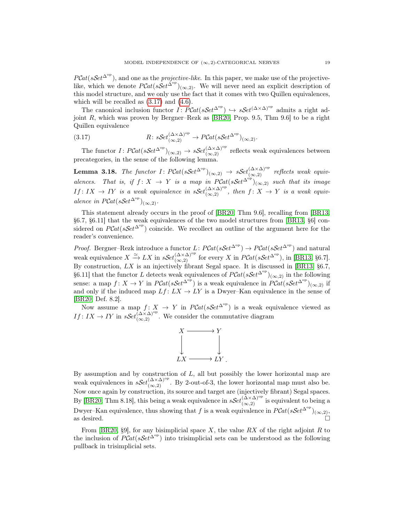$PCat(sSet^{\Delta^{op}})$ , and one as the *projective-like*. In this paper, we make use of the projectivelike, which we denote  $PCat(sSet^{\Delta^{op}})_{(\infty,2)}$ . We will never need an explicit description of this model structure, and we only use the fact that it comes with two Quillen equivalences, which will be recalled as  $(3.17)$  and  $(4.6)$ .

The canonical inclusion functor  $\hat{I}$ :  $\hat{P}Cat(sSet^{\Delta^{op}}) \hookrightarrow sSet^{(\Delta \times \Delta)^{op}}$  admits a right adjoint R, which was proven by Bergner–Rezk as [\[BR20,](#page-60-5) Prop. 9.5, Thm 9.6] to be a right Quillen equivalence

<span id="page-20-0"></span>(3.17) 
$$
R: sSet_{(\infty,2)}^{(\Delta \times \Delta)^{\text{op}}} \to PCat(sSet^{\Delta^{\text{op}}})_{(\infty,2)}.
$$

The functor  $I: \text{PCat}(sSet^{\Delta^{\text{op}}})_{(\infty,2)} \to sSet_{(\infty,2)}^{(\Delta \times \Delta)^{\text{op}}}$  reflects weak equivalences between precategories, in the sense of the following lemma.

<span id="page-20-2"></span>**Lemma 3.18.** The functor  $I: \text{PCat}(sSet^{\Delta^{\text{op}}})_{(\infty,2)} \to sSet_{(\infty,2)}^{(\Delta \times \Delta)^{\text{op}}}$  reflects weak equivalences. That is, if  $f: X \to Y$  is a map in  $PCat(sSet^{\Delta^{op}})_{(\infty,2)}$  such that its image  $If: IX \to IY$  is a weak equivalence in  $sSet_{(\infty,2)}^{(\Delta \times \Delta)^{\text{op}}},$  then  $f: X \to Y$  is a weak equivalence in  $P\mathcal{C}\at(sk\mathcal{S}\at( \mathcal{S}\at( \Delta^{\mathrm{op}})_{(\infty,2)}.$ 

This statement already occurs in the proof of [\[BR20,](#page-60-5) Thm 9.6], recalling from [\[BR13,](#page-60-4) §6.7, §6.11] that the weak equivalences of the two model structures from [\[BR13,](#page-60-4) §6] considered on  $PCat(sSet^{\Delta^{op}})$  coincide. We recollect an outline of the argument here for the reader's convenience.

*Proof.* Bergner–Rezk introduce a functor  $L: P\mathcal{C}at(s\mathcal{S}et^{\Delta^{\mathrm{op}}}) \to P\mathcal{C}at(s\mathcal{S}et^{\Delta^{\mathrm{op}}})$  and natural weak equivalence  $X \xrightarrow{\simeq} LX$  in  $sSet_{(\infty,2)}^{(\Delta \times \Delta)^{\text{op}}}$  for every X in  $PCat(sSet^{\Delta^{\text{op}}})$ , in [\[BR13,](#page-60-4) §6.7]. By construction,  $LX$  is an injectively fibrant Segal space. It is discussed in [\[BR13,](#page-60-4) §6.7, §6.11] that the functor L detects weak equivalences of  $PCat(sSet^{\Delta^{op}})_{(\infty,2)}$  in the following sense: a map  $f: X \to Y$  in  $\text{PCat}(sSet^{\Delta^{op}})$  is a weak equivalence in  $\text{PCat}(sSet^{\Delta^{op}})_{(\infty,2)}$  if and only if the induced map  $Lf: LX \to LY$  is a Dwyer–Kan equivalence in the sense of [\[BR20,](#page-60-5) Def. 8.2].

Now assume a map  $f: X \to Y$  in  $PCat(sSet^{\Delta^{op}})$  is a weak equivalence viewed as  $If: IX \to IY$  in  $sSet_{(\infty,2)}^{(\Delta \times \Delta)^{op}}$ . We consider the commutative diagram



By assumption and by construction of  $L$ , all but possibly the lower horizontal map are weak equivalences in  $sSet_{(\infty,2)}^{(\Delta \times \Delta)^{\rm op}}$ . By 2-out-of-3, the lower horizontal map must also be. Now once again by construction, its source and target are (injectively fibrant) Segal spaces. By [\[BR20,](#page-60-5) Thm 8.18], this being a weak equivalence in  $sSet_{(\infty,2)}^{(\Delta\times\Delta)^{op}}$  is equivalent to being a Dwyer–Kan equivalence, thus showing that f is a weak equivalence in  $PCat(sSet^{\Delta^{op}})_{(\infty,2)},$ as desired.  $\Box$ 

<span id="page-20-1"></span>From  $[BR20, §9]$  $[BR20, §9]$ , for any bisimplicial space X, the value RX of the right adjoint R to the inclusion of  $PCat(sSet^{\Delta^{op}})$  into trisimplicial sets can be understood as the following pullback in trisimplicial sets.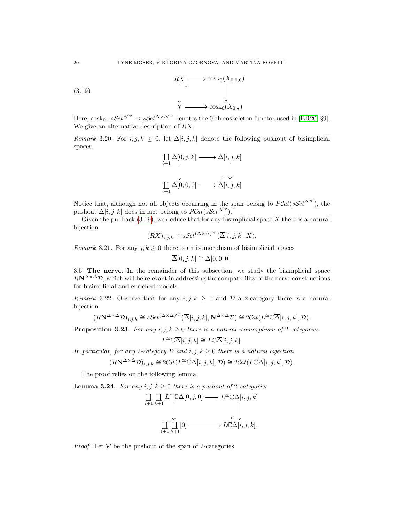

Here,  $\cosh_0$ :  $sSet^{\Delta^{\mathrm{op}}} \to sSet^{\Delta \times \Delta^{\mathrm{op}}}$  denotes the 0-th coskeleton functor used in [\[BR20,](#page-60-5) §9]. We give an alternative description of RX.

<span id="page-21-1"></span>Remark 3.20. For i, j,  $k \geq 0$ , let  $\overline{\Delta}[i, j, k]$  denote the following pushout of bisimplicial spaces.

$$
\coprod_{i+1} \Delta[0, j, k] \longrightarrow \Delta[i, j, k]
$$
  

$$
\downarrow \qquad \qquad \downarrow
$$
  

$$
\coprod_{i+1} \Delta[0, 0, 0] \longrightarrow \overline{\Delta}[i, j, k]
$$

Notice that, although not all objects occurring in the span belong to  $PCat(sSet^{\Delta^{op}})$ , the pushout  $\overline{\Delta}[i, j, k]$  does in fact belong to  $PCat(sSet^{\Delta^{op}})$ .

Given the pullback  $(3.19)$ , we deduce that for any bisimplicial space X there is a natural bijection

$$
(RX)_{i,j,k} \cong s\mathcal{S}et^{(\Delta \times \Delta)^{\rm op}}(\overline{\Delta}[i,j,k],X).
$$

<span id="page-21-3"></span>*Remark* 3.21. For any  $j, k \geq 0$  there is an isomorphism of bisimplicial spaces

$$
\overline{\Delta}[0,j,k] \cong \Delta[0,0,0].
$$

3.5. The nerve. In the remainder of this subsection, we study the bisimplicial space  $R\mathbf{N}^{\Delta\times\Delta}\mathcal{D}$ , which will be relevant in addressing the compatibility of the nerve constructions for bisimplicial and enriched models.

Remark 3.22. Observe that for any  $i, j, k \geq 0$  and  $\mathcal{D}$  a 2-category there is a natural bijection

$$
(R\mathbf{N}^{\Delta \times \Delta} \mathcal{D})_{i,j,k} \cong s\mathcal{S}et^{(\Delta \times \Delta)^{\mathrm{op}}}(\overline{\Delta}[i,j,k],\mathbf{N}^{\Delta \times \Delta} \mathcal{D}) \cong 2\mathcal{C}at(L^{\simeq} \mathbb{C}\overline{\Delta}[i,j,k],\mathcal{D}).
$$

<span id="page-21-0"></span>**Proposition 3.23.** For any  $i, j, k \geq 0$  there is a natural isomorphism of 2-categories

$$
L^{\infty} \mathbb{C} \overline{\Delta}[i, j, k] \cong L \mathbb{C} \overline{\Delta}[i, j, k].
$$

In particular, for any 2-category  $D$  and  $i, j, k \geq 0$  there is a natural bijection

$$
(R\mathbf{N}^{\Delta \times \Delta} \mathcal{D})_{i,j,k} \cong 2\mathcal{C}at(L^{\simeq} \mathbb{C} \overline{\Delta}[i,j,k], \mathcal{D}) \cong 2\mathcal{C}at(L\mathbb{C} \overline{\Delta}[i,j,k], \mathcal{D}).
$$

The proof relies on the following lemma.

<span id="page-21-2"></span>**Lemma 3.24.** For any  $i, j, k \geq 0$  there is a pushout of 2-categories

$$
\coprod_{i+1} \coprod_{k+1} L^{\simeq} \mathbb{C}\Delta[0, j, 0] \longrightarrow L^{\simeq} \mathbb{C}\Delta[i, j, k]
$$
  

$$
\downarrow \qquad \qquad \downarrow \qquad \qquad \downarrow
$$
  

$$
\coprod_{i+1} \coprod_{k+1} [0] \longrightarrow L \mathbb{C}\Delta[i, j, k].
$$

*Proof.* Let  $P$  be the pushout of the span of 2-categories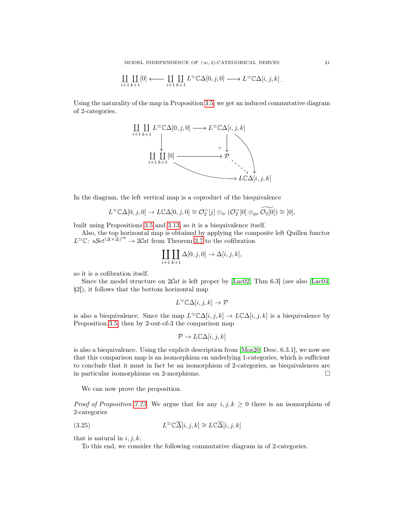$$
\underset{i+1}{\amalg} \underset{k+1}{\amalg} [0] \longleftarrow \underset{i+1}{\amalg} \underset{k+1}{\amalg} L^{\simeq} \mathbb{C} \Delta[0,j,0] \longrightarrow L^{\simeq} \mathbb{C} \Delta[i,j,k] \, .
$$

Using the naturality of the map in Proposition [3.5,](#page-13-2) we get an induced commutative diagram of 2-categories.



In the diagram, the left vertical map is a coproduct of the biequivalence

$$
L^{\infty} \mathbb{C} \Delta[0, j, 0] \to L \mathbb{C} \Delta[0, j, 0] \cong \mathcal{O}_2^{\infty}[j] \otimes_{\text{ic}} (\mathcal{O}_2^{\infty}[0] \otimes_{\text{ps}} \widetilde{\mathcal{O}_2[0]}) \cong [0],
$$

built using Propositions [3.5](#page-13-2) and [3.13,](#page-17-0) so it is a biequivalence itself.

Also, the top horizontal map is obtained by applying the composite left Quillen functor  $L^{\simeq} \mathbb{C}$ : sSet<sup>( $\Delta \times \Delta$ )<sup>op</sup> → 2Cat from Theorem [3.7](#page-14-1) to the cofibration</sup>

$$
\coprod_{i+1} \coprod_{k+1} \Delta[0, j, 0] \to \Delta[i, j, k],
$$

so it is a cofibration itself.

Since the model structure on  $2Cat$  is left proper by [\[Lac02,](#page-61-14) Thm 6.3] (see also [\[Lac04,](#page-61-15) §2]), it follows that the bottom horizontal map

$$
L^{\simeq} \mathbb{C}\Delta[i,j,k] \to \mathcal{P}
$$

is also a biequivalence. Since the map  $L^{\infty} \mathbb{C}\Delta[i, j, k] \to L \mathbb{C}\Delta[i, j, k]$  is a biequivalence by Proposition [3.5,](#page-13-2) then by 2-out-of-3 the comparison map

$$
\mathcal{P} \to L\mathbb{C}\Delta[i,j,k]
$$

is also a biequivalence. Using the explicit description from [\[Mos20,](#page-61-3) Desc. 6.3.1], we now see that this comparison map is an isomorphism on underlying 1-categories, which is sufficient to conclude that it must in fact be an isomorphism of 2-categories, as biequivalences are in particular isomorphisms on 2-morphisms. □

We can now prove the proposition.

*Proof of Proposition [3.23.](#page-21-0)* We argue that for any  $i, j, k \geq 0$  there is an isomorphism of 2-categories

(3.25) 
$$
L^{\simeq} \mathbb{C}\overline{\Delta}[i,j,k] \cong L\mathbb{C}\overline{\Delta}[i,j,k]
$$

that is natural in  $i, j, k$ .

<span id="page-22-0"></span>To this end, we consider the following commutative diagram in of 2-categories.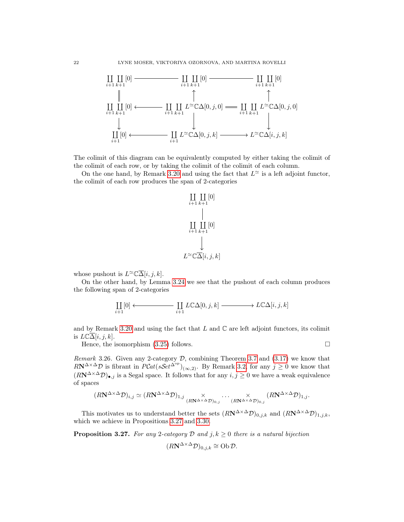

The colimit of this diagram can be equivalently computed by either taking the colimit of the colimit of each row, or by taking the colimit of the colimit of each column.

On the one hand, by Remark [3.20](#page-21-1) and using the fact that  $L^{\approx}$  is a left adjoint functor, the colimit of each row produces the span of 2-categories



whose pushout is  $L^{\infty} \overline{\Delta}[i, j, k]$ .

On the other hand, by Lemma [3.24](#page-21-2) we see that the pushout of each column produces the following span of 2-categories

$$
\coprod_{i+1}[0] \longleftrightarrow \coprod_{i+1} L\mathbb{C}\Delta[0,j,k] \longrightarrow L\mathbb{C}\Delta[i,j,k]
$$

and by Remark [3.20](#page-21-1) and using the fact that  $L$  and  $\mathbb C$  are left adjoint functors, its colimit is  $L\mathbb{C}\overline{\Delta}[i,j,k].$ 

Hence, the isomorphism  $(3.25)$  follows.  $\Box$ 

<span id="page-23-1"></span>*Remark* 3.26. Given any 2-category  $D$ , combining Theorem [3.7](#page-14-1) and  $(3.17)$  we know that  $R\mathbf{N}^{\Delta\times\Delta}\mathcal{D}$  is fibrant in  $P\mathcal{C}at(s\mathcal{S}et^{\Delta^{\mathrm{op}}})_{(\infty,2)}$ . By Remark [3.2,](#page-13-3) for any  $j\geq 0$  we know that  $(RN^{\Delta \times \Delta}D)_{\bullet,j}$  is a Segal space. It follows that for any  $i, j \geq 0$  we have a weak equivalence of spaces

$$
(R\mathbf{N}^{\Delta \times \Delta} \mathcal{D})_{i,j} \simeq (R\mathbf{N}^{\Delta \times \Delta} \mathcal{D})_{1,j} \underset{(R\mathbf{N}^{\Delta \times \Delta} \mathcal{D})_{0,j}}{\times} \cdots \underset{(R\mathbf{N}^{\Delta \times \Delta} \mathcal{D})_{0,j}}{\times} (R\mathbf{N}^{\Delta \times \Delta} \mathcal{D})_{1,j}.
$$

This motivates us to understand better the sets  $(RN^{\Delta \times \Delta}D)_{0,j,k}$  and  $(RN^{\Delta \times \Delta}D)_{1,j,k}$ , which we achieve in Propositions [3.27](#page-23-0) and [3.30.](#page-26-1)

<span id="page-23-0"></span>**Proposition 3.27.** For any 2-category D and j,  $k \geq 0$  there is a natural bijection

$$
(R\mathbf{N}^{\Delta \times \Delta} \mathcal{D})_{0,j,k} \cong \mathbf{Ob} \mathcal{D}.
$$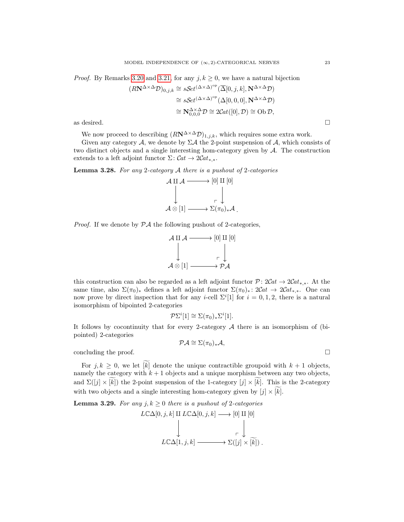*Proof.* By Remarks [3.20](#page-21-1) and [3.21,](#page-21-3) for any  $j, k \geq 0$ , we have a natural bijection

$$
(R\mathbf{N}^{\Delta \times \Delta} \mathcal{D})_{0,j,k} \cong s\mathcal{S}et^{(\Delta \times \Delta)^{op}}(\overline{\Delta}[0,j,k], \mathbf{N}^{\Delta \times \Delta} \mathcal{D})
$$
  
\n
$$
\cong s\mathcal{S}et^{(\Delta \times \Delta)^{op}}(\Delta[0,0,0], \mathbf{N}^{\Delta \times \Delta} \mathcal{D})
$$
  
\n
$$
\cong \mathbf{N}^{\Delta \times \Delta}_{0,0,0} \mathcal{D} \cong 2Cat([0], \mathcal{D}) \cong \text{Ob } \mathcal{D},
$$
  
\nas desired.

We now proceed to describing  $(RN^{\Delta \times \Delta}D)_{1,j,k}$ , which requires some extra work.

Given any category  $A$ , we denote by  $\Sigma A$  the 2-point suspension of  $A$ , which consists of two distinct objects and a single interesting hom-category given by  $A$ . The construction extends to a left adjoint functor  $\Sigma: \mathcal{C}at \to 2\mathcal{C}at_{**}.$ 

<span id="page-24-0"></span>**Lemma 3.28.** For any 2-category  $A$  there is a pushout of 2-categories

$$
\mathcal{A} \amalg \mathcal{A} \longrightarrow [0] \amalg [0]
$$
\n
$$
\downarrow \qquad \qquad \downarrow \qquad \qquad \downarrow
$$
\n
$$
\mathcal{A} \otimes [1] \longrightarrow \Sigma(\pi_0)_* \mathcal{A} \ .
$$

*Proof.* If we denote by  $\mathcal{P}A$  the following pushout of 2-categories,

$$
\mathcal{A} \amalg \mathcal{A} \longrightarrow [0] \amalg [0]
$$
\n
$$
\downarrow \qquad \qquad \downarrow \qquad \qquad \downarrow
$$
\n
$$
\mathcal{A} \otimes [1] \longrightarrow \mathcal{P} \mathcal{A}
$$

this construction can also be regarded as a left adjoint functor  $\mathcal{P}: 2Cat \to 2Cat_{*,*}$ . At the same time, also  $\Sigma(\pi_0)_*$  defines a left adjoint functor  $\Sigma(\pi_0)_*: 2Cat \to 2Cat_{*,*}$ . One can now prove by direct inspection that for any *i*-cell  $\Sigma^{i}[1]$  for  $i = 0, 1, 2$ , there is a natural isomorphism of bipointed 2-categories

$$
\mathcal{P}\Sigma^i[1] \cong \Sigma(\pi_0)_*\Sigma^i[1].
$$

It follows by cocontinuity that for every 2-category  $A$  there is an isomorphism of (bipointed) 2-categories

$$
\mathcal{P}\mathcal{A}\cong\Sigma(\pi_0)_*\mathcal{A},
$$

concluding the proof.  $\Box$ 

For  $j, k \geq 0$ , we let  $\widetilde{k}$  denote the unique contractible groupoid with  $k + 1$  objects, namely the category with  $k + 1$  objects and a unique morphism between any two objects, and  $\Sigma([j] \times [k])$  the 2-point suspension of the 1-category  $[j] \times [k]$ . This is the 2-category with two objects and a single interesting hom-category given by  $[j] \times \widetilde{k}[k]$ .

<span id="page-24-1"></span>**Lemma 3.29.** For any  $j, k \geq 0$  there is a pushout of 2-categories

$$
L\mathbb{C}\Delta[0, j, k] \amalg L\mathbb{C}\Delta[0, j, k] \longrightarrow [0] \amalg [0]
$$
  
\n
$$
\downarrow \qquad \qquad \downarrow
$$
  
\n
$$
L\mathbb{C}\Delta[1, j, k] \longrightarrow \Sigma([j] \times [\widetilde{k}]).
$$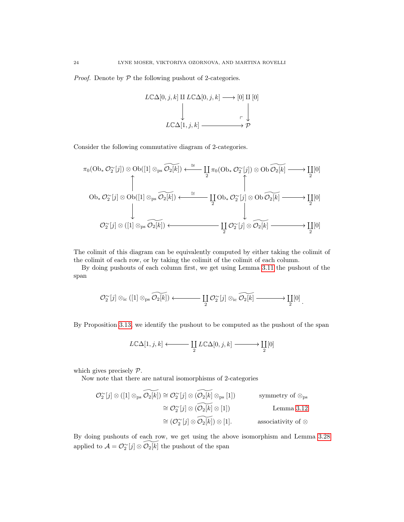*Proof.* Denote by  $P$  the following pushout of 2-categories.

$$
LCA[0, j, k] \amalg LCA[0, j, k] \longrightarrow [0] \amalg [0]
$$
  
\n
$$
\downarrow \qquad \qquad \downarrow
$$
  
\n
$$
LC\Delta[1, j, k] \longrightarrow \mathcal{P}
$$

Consider the following commutative diagram of 2-categories.

$$
\pi_0(\mathrm{Ob}_*\mathcal{O}_2^{\sim}[j]) \otimes \mathrm{Ob}([1] \otimes_{\mathrm{ps}} \widetilde{\mathcal{O}_2[k]}) \xleftarrow{\cong} \coprod_{2} \pi_0(\mathrm{Ob}_*\mathcal{O}_2^{\sim}[j]) \otimes \mathrm{Ob}\widetilde{\mathcal{O}_2[k]} \longrightarrow \coprod_{2} [0]
$$
\n
$$
\mathrm{Ob}_*\mathcal{O}_2^{\sim}[j] \otimes \mathrm{Ob}([1] \otimes_{\mathrm{ps}} \widetilde{\mathcal{O}_2[k]}) \xleftarrow{\cong} \coprod_{2} \mathrm{Ob}_*\mathcal{O}_2^{\sim}[j] \otimes \mathrm{Ob}\widetilde{\mathcal{O}_2[k]} \longrightarrow \coprod_{2} [0]
$$
\n
$$
\mathcal{O}_2^{\sim}[j] \otimes ([1] \otimes_{\mathrm{ps}} \widetilde{\mathcal{O}_2[k]}) \xleftarrow{\cong} \coprod_{2} \mathcal{O}_2^{\sim}[j] \otimes \widetilde{\mathcal{O}_2[k]} \longrightarrow \coprod_{2} [0]
$$

The colimit of this diagram can be equivalently computed by either taking the colimit of the colimit of each row, or by taking the colimit of the colimit of each column.

By doing pushouts of each column first, we get using Lemma [3.11](#page-16-0) the pushout of the span

$$
\mathcal{O}_{2}^{\sim}[j]\otimes_{\mathrm{ic}}([1]\otimes_{\mathrm{ps}}\widetilde{\mathcal{O}_{2}[k]})\longleftarrow\coprod_{2}\mathcal{O}_{2}^{\sim}[j]\otimes_{\mathrm{ic}}\widetilde{\mathcal{O}_{2}[k]}\longrightarrow\coprod_{2}[0].
$$

By Proposition [3.13,](#page-17-0) we identify the pushout to be computed as the pushout of the span

$$
L\mathbb{C}\Delta[1,j,k] \longleftarrow \coprod_{2} L\mathbb{C}\Delta[0,j,k] \longrightarrow \coprod_{2}[0]
$$

which gives precisely  $\mathcal{P}$ .

Now note that there are natural isomorphisms of 2-categories

$$
\begin{aligned}\n\mathcal{O}_2^{\sim}[j] \otimes ([1] \otimes_{\text{ps}} \widetilde{\mathcal{O}_2[k]}) &\cong \mathcal{O}_2^{\sim}[j] \otimes (\widetilde{\mathcal{O}_2[k]} \otimes_{\text{ps}} [1]) && \text{symmetry of } \otimes_{\text{ps}} \\
&\cong \mathcal{O}_2^{\sim}[j] \otimes (\widetilde{\mathcal{O}_2[k]} \otimes [1]) && \text{Lemma 3.12} \\
&\cong (\mathcal{O}_2^{\sim}[j] \otimes \widetilde{\mathcal{O}_2[k]}) \otimes [1]. && \text{associativity of } \otimes\n\end{aligned}
$$

By doing pushouts of each row, we get using the above isomorphism and Lemma [3.28](#page-24-0) applied to  $\mathcal{A} = \mathcal{O}_2^{\infty}[j] \otimes \widetilde{\mathcal{O}_2[k]}$  the pushout of the span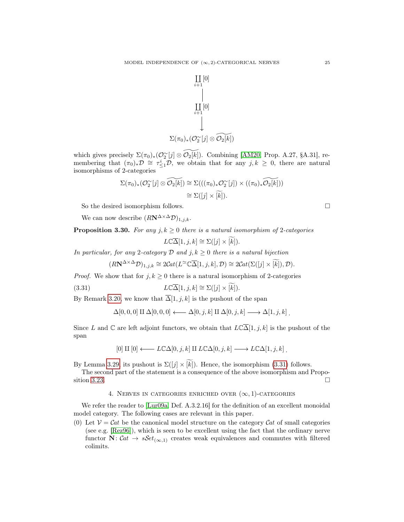

which gives precisely  $\Sigma(\pi_0)_*(\mathcal{O}_2^\sim[j] \otimes \widetilde{\mathcal{O}_2[k]})$ . Combining [\[AM20,](#page-60-18) Prop. A.27, §A.31], remembering that  $(\pi_0)_*\mathcal{D} \cong \tau_{\leq 1}^i \mathcal{D}$ , we obtain that for any  $j, k \geq 0$ , there are natural isomorphisms of 2-categories

$$
\Sigma(\pi_0)_*(\mathcal{O}_2^{\sim}[j] \otimes \widetilde{\mathcal{O}_2[k]}) \cong \Sigma(((\pi_0)_*\mathcal{O}_2^{\sim}[j]) \times ((\pi_0)_*\widetilde{\mathcal{O}_2[k]}))
$$
  

$$
\cong \Sigma([j] \times [\widetilde{k}]).
$$

So the desired isomorphism follows.  $\Box$ 

We can now describe  $(RN^{\Delta \times \Delta}D)_{1,j,k}$ .

### <span id="page-26-1"></span>**Proposition 3.30.** For any  $j, k \geq 0$  there is a natural isomorphism of 2-categories

<span id="page-26-2"></span>
$$
L\mathbb{C}\overline{\Delta}[1,j,k] \cong \Sigma([j] \times \widetilde{[k]}).
$$

In particular, for any 2-category  $D$  and  $j, k \geq 0$  there is a natural bijection

$$
(R\mathbf{N}^{\Delta \times \Delta} \mathcal{D})_{1,j,k} \cong 2\mathcal{C}\mathrm{at}(L^{\simeq} \mathbb{C}\overline{\Delta}[1,j,k],\mathcal{D}) \cong 2\mathcal{C}\mathrm{at}(\Sigma([j] \times \widetilde{[k]}),\mathcal{D}).
$$

*Proof.* We show that for  $j, k \geq 0$  there is a natural isomorphism of 2-categories

(3.31) 
$$
L\mathbb{C}\overline{\Delta}[1,j,k] \cong \Sigma([j] \times \widetilde{[k]}).
$$

By Remark [3.20,](#page-21-1) we know that  $\overline{\Delta}[1, j, k]$  is the pushout of the span

$$
\Delta[0,0,0] \amalg \Delta[0,0,0] \longleftarrow \Delta[0,j,k] \amalg \Delta[0,j,k] \longrightarrow \Delta[1,j,k].
$$

Since L and  $\mathbb C$  are left adjoint functors, we obtain that  $L\mathbb C\overline{\Delta}[1, j, k]$  is the pushout of the span

$$
[0] \amalg [0] \longleftarrow L\mathbb{C}\Delta[0,j,k] \amalg L\mathbb{C}\Delta[0,j,k] \longrightarrow L\mathbb{C}\Delta[1,j,k] \, .
$$

By Lemma [3.29,](#page-24-1) its pushout is  $\Sigma([j] \times [k])$ . Hence, the isomorphism [\(3.31\)](#page-26-2) follows.

The second part of the statement is a consequence of the above isomorphism and Propo-sition [3.23.](#page-21-0)  $\Box$ 

#### 4. NERVES IN CATEGORIES ENRICHED OVER  $(\infty, 1)$ -CATEGORIES

<span id="page-26-0"></span>We refer the reader to [\[Lur09a,](#page-61-8) Def. A.3.2.16] for the definition of an excellent monoidal model category. The following cases are relevant in this paper.

(0) Let  $\mathcal{V} = \mathcal{C}at$  be the canonical model structure on the category  $\mathcal{C}at$  of small categories (see e.g. [\[Rez96\]](#page-62-7)), which is seen to be excellent using the fact that the ordinary nerve functor  $N: Cat \rightarrow sSet_{(\infty,1)}$  creates weak equivalences and commutes with filtered colimits.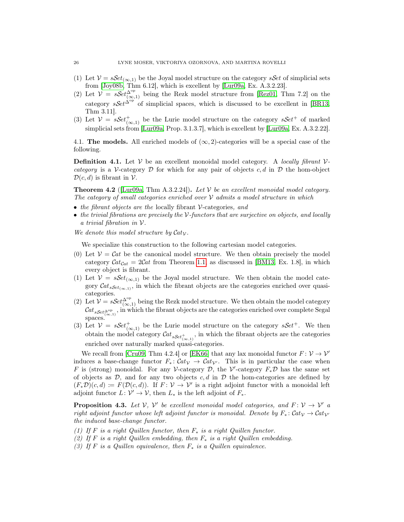- (1) Let  $\mathcal{V} = s\mathcal{S}et_{(\infty,1)}$  be the Joyal model structure on the category s Set of simplicial sets from [\[Joy08b,](#page-61-13) Thm 6.12], which is excellent by [\[Lur09a,](#page-61-8) Ex. A.3.2.23].
- (2) Let  $\mathcal{V} = sSet_{(\infty,1)}^{\Delta^{\text{op}}}$  being the Rezk model structure from [\[Rez01,](#page-62-6) Thm 7.2] on the category  $sSet^{\Delta^{op}}$  of simplicial spaces, which is discussed to be excellent in [\[BR13,](#page-60-4) Thm 3.11].
- (3) Let  $V = sSet_{(\infty,1)}^+$  be the Lurie model structure on the category  $sSet^+$  of marked simplicial sets from [\[Lur09a,](#page-61-8) Prop. 3.1.3.7], which is excellent by [\[Lur09a,](#page-61-8) Ex. A.3.2.22].

4.1. The models. All enriched models of  $(\infty, 2)$ -categories will be a special case of the following.

**Definition 4.1.** Let  $V$  be an excellent monoidal model category. A locally fibrant  $V$ category is a V-category  $\mathcal D$  for which for any pair of objects c, d in  $\mathcal D$  the hom-object  $\mathcal{D}(c, d)$  is fibrant in  $\mathcal{V}$ .

<span id="page-27-0"></span>**Theorem 4.2** ([\[Lur09a,](#page-61-8) Thm A.3.2.24]). Let  $V$  be an excellent monoidal model category. The category of small categories enriched over  $V$  admits a model structure in which

- the fibrant objects are the locally fibrant  $\mathcal V$ -categories, and
- the trivial fibrations are precisely the  $\mathcal V$ -functors that are surjective on objects, and locally a trivial fibration in V.

We denote this model structure by  $Cat_{\mathcal{V}}$ .

We specialize this construction to the following cartesian model categories.

- (0) Let  $V = \mathcal{C}at$  be the canonical model structure. We then obtain precisely the model category  $\mathcal{C}at_{Cat} = 2\mathcal{C}at$  from Theorem [1.1,](#page-6-3) as discussed in [\[BM13,](#page-60-20) Ex. 1.8], in which every object is fibrant.
- (1) Let  $V = sSet_{(\infty,1)}$  be the Joyal model structure. We then obtain the model category  $\mathcal{C}at_{sSet_{(\infty,1)}},$  in which the fibrant objects are the categories enriched over quasicategories.
- (2) Let  $\mathcal{V} = s\mathcal{S}et_{(\infty,1)}^{\Delta^{op}}$  being the Rezk model structure. We then obtain the model category  $\mathcal{C}at_{sSet_{(\infty,1)}^{\mathrm{op}}}$ , in which the fibrant objects are the categories enriched over complete Segal spaces.
- (3) Let  $V = sSet_{(\infty,1)}^+$  be the Lurie model structure on the category  $sSet^+$ . We then obtain the model category  $\mathcal{C}at_{sSet_{(\infty,1)}^+}$ , in which the fibrant objects are the categories enriched over naturally marked quasi-categories.

We recall from [\[Cru09,](#page-60-21) Thm 4.2.4] or [\[EK66\]](#page-60-22) that any lax monoidal functor  $F: V \to V'$ induces a base-change functor  $F_* : Cat_{\mathcal{V}} \to Cat_{\mathcal{V}}$ . This is in particular the case when F is (strong) monoidal. For any V-category  $\mathcal{D}$ , the V'-category  $F_*\mathcal{D}$  has the same set of objects as  $\mathcal{D}$ , and for any two objects c, d in  $\mathcal{D}$  the hom-categories are defined by  $(F_*\mathcal{D})(c,d) \coloneqq F(\mathcal{D}(c,d))$ . If  $F: \mathcal{V} \to \mathcal{V}'$  is a right adjoint functor with a monoidal left adjoint functor  $L: \mathcal{V}' \to \mathcal{V}$ , then  $L_*$  is the left adjoint of  $F_*$ .

<span id="page-27-1"></span>**Proposition 4.3.** Let  $V$ ,  $V'$  be excellent monoidal model categories, and  $F: V \to V'$  a right adjoint functor whose left adjoint functor is monoidal. Denote by  $F_*: \mathcal{C}at_{\mathcal{V}} \to \mathcal{C}at_{\mathcal{V}}$ the induced base-change functor.

- (1) If F is a right Quillen functor, then  $F_*$  is a right Quillen functor.
- (2) If F is a right Quillen embedding, then  $F_*$  is a right Quillen embedding.
- (3) If F is a Quillen equivalence, then  $F_*$  is a Quillen equivalence.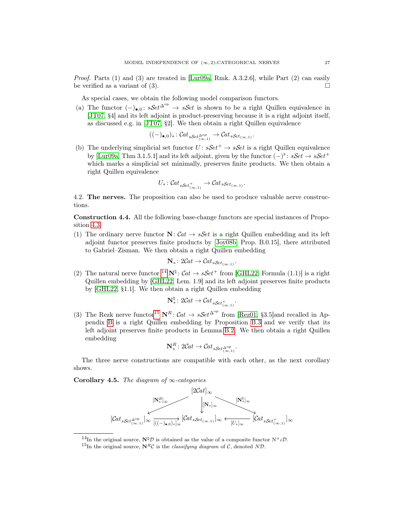*Proof.* Parts (1) and (3) are treated in [\[Lur09a,](#page-61-8) Rmk. A.3.2.6], while Part (2) can easily be verified as a variant of (3).  $\Box$ 

As special cases, we obtain the following model comparison functors.

(a) The functor  $(-)_{\bullet,0}$ :  $sSet^{\Delta^{op}} \to sSet$  is shown to be a right Quillen equivalence in [\[JT07,](#page-61-25) §4] and its left adjoint is product-preserving because it is a right adjoint itself, as discussed e.g. in [\[JT07,](#page-61-25) §2]. We then obtain a right Quillen equivalence

$$
((-)_{\bullet,0})_*\colon \mathcal{C}at_{sSet_{(\infty,1)}^{\mathrm{op}}}\to \mathcal{C}at_{sSet_{(\infty,1)}}.
$$

(b) The underlying simplicial set functor  $U : sSet^{+} \rightarrow sSet$  is a right Quillen equivalence by [\[Lur09a,](#page-61-8) Thm 3.1.5.1] and its left adjoint, given by the functor  $(-)^{\flat}$ :  $sSet \rightarrow sSet^{+}$ which marks a simplicial set minimally, preserves finite products. We then obtain a right Quillen equivalence

$$
U_*: \mathcal{C}at_{sSet_{(\infty,1)}^+} \to \mathcal{C}at_{sSet_{(\infty,1)}}.
$$

4.2. The nerves. The proposition can also be used to produce valuable nerve constructions.

<span id="page-28-0"></span>Construction 4.4. All the following base-change functors are special instances of Proposition [4.3.](#page-27-1)

(1) The ordinary nerve functor  $N: Cat \rightarrow sSet$  is a right Quillen embedding and its left adjoint functor preserves finite products by [\[Joy08b,](#page-61-13) Prop. B.0.15], there attributed to Gabriel–Zisman. We then obtain a right Quillen embedding

$$
\mathbf{N}_{*}: 2\mathcal{C}at \to \mathcal{C}at_{s\mathcal{S}et_{(\infty,1)}}.
$$

(2) The natural nerve functor <sup>[14](#page-28-2)</sup>  $N^{\natural}$ :  $Cat \rightarrow sSet^{+}$  from [\[GHL22,](#page-60-6) Formula (1.1)] is a right Quillen embedding by [\[GHL22,](#page-60-6) Lem. 1.9] and its left adjoint preserves finite products by [\[GHL22,](#page-60-6) §1.1]. We then obtain a right Quillen embedding

$$
\mathbf{N}_{*}^{\natural}: 2\mathcal{C}at \to \mathcal{C}at_{s\mathcal{S}et_{(\infty,1)}^+}.
$$

(3) The Rezk nerve functor<sup>[15](#page-28-3)</sup>  $\mathbf{N}^R$ :  $\mathcal{C}at \to s\mathcal{S}et^{\Delta^{op}}$  from [\[Rez01,](#page-62-6) §3.5]and recalled in Appendix [B](#page-50-0) is a right Quillen embedding by Proposition [B.3](#page-51-0) and we verify that its left adjoint preserves finite products in Lemma [B.2.](#page-50-1) We then obtain a right Quillen embedding

$$
\mathbf{N}_{*}^{R} \colon 2\mathcal{C}at \to \mathcal{C}at_{s\mathcal{S}et_{(\infty,1)}^{\Delta^{op}}}.
$$

The three nerve constructions are compatible with each other, as the next corollary shows.

<span id="page-28-1"></span>Corollary 4.5. The diagram of  $\infty$ -categories



<span id="page-28-2"></span><sup>&</sup>lt;sup>14</sup>In the original source,  $N^{\dagger}D$  is obtained as the value of a composite functor  $N^{\dagger} \iota \mathcal{D}$ .

<span id="page-28-3"></span><sup>&</sup>lt;sup>15</sup>In the original source,  $N^R\mathcal{C}$  is the *classifying diagram* of  $\mathcal{C}$ , denoted ND.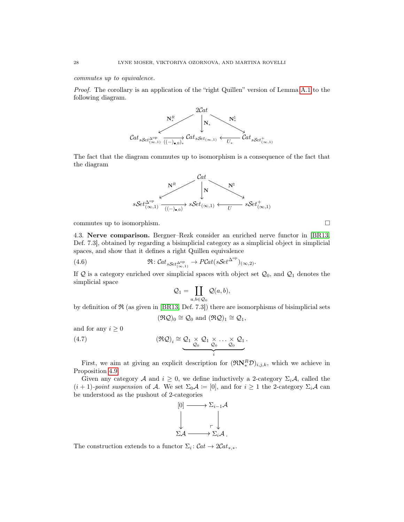commutes up to equivalence.

Proof. The corollary is an application of the "right Quillen" version of Lemma [A.1](#page-49-1) to the following diagram.



The fact that the diagram commutes up to isomorphism is a consequence of the fact that the diagram



commutes up to isomorphism.  $\Box$ 

4.3. Nerve comparison. Bergner–Rezk consider an enriched nerve functor in [\[BR13,](#page-60-4) Def. 7.3], obtained by regarding a bisimplicial category as a simplicial object in simplicial spaces, and show that it defines a right Quillen equivalence

(4.6) 
$$
\mathfrak{R} : \mathcal{C}at_{sSet_{(\infty,1)}^{\mathrm{op}}} \to P\mathcal{C}at(sSet_{(\infty,2)}^{\mathrm{op}})_{(\infty,2)}.
$$

If Q is a category enriched over simplicial spaces with object set  $\mathcal{Q}_0$ , and  $\mathcal{Q}_1$  denotes the simplicial space

<span id="page-29-2"></span><span id="page-29-0"></span>
$$
\mathcal{Q}_1 = \coprod_{a,b \in \mathcal{Q}_0} \mathcal{Q}(a,b),
$$

by definition of  $\Re$  (as given in [\[BR13,](#page-60-4) Def. 7.3]) there are isomorphisms of bisimplicial sets  $(\Re \mathcal{Q})_0 \cong \mathcal{Q}_0$  and  $(\Re \mathcal{Q})_1 \cong \mathcal{Q}_1$ ,

and for any  $i \geq 0$ 

(4.7) 
$$
(\mathfrak{RQ})_i \cong \underbrace{Q_1 \times Q_1 \times \ldots \times Q_1}_{i}.
$$

First, we aim at giving an explicit description for  $(\Re N_*^R \mathcal{D})_{i,j,k}$ , which we achieve in Proposition [4.9.](#page-31-0)

Given any category A and  $i \geq 0$ , we define inductively a 2-category  $\Sigma_i \mathcal{A}$ , called the  $(i+1)$ -point suspension of A. We set  $\Sigma_0 A := [0]$ , and for  $i \geq 1$  the 2-category  $\Sigma_i A$  can be understood as the pushout of 2-categories



<span id="page-29-1"></span>The construction extends to a functor  $\Sigma_i$ :  $\mathcal{C}at \to 2\mathcal{C}at_{*,*}.$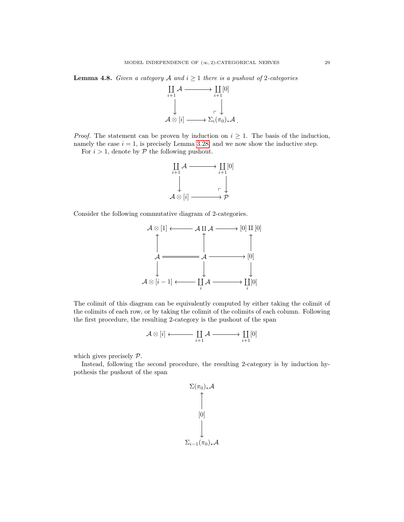**Lemma 4.8.** Given a category A and  $i \geq 1$  there is a pushout of 2-categories



*Proof.* The statement can be proven by induction on  $i \geq 1$ . The basis of the induction, namely the case  $i = 1$ , is precisely Lemma [3.28,](#page-24-0) and we now show the inductive step.

For  $i > 1$ , denote by  $P$  the following pushout.



Consider the following commutative diagram of 2-categories.



The colimit of this diagram can be equivalently computed by either taking the colimit of the colimits of each row, or by taking the colimit of the colimits of each column. Following the first procedure, the resulting 2-category is the pushout of the span

$$
\mathcal{A} \otimes [i] \longleftarrow \coprod_{i+1} \mathcal{A} \xrightarrow{\hspace*{1.5cm}} \coprod_{i+1} [0]
$$

which gives precisely  $P$ .

Instead, following the second procedure, the resulting 2-category is by induction hypothesis the pushout of the span

$$
\Sigma(\pi_0)_*\mathcal{A}
$$
\n
$$
\uparrow
$$
\n
$$
[0]
$$
\n
$$
\downarrow
$$
\n
$$
\Sigma_{i-1}(\pi_0)_*\mathcal{A}
$$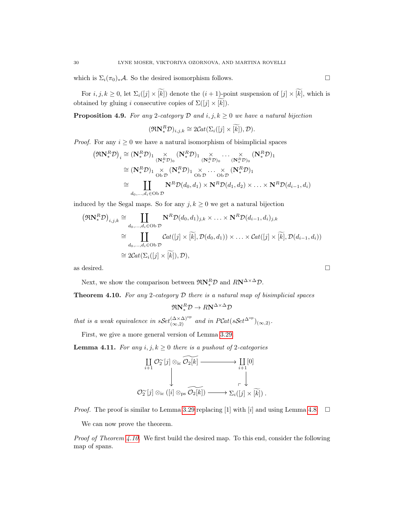which is  $\Sigma_i(\pi_0)_*\mathcal{A}$ . So the desired isomorphism follows. □

For  $i, j, k \geq 0$ , let  $\Sigma_i([j] \times \widetilde{k})$  denote the  $(i + 1)$ -point suspension of  $[j] \times \widetilde{k}]$ , which is obtained by gluing i consecutive copies of  $\Sigma([j] \times [k])$ .

<span id="page-31-0"></span>**Proposition 4.9.** For any 2-category  $D$  and  $i, j, k \ge 0$  we have a natural bijection

$$
(\Re \mathbf{N}_*^R \mathcal{D})_{i,j,k} \cong 2Cat(\Sigma_i([j] \times \widetilde{[k]}), \mathcal{D}).
$$

*Proof.* For any  $i \geq 0$  we have a natural isomorphism of bisimplicial spaces

$$
(\mathfrak{R} \mathbf{N}_{*}^{R} \mathcal{D})_{i} \cong (\mathbf{N}_{*}^{R} \mathcal{D})_{1} \underset{(\mathbf{N}_{*}^{R} \mathcal{D})_{0}}{\times} (\mathbf{N}_{*}^{R} \mathcal{D})_{1} \underset{(\mathbf{N}_{*}^{R} \mathcal{D})_{0}}{\times} \dots \underset{(\mathbf{N}_{*}^{R} \mathcal{D})_{1}}{\times} (\mathbf{N}_{*}^{R} \mathcal{D})_{1}
$$
  
\n
$$
\cong (\mathbf{N}_{*}^{R} \mathcal{D})_{1} \underset{(\mathbf{S} \mathcal{D})_{0}}{\times} (\mathbf{N}_{*}^{R} \mathcal{D})_{1} \underset{(\mathbf{S} \mathcal{D})_{0}}{\times} \dots \underset{(\mathbf{S} \mathcal{D})_{0}}{\times} (\mathbf{N}_{*}^{R} \mathcal{D})_{1}
$$
  
\n
$$
\cong \prod_{d_{0}, \dots, d_{i} \in \mathrm{Ob} \mathcal{D}} \mathbf{N}^{R} \mathcal{D}(d_{0}, d_{1}) \times \mathbf{N}^{R} \mathcal{D}(d_{1}, d_{2}) \times \dots \times \mathbf{N}^{R} \mathcal{D}(d_{i-1}, d_{i})
$$

induced by the Segal maps. So for any  $j, k \geq 0$  we get a natural bijection

$$
(\mathfrak{R} \mathbf{N}_{*}^{R} \mathcal{D})_{i,j,k} \cong \coprod_{d_{0},...,d_{i} \in \text{Ob } \mathcal{D}} \mathbf{N}^{R} \mathcal{D}(d_{0}, d_{1})_{j,k} \times ... \times \mathbf{N}^{R} \mathcal{D}(d_{i-1}, d_{i})_{j,k}
$$
  
\n
$$
\cong \coprod_{d_{0},...,d_{i} \in \text{Ob } \mathcal{D}} \mathcal{C}at([j] \times [\widetilde{k}], \mathcal{D}(d_{0}, d_{1})) \times ... \times \mathcal{C}at([j] \times [\widetilde{k}], \mathcal{D}(d_{i-1}, d_{i}))
$$
  
\n
$$
\cong 2\mathcal{C}at(\Sigma_{i}([j] \times [\widetilde{k}]), \mathcal{D}),
$$

as desired.

Next, we show the comparison between  $\Re N_*^R \mathcal{D}$  and  $R N^{\Delta \times \Delta} \mathcal{D}$ .

<span id="page-31-1"></span>**Theorem 4.10.** For any 2-category  $D$  there is a natural map of bisimplicial spaces

$$
\mathfrak{R} \mathbf{N}_*^R \mathcal{D} \to R \mathbf{N}^{\Delta \times \Delta} \mathcal{D}
$$

that is a weak equivalence in  $sSet_{(\infty,2)}^{(\Delta\times\Delta)^{\text{op}}}$  and in  $PCat(sSet^{\Delta^{\text{op}}})_{(\infty,2)}$ .

First, we give a more general version of Lemma [3.29.](#page-24-1)

<span id="page-31-2"></span>**Lemma 4.11.** For any  $i, j, k \geq 0$  there is a pushout of 2-categories

$$
\begin{array}{ccc}\n\coprod_{i+1} \mathcal{O}_{2}^{\sim}[j] \otimes_{\text{ic}} \widetilde{\mathcal{O}_{2}[k]} & \longrightarrow & \coprod_{i+1} [0] \\
\downarrow & & \downarrow & \\
\mathcal{O}_{2}^{\sim}[j] \otimes_{\text{ic}} ([i] \otimes_{\text{ps}} \widetilde{\mathcal{O}_{2}[k]}) & \longrightarrow \sum_{i} ([j] \times [\widetilde{k}]).\n\end{array}
$$

*Proof.* The proof is similar to Lemma [3.29](#page-24-1) replacing [1] with [i] and using Lemma [4.8.](#page-29-1)  $\Box$ 

We can now prove the theorem.

*Proof of Theorem [4.10.](#page-31-1)* We first build the desired map. To this end, consider the following map of spans.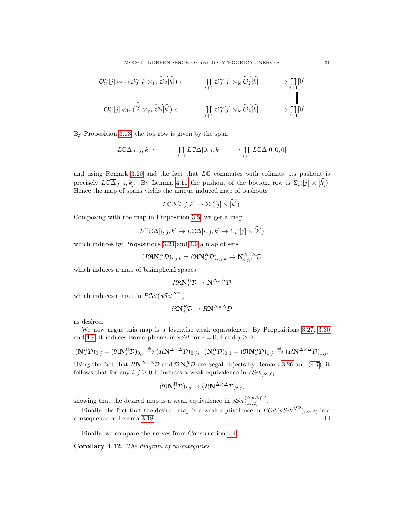$$
\begin{CD} \mathcal{O}_{2}^{\sim}[j]\otimes_{\text{ic}}(\mathcal{O}_{2}^{\sim}[i]\otimes_{\text{ps}}\widetilde{\mathcal{O}_{2}[k]})\longleftarrow&\coprod_{i+1}\mathcal{O}_{2}^{\sim}[j]\otimes_{\text{ic}}\widetilde{\mathcal{O}_{2}[k]}\longrightarrow\coprod_{i+1}[0] \\ &\downarrow &\parallel &\parallel &\\ \mathcal{O}_{2}^{\sim}[j]\otimes_{\text{ic}}([i]\otimes_{\text{ps}}\widetilde{\mathcal{O}_{2}[k]})\longleftarrow&\coprod_{i+1}\mathcal{O}_{2}^{\sim}[j]\otimes_{\text{ic}}\widetilde{\mathcal{O}_{2}[k]}\longrightarrow\coprod_{i+1}[0] \end{CD}
$$

By Proposition [3.13,](#page-17-0) the top row is given by the span

$$
L\mathbb{C}\Delta[i,j,k] \longleftrightarrow \coprod_{i+1} L\mathbb{C}\Delta[0,j,k] \longrightarrow \coprod_{i+1} L\mathbb{C}\Delta[0,0,0]
$$

and using Remark [3.20](#page-21-1) and the fact that  $L\mathbb{C}$  commutes with colimits, its pushout is precisely  $L\mathbb{C}\overline{\Delta}[i, j, k]$ . By Lemma [4.11](#page-31-2) the pushout of the bottom row is  $\Sigma_i([j] \times [k])$ . Hence the map of spans yields the unique induced map of pushouts

$$
L\mathbb{C}\overline{\Delta}[i,j,k] \to \Sigma_i([j] \times [\widetilde{k}]).
$$

Composing with the map in Proposition [3.5,](#page-13-2) we get a map

$$
L^{\infty} \mathbb{C} \overline{\Delta}[i,j,k] \to L \mathbb{C} \overline{\Delta}[i,j,k] \to \Sigma_i([j] \times \widetilde{k})
$$

which induces by Propositions [3.23](#page-21-0) and [4.9](#page-31-0) a map of sets

$$
(I\mathfrak{R} \mathbf{N}_*^R \mathcal{D})_{i,j,k} = (\mathfrak{R} \mathbf{N}_*^R \mathcal{D})_{i,j,k} \to \mathbf{N}_{i,j,k}^{\Delta \times \Delta} \mathcal{D}
$$

which induces a map of bisimplicial spaces

$$
I\mathfrak{R} \mathbf{N}_*^R \mathcal{D} \to \mathbf{N}^{\Delta \times \Delta} \mathcal{D}
$$

which induces a map in  $P\mathcal{C}\text{at}(s\mathcal{S}\text{et}^{\Delta^{\text{op}}})$ 

$$
\mathfrak{R} \mathbf{N}_{*}^{R} \mathcal{D} \to R \mathbf{N}^{\Delta \times \Delta} \mathcal{D}
$$

as desired.

We now argue this map is a levelwise weak equivalence. By Propositions [3.27,](#page-23-0) [3.30](#page-26-1) and [4.9,](#page-31-0) it induces isomorphisms in *sSet* for  $i = 0, 1$  and  $j \ge 0$ 

$$
(\mathbf{N}_*^R\mathcal{D})_{0,j}=(\Re \mathbf{N}_*^R\mathcal{D})_{0,j}\xrightarrow{\cong}(R\mathbf{N}^{\Delta\times \Delta}\mathcal{D})_{0,j},\ \ (\mathbf{N}_*^R\mathcal{D})_{0,1}=(\Re \mathbf{N}_*^R\mathcal{D})_{1,j}\xrightarrow{\cong}(R\mathbf{N}^{\Delta\times \Delta}\mathcal{D})_{1,j}.
$$

Using the fact that  $R\mathbf{N}^{\Delta\times\Delta}\mathcal{D}$  and  $\mathfrak{R}\mathbf{N}_{*}^{R}\mathcal{D}$  are Segal objects by Remark [3.26](#page-23-1) and [\(4.7\)](#page-29-2), it follows that for any  $i, j \geq 0$  it induces a weak equivalence in  $sSet_{(\infty,0)}$ 

$$
(\Re \mathbf{N}_*^R \mathcal{D})_{i,j} \to (R\mathbf{N}^{\Delta \times \Delta} \mathcal{D})_{i,j},
$$

showing that the desired map is a weak equivalence in  $sSet_{(\infty,2)}^{(\Delta \times \Delta)^{\text{op}}}$ .

Finally, the fact that the desired map is a weak equivalence in  $PCat(sSet^{\Delta^{op}})_{(\infty,2)}$  is a consequence of Lemma [3.18.](#page-20-2)  $\Box$ 

Finally, we compare the nerves from Construction [4.4.](#page-28-0)

<span id="page-32-0"></span>Corollary 4.12. The diagram of  $\infty$ -categories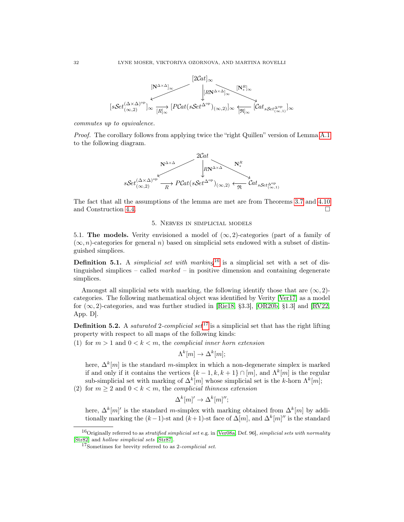

commutes up to equivalence.

Proof. The corollary follows from applying twice the "right Quillen" version of Lemma [A.1](#page-49-1) to the following diagram.



The fact that all the assumptions of the lemma are met are from Theorems [3.7](#page-14-1) and [4.10](#page-31-1) and Construction [4.4.](#page-28-0) □

#### 5. Nerves in simplicial models

<span id="page-33-0"></span>5.1. The models. Verity envisioned a model of  $(\infty, 2)$ -categories (part of a family of  $(\infty, n)$ -categories for general n) based on simplicial sets endowed with a subset of distinguished simplices.

**Definition 5.1.** A *simplicial set with marking*<sup>[16](#page-33-1)</sup> is a simplicial set with a set of distinguished simplices – called  $marked - in positive$  dimension and containing degenerate simplices.

Amongst all simplicial sets with marking, the following identify those that are  $(\infty, 2)$ categories. The following mathematical object was identified by Verity [\[Ver17\]](#page-62-1) as a model for  $(\infty, 2)$ -categories, and was further studied in [\[Rie18,](#page-62-2) §3.3], [\[OR20b,](#page-61-0) §1.3] and [\[RV22,](#page-62-3) App. D].

<span id="page-33-3"></span>**Definition 5.2.** A *saturated* 2-complicial set <sup>[17](#page-33-2)</sup> is a simplicial set that has the right lifting property with respect to all maps of the following kinds:

(1) for  $m > 1$  and  $0 < k < m$ , the *complicial inner horn extension* 

$$
\Lambda^k[m] \to \Delta^k[m];
$$

here,  $\Delta^k[m]$  is the standard m-simplex in which a non-degenerate simplex is marked if and only if it contains the vertices  $\{k-1, k, k+1\} \cap [m]$ , and  $\Lambda^k[m]$  is the regular sub-simplicial set with marking of  $\Delta^k[m]$  whose simplicial set is the k-horn  $\Lambda^k[m]$ ;

(2) for  $m \geq 2$  and  $0 < k < m$ , the complicial thinness extension

$$
\Delta^k[m]'\to \Delta^k[m]'';
$$

here,  $\Delta^k[m]$ ' is the standard m-simplex with marking obtained from  $\Delta^k[m]$  by additionally marking the  $(k-1)$ -st and  $(k+1)$ -st face of  $\Delta[m]$ , and  $\Delta^k[m]''$  is the standard

<span id="page-33-1"></span><sup>&</sup>lt;sup>16</sup>Originally referred to as *stratified simplicial set* e.g. in [\[Ver08a,](#page-62-8) Def. 96], *simplicial sets with normality* [\[Str82\]](#page-62-9) and hollow simplicial sets [\[Str87\]](#page-62-5).

<span id="page-33-2"></span><sup>17</sup>Sometimes for brevity referred to as 2-complicial set.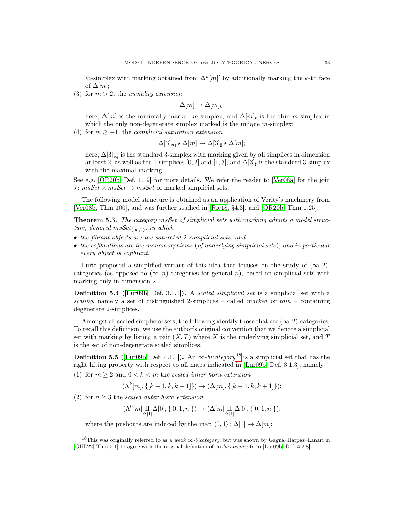m-simplex with marking obtained from  $\Delta^k[m]'$  by additionally marking the k-th face of  $\Delta[m]$ ;

(3) for  $m > 2$ , the *triviality extension* 

$$
\Delta[m] \to \Delta[m]_t;
$$

here,  $\Delta[m]$  is the minimally marked m-simplex, and  $\Delta[m]_t$  is the thin m-simplex in which the only non-degenerate simplex marked is the unique  $m$ -simplex;

(4) for  $m \ge -1$ , the *complicial saturation extension* 

$$
\Delta[3]_{\text{eq}} \star \Delta[m] \to \Delta[3]_{\sharp} \star \Delta[m];
$$

here,  $\Delta[3]_{\text{eq}}$  is the standard 3-simplex with marking given by all simplices in dimension at least 2, as well as the 1-simplices [0, 2] and [1, 3], and  $\Delta[3]_\sharp$  is the standard 3-simplex with the maximal marking.

See e.g. [\[OR20b,](#page-61-0) Def. 1.19] for more details. We refer the reader to [\[Ver08a\]](#page-62-8) for the join  $\star: msSet \times msSet \rightarrow msSet$  of marked simplicial sets.

The following model structure is obtained as an application of Verity's machinery from [\[Ver08b,](#page-62-0) Thm 100], and was further studied in [\[Rie18,](#page-62-2) §4.3], and [\[OR20b,](#page-61-0) Thm 1.25].

<span id="page-34-0"></span>**Theorem 5.3.** The category msSet of simplicial sets with marking admits a model structure, denoted  $msSet_{(\infty,2)}$ , in which

- the fibrant objects are the saturated 2-complicial sets, and
- the cofibrations are the monomorphisms (of underlying simplicial sets), and in particular every object is cofibrant.

Lurie proposed a simplified variant of this idea that focuses on the study of  $(\infty, 2)$ categories (as opposed to  $(\infty, n)$ -categories for general n), based on simplicial sets with marking only in dimension 2.

Definition 5.4 (Lur09b, Def. 3.1.1). A scaled simplicial set is a simplicial set with a scaling, namely a set of distinguished 2-simplices – called marked or thin – containing degenerate 2-simplices.

Amongst all scaled simplicial sets, the following identify those that are  $(\infty, 2)$ -categories. To recall this definition, we use the author's original convention that we denote a simplicial set with marking by listing a pair  $(X, T)$  where X is the underlying simplicial set, and T is the set of non-degenerate scaled simplices.

**Definition 5.5** ([\[Lur09b,](#page-61-1) Def. 4.1.1]). An  $\infty$ -bicategory<sup>[18](#page-34-1)</sup> is a simplicial set that has the right lifting property with respect to all maps indicated in [\[Lur09b,](#page-61-1) Def. 3.1.3], namely (1) for  $m > 2$  and  $0 < k < m$  the scaled inner horn extension

$$
(\Lambda^k[m], \{[k-1, k, k+1]\}) \to (\Delta[m], \{[k-1, k, k+1]\});
$$

(2) for  $n \geq 3$  the scaled outer horn extension

 $(\Lambda^0[m] \underset{\Delta[1]}{\text{II}} \Delta[0], \{[0,1,n]\}) \rightarrow (\Delta[m] \underset{\Delta[1]}{\text{II}} \Delta[0], \{[0,1,n]\}),$ 

where the pushouts are induced by the map  $\langle 0, 1 \rangle : \Delta[1] \to \Delta[m];$ 

<span id="page-34-1"></span><sup>&</sup>lt;sup>18</sup>This was originally referred to as a weak  $\infty$ -bicategory, but was shown by Gagna–Harpaz–Lanari in [\[GHL22,](#page-60-6) Thm 5.1] to agree with the original definition of  $\infty$ -bicategory from [\[Lur09b,](#page-61-1) Def. 4.2.8]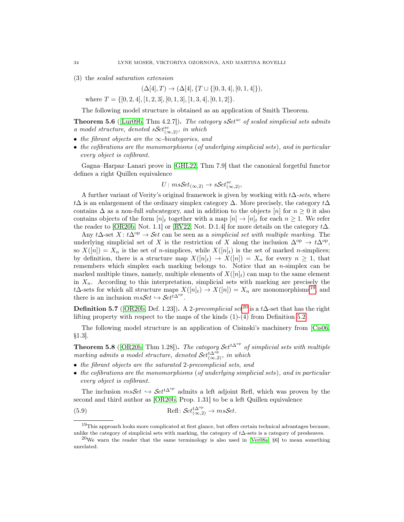(3) the scaled saturation extension

 $(\Delta[4], T) \rightarrow (\Delta[4], \{T \cup \{[0, 3, 4], [0, 1, 4]\}),\$ 

where  $T = \{ [0, 2, 4], [1, 2, 3], [0, 1, 3], [1, 3, 4], [0, 1, 2] \}.$ 

The following model structure is obtained as an application of Smith Theorem.

<span id="page-35-0"></span>**Theorem 5.6** ([\[Lur09b,](#page-61-1) Thm 4.2.7]). The category  $sSet^{sc}$  of scaled simplicial sets admits a model structure, denoted  $sSet_{(\infty,2)}^{sc}$ , in which

- the fibrant objects are the  $\infty$ -bicategories, and
- the cofibrations are the monomorphisms (of underlying simplicial sets), and in particular every object is cofibrant.

Gagna–Harpaz–Lanari prove in [\[GHL22,](#page-60-6) Thm 7.9] that the canonical forgetful functor defines a right Quillen equivalence

$$
U: msSet_{(\infty,2)} \to sSet_{(\infty,2)}^{sc},
$$

A further variant of Verity's original framework is given by working with  $t\Delta\text{-}sets$ , where t∆ is an enlargement of the ordinary simplex category  $\Delta$ . More precisely, the category  $t\Delta$ contains  $\Delta$  as a non-full subcategory, and in addition to the objects [n] for  $n \geq 0$  it also contains objects of the form  $[n]_t$  together with a map  $[n] \to [n]_t$  for each  $n \geq 1$ . We refer the reader to [\[OR20b,](#page-61-0) Not. 1.1] or [\[RV22,](#page-62-3) Not. D.1.4] for more details on the category  $t\Delta$ .

Any t∆-set  $X: t\Delta^{op} \to \mathcal{S}et$  can be seen as a simplicial set with multiple marking. The underlying simplicial set of X is the restriction of X along the inclusion  $\Delta^{op} \to t\Delta^{op}$ , so  $X([n]) = X_n$  is the set of *n*-simplices, while  $X([n]_t)$  is the set of marked *n*-simplices; by definition, there is a structure map  $X([n]_t) \to X([n]) = X_n$  for every  $n \geq 1$ , that remembers which simplex each marking belongs to. Notice that an n-simplex can be marked multiple times, namely, multiple elements of  $X([n]_t)$  can map to the same element in  $X_n$ . According to this interpretation, simplicial sets with marking are precisely the t∆-sets for which all structure maps  $X([n]_t) \to X([n]) = X_n$  are monomorphisms<sup>[19](#page-35-2)</sup>, and there is an inclusion  $ms\mathcal{S}et \hookrightarrow \mathcal{S}et^{\bar{t}\Delta^{\mathrm{op}}}.$ 

**Definition 5.7** ([\[OR20b,](#page-61-0) Def. 1.23]). A 2-*precomplicial set*<sup>[20](#page-35-3)</sup> is a t∆-set that has the right lifting property with respect to the maps of the kinds  $(1)-(4)$  from Definition [5.2.](#page-33-3)

The following model structure is an application of Cisinski's machinery from [\[Cis06,](#page-60-23) §1.3].

<span id="page-35-1"></span>Theorem 5.8 ([\[OR20b,](#page-61-0) Thm 1.28]). The category  $\mathcal{S}et^{t\Delta^{op}}$  of simplicial sets with multiple marking admits a model structure, denoted  $\mathcal{S}et_{(\infty,2)}^{\Delta^{op}}$ , in which

- the fibrant objects are the saturated 2-precomplicial sets, and
- the cofibrations are the monomorphisms (of underlying simplicial sets), and in particular every object is cofibrant.

The inclusion  $msSet \hookrightarrow Set^{t\Delta^{op}}$  admits a left adjoint Refl, which was proven by the second and third author as [\[OR20b,](#page-61-0) Prop. 1.31] to be a left Quillen equivalence

<span id="page-35-4"></span>(5.9) 
$$
\text{Refl}: \mathcal{S}et_{(\infty,2)}^{t\Delta^{\text{op}}} \to ms\mathcal{S}et.
$$

<span id="page-35-2"></span><sup>19</sup>This approach looks more complicated at first glance, but offers certain technical advantages because, unlike the category of simplicial sets with marking, the category of t∆-sets is a category of presheaves.

<span id="page-35-3"></span><sup>&</sup>lt;sup>20</sup>We warn the reader that the same terminology is also used in [\[Ver08a,](#page-62-8)  $\S6$ ] to mean something unrelated.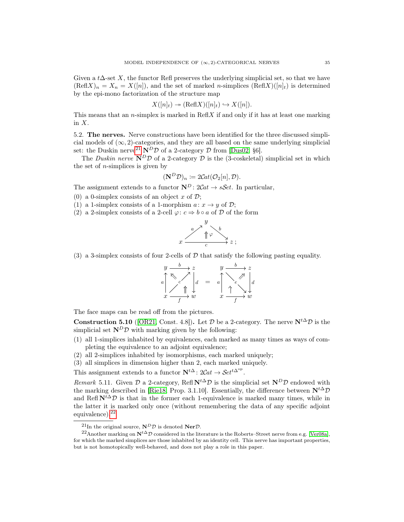Given a t∆-set X, the functor Refl preserves the underlying simplicial set, so that we have  $(\text{Refl} X)_n = X_n = X([n]),$  and the set of marked n-simplices  $(\text{Refl} X)([n]_t)$  is determined by the epi-mono factorization of the structure map

$$
X([n]_t) \to (\text{Refl} X)([n]_t) \hookrightarrow X([n]).
$$

This means that an *n*-simplex is marked in  $\text{Refl}X$  if and only if it has at least one marking in X.

5.2. The nerves. Nerve constructions have been identified for the three discussed simplicial models of  $(\infty, 2)$ -categories, and they are all based on the same underlying simplicial set: the Duskin nerve<sup>[21](#page-36-2)</sup>  $N^D \mathcal{D}$  of a 2-category  $\mathcal D$  from [\[Dus02,](#page-60-9) §6].

The Duskin nerve  $N^D\mathcal{D}$  of a 2-category  $\mathcal D$  is the (3-coskeletal) simplicial set in which the set of  $n$ -simplices is given by

$$
(\mathbf{N}^D \mathcal{D})_n \coloneqq 2\mathcal{C}\mathcal{A}\mathcal{L}(\mathcal{O}_2[n], \mathcal{D}).
$$

The assignment extends to a functor  $\mathbf{N}^D$ :  $2Cat \rightarrow sSet$ . In particular,

(0) a 0-simplex consists of an object x of  $\mathcal{D}$ ;

(1) a 1-simplex consists of a 1-morphism  $a: x \rightarrow y$  of  $\mathcal{D}$ ;

(2) a 2-simplex consists of a 2-cell  $\varphi: c \Rightarrow b \circ a$  of  $D$  of the form



(3) a 3-simplex consists of four 2-cells of  $\mathcal D$  that satisfy the following pasting equality.

$$
\begin{array}{ccc}\ny & b & z & y & b & z \\
a & \searrow & \nearrow & \\
c & \uparrow & \downarrow & \\
x & f & w & x & f\n\end{array}
$$

The face maps can be read off from the pictures.

<span id="page-36-1"></span>**Construction 5.10** ([\[OR21,](#page-61-2) Const. 4.8]). Let  $\mathcal{D}$  be a 2-category. The nerve  $N^{t\Delta}\mathcal{D}$  is the simplicial set  $N^D \mathcal{D}$  with marking given by the following:

- (1) all 1-simplices inhabited by equivalences, each marked as many times as ways of completing the equivalence to an adjoint equivalence;
- (2) all 2-simplices inhabited by isomorphisms, each marked uniquely;
- (3) all simplices in dimension higher than 2, each marked uniquely.

This assignment extends to a functor  $\mathbf{N}^{t\Delta}: 2\mathcal{C}at \to \mathcal{S}et^{t\Delta^{\mathrm{op}}}.$ 

Remark 5.11. Given  $\mathcal D$  a 2-category, Refl  $N^{t\Delta}D$  is the simplicial set  $N^D\mathcal D$  endowed with the marking described in [\[Rie18,](#page-62-2) Prop. 3.1.10]. Essentially, the difference between  $N^{t\Delta}D$ and Refl  $N^{t\Delta}D$  is that in the former each 1-equivalence is marked many times, while in the latter it is marked only once (without remembering the data of any specific adjoint equivalence).<sup>[22](#page-36-3)</sup>

<span id="page-36-3"></span><span id="page-36-2"></span><span id="page-36-0"></span><sup>&</sup>lt;sup>21</sup>In the original source,  $N^D \mathcal{D}$  is denoted Ner $\mathcal{D}$ .

<sup>&</sup>lt;sup>22</sup>Another marking on  $N^{t\Delta}D$  considered in the literature is the Roberts–Street nerve from e.g. [\[Ver08a\]](#page-62-8), for which the marked simplices are those inhabited by an identity cell. This nerve has important properties, but is not homotopically well-behaved, and does not play a role in this paper.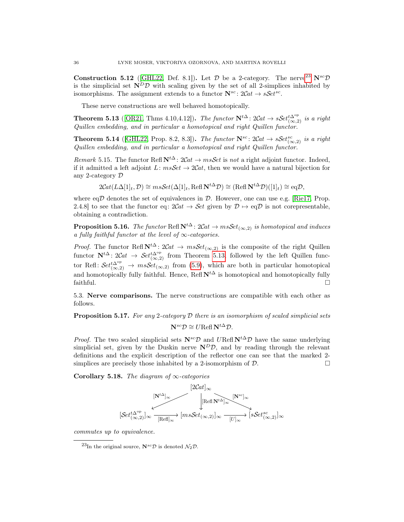**Construction 5.12** ([\[GHL22,](#page-60-6) Def. 8.1]). Let  $\mathcal{D}$  be a 2-category. The nerve<sup>[23](#page-37-3)</sup> N<sup>sc</sup> $\mathcal{D}$ is the simplicial set  $N^D\mathcal{D}$  with scaling given by the set of all 2-simplices inhabited by isomorphisms. The assignment extends to a functor  $\mathbf{N}^{sc}$ :  $2Cat \rightarrow sSet^{sc}$ .

These nerve constructions are well behaved homotopically.

<span id="page-37-1"></span>**Theorem 5.13** ([\[OR21,](#page-61-2) Thms 4.10,4.12]). The functor  $N^{t\Delta}$ :  $2Cat \rightarrow sSet_{(\infty,2)}^{t\Delta^{op}}$  is a right Quillen embedding, and in particular a homotopical and right Quillen functor.

<span id="page-37-0"></span>**Theorem 5.14** ([\[GHL22,](#page-60-6) Prop. 8.2, 8.3]). The functor  $\mathbf{N}^{sc}$ :  $2Cat \rightarrow sSet_{(\infty,2)}^{sc}$  is a right Quillen embedding, and in particular a homotopical and right Quillen functor.

Remark 5.15. The functor Refl  $N^{t\Delta}$ :  $2Cat \rightarrow msSet$  is not a right adjoint functor. Indeed, if it admitted a left adjoint L:  $msSet \rightarrow 2Cat$ , then we would have a natural bijection for any 2-category D

$$
2\mathcal{C}\!at(L\Delta[1]_t,\mathcal{D})\cong m\mathfrak{s}\mathcal{S}\!et(\Delta[1]_t,\mathrm{Refl}\,\mathbf{N}^{t\Delta}\mathcal{D})\cong(\mathrm{Refl}\,\mathbf{N}^{t\Delta}\mathcal{D})([1]_t)\cong\mathrm{eq}\mathcal{D},
$$

where eq $D$  denotes the set of equivalences in  $D$ . However, one can use e.g. [\[Rie17,](#page-62-10) Prop. 2.4.8] to see that the functor eq:  $2Cat \rightarrow Set$  given by  $\mathcal{D} \mapsto eq\mathcal{D}$  is not corepresentable, obtaining a contradiction.

<span id="page-37-4"></span>**Proposition 5.16.** The functor Refl  $N^{t\Delta}$ :  $2Cat \rightarrow msSet_{(\infty,2)}$  is homotopical and induces a fully faithful functor at the level of  $\infty$ -categories.

*Proof.* The functor Refl  $N^{t\Delta}$ :  $2Cat \rightarrow msSet_{(\infty,2)}$  is the composite of the right Quillen functor  $N^{t\Delta}$ : 2Cat  $\rightarrow$  Set<sup>t $\Delta^{\text{op}}$ </sup> from Theorem [5.13,](#page-37-1) followed by the left Quillen functor Refl:  $Set_{(\infty,2)}^{t\Delta^{\text{op}}} \to m\text{ss}Set_{(\infty,2)}$  from [\(5.9\)](#page-35-4), which are both in particular homotopical and homotopically fully faithful. Hence, Refl  $N^{t\Delta}$  is homotopical and homotopically fully faithful.  $\Box$ 

5.3. Nerve comparisons. The nerve constructions are compatible with each other as follows.

<span id="page-37-5"></span>**Proposition 5.17.** For any 2-category  $D$  there is an isomorphism of scaled simplicial sets

 $\mathbf{N}^{sc}\mathcal{D} \cong U\text{Refl }\mathbf{N}^{t\Delta}\mathcal{D}.$ 

*Proof.* The two scaled simplicial sets  $N^{sc}\mathcal{D}$  and  $U\text{Refl } N^{t\Delta}\mathcal{D}$  have the same underlying simplicial set, given by the Duskin nerve  $N^D\mathcal{D}$ , and by reading through the relevant definitions and the explicit description of the reflector one can see that the marked 2 simplices are precisely those inhabited by a 2-isomorphism of  $\mathcal{D}$ .

<span id="page-37-2"></span>Corollary 5.18. The diagram of  $\infty$ -categories



commutes up to equivalence.

<span id="page-37-3"></span><sup>&</sup>lt;sup>23</sup>In the original source,  $N^{sc}\mathcal{D}$  is denoted  $\mathcal{N}_2\mathcal{D}$ .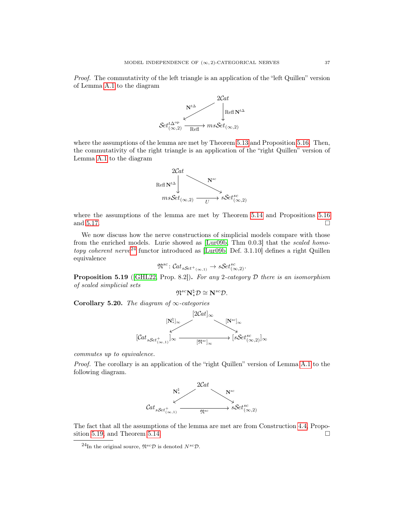Proof. The commutativity of the left triangle is an application of the "left Quillen" version of Lemma [A.1](#page-49-1) to the diagram



where the assumptions of the lemma are met by Theorem [5.13](#page-37-1) and Proposition [5.16.](#page-37-4) Then, the commutativity of the right triangle is an application of the "right Quillen" version of Lemma [A.1](#page-49-1) to the diagram



where the assumptions of the lemma are met by Theorem [5.14](#page-37-0) and Propositions [5.16](#page-37-4) and [5.17.](#page-37-5)  $\Box$ 

We now discuss how the nerve constructions of simplicial models compare with those from the enriched models. Lurie showed as [\[Lur09b,](#page-61-1) Thm 0.0.3] that the scaled homo-topy coherent nerve<sup>[24](#page-38-1)</sup> functor introduced as  $[Lur09b, Def. 3.1.10]$  $[Lur09b, Def. 3.1.10]$  defines a right Quillen equivalence

$$
\mathfrak{N}^{sc} : \mathcal{C}at_{sSet^+(\infty,1)} \to sSet^{sc}_{(\infty,2)}.
$$

<span id="page-38-2"></span>**Proposition 5.19** ([\[GHL22,](#page-60-6) Prop. 8.2]). For any 2-category  $D$  there is an isomorphism of scaled simplicial sets

$$
\mathfrak{N}^{sc} \mathbf{N}_{*}^{\natural} \mathcal{D} \cong \mathbf{N}^{sc} \mathcal{D}.
$$

<span id="page-38-0"></span>Corollary 5.20. The diagram of  $\infty$ -categories



commutes up to equivalence.

Proof. The corollary is an application of the "right Quillen" version of Lemma [A.1](#page-49-1) to the following diagram.



The fact that all the assumptions of the lemma are met are from Construction [4.4,](#page-28-0) Propo-sition [5.19,](#page-38-2) and Theorem [5.14.](#page-37-0)  $\Box$ 

<span id="page-38-1"></span><sup>&</sup>lt;sup>24</sup>In the original source,  $\mathfrak{N}^{sc} \mathcal{D}$  is denoted  $N^{sc} \mathcal{D}$ .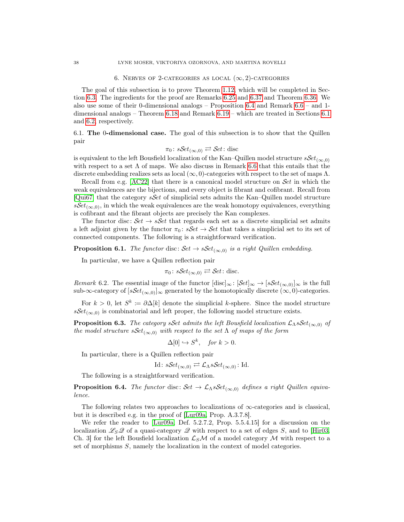#### 6. NERVES OF 2-CATEGORIES AS LOCAL  $(\infty, 2)$ -CATEGORIES

<span id="page-39-0"></span>The goal of this subsection is to prove Theorem [1.12,](#page-9-0) which will be completed in Section [6.3.](#page-44-2) The ingredients for the proof are Remarks [6.25](#page-44-0) and [6.37](#page-48-0) and Theorem [6.36.](#page-47-0) We also use some of their 0-dimensional analogs – Proposition [6.4](#page-39-1) and Remark [6.6](#page-40-0) – and 1 dimensional analogs – Theorem [6.18](#page-42-0) and Remark [6.19](#page-43-0) – which are treated in Sections [6.1](#page-39-2) and [6.2,](#page-40-1) respectively.

<span id="page-39-2"></span>6.1. The 0-dimensional case. The goal of this subsection is to show that the Quillen pair

$$
\pi_0 \colon s\mathcal{S}et_{(\infty,0)} \rightleftarrows \mathcal{S}et \colon \text{disc}
$$

is equivalent to the left Bousfield localization of the Kan–Quillen model structure  $sSet_{(\infty,0)}$ with respect to a set  $\Lambda$  of maps. We also discuss in Remark [6.6](#page-40-0) that this entails that the discrete embedding realizes sets as local  $(\infty, 0)$ -categories with respect to the set of maps  $\Lambda$ .

Recall from e.g.  $[AC22]$  that there is a canonical model structure on Set in which the weak equivalences are the bijections, and every object is fibrant and cofibrant. Recall from [\[Qui67\]](#page-61-26) that the category  $sSet$  of simplicial sets admits the Kan–Quillen model structure  $sSet_{(\infty,0)}$ , in which the weak equivalences are the weak homotopy equivalences, everything is cofibrant and the fibrant objects are precisely the Kan complexes.

The functor disc:  $Set \rightarrow sSet$  that regards each set as a discrete simplicial set admits a left adjoint given by the functor  $\pi_0 : sSet \rightarrow Set$  that takes a simplicial set to its set of connected components. The following is a straightforward verification.

**Proposition 6.1.** The functor disc:  $\mathcal{S}et \rightarrow s\mathcal{S}et_{(\infty,0)}$  is a right Quillen embedding.

In particular, we have a Quillen reflection pair

$$
\pi_0 \colon s\mathcal{S}et_{(\infty,0)} \rightleftarrows \mathcal{S}et \colon \text{disc.}
$$

Remark 6.2. The essential image of the functor  $[\text{disc}]_{\infty}$ :  $[\mathcal{S}et]_{\infty} \to [\mathcal{S}et_{(\infty,0)}]_{\infty}$  is the full sub-∞-category of  $[sSet_{(\infty,0)}]_{\infty}$  generated by the homotopically discrete  $(\infty,0)$ -categories.

For  $k > 0$ , let  $S^k := \partial \Delta[k]$  denote the simplicial k-sphere. Since the model structure  $sSet_{(\infty,0)}$  is combinatorial and left proper, the following model structure exists.

**Proposition 6.3.** The category sSet admits the left Bousfield localization  $\mathcal{L}_{\Lambda} sSet_{(\infty,0)}$  of the model structure  $sSet_{(\infty,0)}$  with respect to the set  $\Lambda$  of maps of the form

$$
\Delta[0] \hookrightarrow S^k, \quad \text{for } k > 0.
$$

In particular, there is a Quillen reflection pair

Id: 
$$
sSet_{(\infty,0)} \rightleftarrows \mathcal{L}_{\Lambda} sSet_{(\infty,0)}
$$
: Id.

The following is a straightforward verification.

<span id="page-39-1"></span>**Proposition 6.4.** The functor disc:  $\mathcal{S}et \to \mathcal{L}_{\Lambda} s\mathcal{S}et_{(\infty,0)}$  defines a right Quillen equivalence.

The following relates two approaches to localizations of  $\infty$ -categories and is classical, but it is described e.g. in the proof of [\[Lur09a,](#page-61-8) Prop. A.3.7.8].

<span id="page-39-3"></span>We refer the reader to [\[Lur09a,](#page-61-8) Def. 5.2.7.2, Prop. 5.5.4.15] for a discussion on the localization  $\mathscr{L}_S\mathscr{Q}$  of a quasi-category  $\mathscr{Q}$  with respect to a set of edges S, and to [\[Hir03,](#page-61-7) Ch. 3 for the left Bousfield localization  $\mathcal{L}_S\mathcal{M}$  of a model category M with respect to a set of morphisms S, namely the localization in the context of model categories.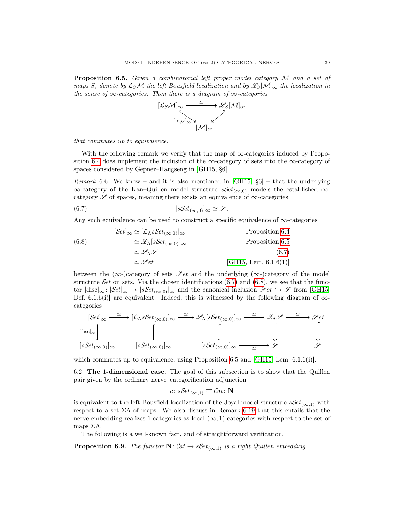Proposition 6.5. Given a combinatorial left proper model category M and a set of maps S, denote by  $\mathcal{L}_S\mathcal{M}$  the left Bousfield localization and by  $\mathcal{L}_S[\mathcal{M}]_\infty$  the localization in the sense of  $\infty$ -categories. Then there is a diagram of  $\infty$ -categories



that commutes up to equivalence.

With the following remark we verify that the map of  $\infty$ -categories induced by Propo-sition [6.4](#page-39-1) does implement the inclusion of the  $\infty$ -category of sets into the  $\infty$ -category of spaces considered by Gepner–Haugseng in [\[GH15,](#page-60-12) §6].

<span id="page-40-0"></span>*Remark* 6.6. We know – and it is also mentioned in [\[GH15,](#page-60-12)  $\S6$ ] – that the underlying  $\infty$ -category of the Kan–Quillen model structure  $sSet_{(\infty,0)}$  models the established  $\infty$ category  $\mathscr S$  of spaces, meaning there exists an equivalence of  $\infty$ -categories

<span id="page-40-2"></span>
$$
(6.7) \t\t\t [sSet_{(\infty,0)}]_\infty \simeq \mathscr{S}.
$$

Any such equivalence can be used to construct a specific equivalence of  $\infty$ -categories

<span id="page-40-3"></span>(6.8) 
$$
[\mathcal{S}et]_{\infty} \simeq [\mathcal{L}_{\Lambda} s \mathcal{S}et_{(\infty,0)}]_{\infty}
$$
 Proposition 6.4  
Proposition 6.5  

$$
\simeq \mathscr{L}_{\Lambda} \mathscr{S}
$$
Proposition 6.5  

$$
\simeq \mathscr{L}_{\Lambda} \mathscr{S}
$$
(6.7)  

$$
\simeq \mathscr{S}et
$$
 [GH15, Lem. 6.1.6(1)]

between the ( $\infty$ -)category of sets  $\mathscr{S}et$  and the underlying ( $\infty$ -)category of the model structure Set on sets. Via the chosen identifications  $(6.7)$  and  $(6.8)$ , we see that the functor  $[\text{disc}]_{\infty} : [\mathcal{S}et]_{\infty} \to [s\mathcal{S}et_{(\infty,0)}]_{\infty}$  and the canonical inclusion  $\mathscr{S}et \to \mathscr{S}$  from [\[GH15,](#page-60-12) Def. 6.1.6(i)] are equivalent. Indeed, this is witnessed by the following diagram of  $\infty$ categories

$$
[\mathcal{S}et]_{\infty} \xrightarrow{\simeq} [\mathcal{L}_{\Lambda} s \mathcal{S}et_{(\infty,0)}]_{\infty} \xrightarrow{\simeq} \mathcal{L}_{\Lambda} [s \mathcal{S}et_{(\infty,0)}]_{\infty} \xrightarrow{\simeq} \mathcal{L}_{\Lambda} \mathcal{S} \xrightarrow{\simeq} \mathcal{S}et
$$
  

$$
[s \mathcal{S}et_{(\infty,0)}]_{\infty} \xrightarrow{\simeq} [s \mathcal{S}et_{(\infty,0)}]_{\infty} \xrightarrow{\simeq} [s \mathcal{S}et_{(\infty,0)}]_{\infty} \xrightarrow{\simeq} \mathcal{S} \xrightarrow{\simeq} \mathcal{S}
$$

which commutes up to equivalence, using Proposition [6.5](#page-39-3) and  $|GH15$ , Lem. 6.1.6(i).

<span id="page-40-1"></span>6.2. The 1-dimensional case. The goal of this subsection is to show that the Quillen pair given by the ordinary nerve–categorification adjunction

$$
c: \mathcal{S}et_{(\infty,1)} \rightleftarrows \mathcal{C}at: \mathbf{N}
$$

is equivalent to the left Bousfield localization of the Joyal model structure  $sSet_{(\infty,1)}$  with respect to a set  $\Sigma\Lambda$  of maps. We also discuss in Remark [6.19](#page-43-0) that this entails that the nerve embedding realizes 1-categories as local  $(\infty, 1)$ -categories with respect to the set of maps  $ΣΛ$ .

The following is a well-known fact, and of straightforward verification.

<span id="page-40-4"></span>**Proposition 6.9.** The functor  $N: Cat \rightarrow sSet_{(\infty,1)}$  is a right Quillen embedding.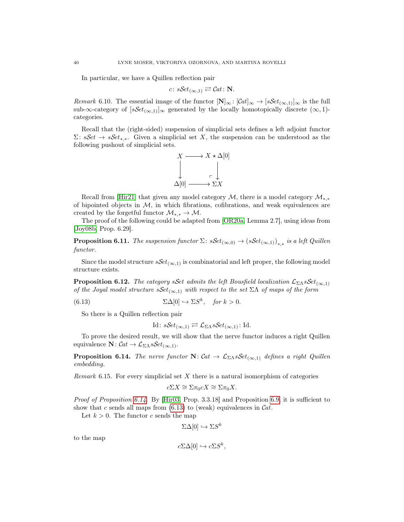In particular, we have a Quillen reflection pair

$$
c: sSet_{(\infty,1)} \rightleftarrows Cat: \mathbf{N}.
$$

Remark 6.10. The essential image of the functor  $[\mathbf{N}]_{\infty} : [\mathcal{C}at]_{\infty} \to [s\mathcal{S}et_{(\infty,1)}]_{\infty}$  is the full sub-∞-category of  $[sSet_{(\infty,1)}]_{\infty}$  generated by the locally homotopically discrete  $(\infty,1)$ categories.

Recall that the (right-sided) suspension of simplicial sets defines a left adjoint functor  $\Sigma: \mathcal{S}et \to \mathcal{S}et_{*,*}.$  Given a simplicial set X, the suspension can be understood as the following pushout of simplicial sets.



Recall from [\[Hir21\]](#page-61-27) that given any model category  $\mathcal{M}$ , there is a model category  $\mathcal{M}_{**}$ of bipointed objects in  $M$ , in which fibrations, cofibrations, and weak equivalences are created by the forgetful functor  $\mathcal{M}_{*,*} \to \mathcal{M}$ .

The proof of the following could be adapted from [\[OR20a,](#page-61-28) Lemma 2.7], using ideas from [\[Joy08b,](#page-61-13) Prop. 6.29].

<span id="page-41-3"></span>**Proposition 6.11.** The suspension functor  $\Sigma$ :  $sSet_{(\infty,0)} \rightarrow (sSet_{(\infty,1)})_{*,*}$  is a left Quillen functor.

Since the model structure  $sSet_{(\infty,1)}$  is combinatorial and left proper, the following model structure exists.

**Proposition 6.12.** The category sSet admits the left Bousfield localization  $\mathcal{L}_{\Sigma\Lambda} sSet_{(\infty,1)}$ of the Joyal model structure  $sSet_{(\infty,1)}$  with respect to the set  $\Sigma\Lambda$  of maps of the form

(6.13) 
$$
\Sigma \Delta[0] \hookrightarrow \Sigma S^k, \quad \text{for } k > 0.
$$

So there is a Quillen reflection pair

<span id="page-41-1"></span>Id: 
$$
sSet_{(\infty,1)} \rightleftarrows \mathcal{L}_{\Sigma\Lambda} sSet_{(\infty,1)}
$$
: Id.

To prove the desired result, we will show that the nerve functor induces a right Quillen equivalence  $\mathbf{N}: \mathcal{C}at \to \mathcal{L}_{\Sigma\Lambda} s\mathcal{S}et_{(\infty,1)}.$ 

<span id="page-41-0"></span>**Proposition 6.14.** The nerve functor  $N: Cat \rightarrow \mathcal{L}_{\Sigma\Lambda} sSet_{(\infty,1)}$  defines a right Quillen embedding.

<span id="page-41-2"></span>*Remark* 6.15. For every simplicial set  $X$  there is a natural isomorphism of categories

$$
c\Sigma X \cong \Sigma \pi_0 c X \cong \Sigma \pi_0 X.
$$

*Proof of Proposition [6.14.](#page-41-0)* By [\[Hir03,](#page-61-7) Prop. 3.3.18] and Proposition [6.9,](#page-40-4) it is sufficient to show that c sends all maps from  $(6.13)$  to (weak) equivalences in Cat.

Let  $k > 0$ . The functor c sends the map

$$
\Sigma \Delta[0] \hookrightarrow \Sigma S^k
$$

to the map

$$
c\Sigma\Delta[0] \hookrightarrow c\Sigma S^k,
$$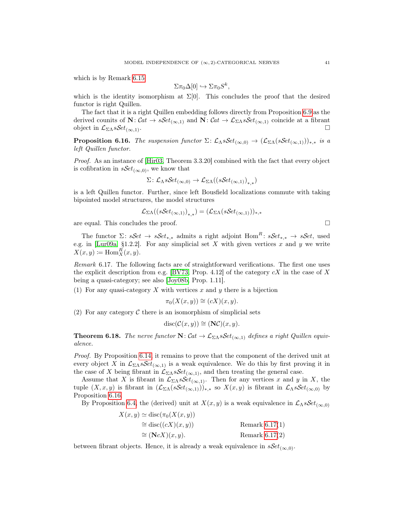which is by Remark [6.15](#page-41-2)

$$
\Sigma \pi_0 \Delta[0] \hookrightarrow \Sigma \pi_0 S^k,
$$

which is the identity isomorphism at  $\Sigma[0]$ . This concludes the proof that the desired functor is right Quillen.

The fact that it is a right Quillen embedding follows directly from Proposition [6.9](#page-40-4) as the derived counits of  $N: Cat \to sSet_{(\infty,1)}$  and  $N: Cat \to \mathcal{L}_{\Sigma\Lambda} sSet_{(\infty,1)}$  coincide at a fibrant object in  $\mathcal{L}_{\Sigma\Lambda} sSet_{(\infty,1)}$ .

<span id="page-42-1"></span>**Proposition 6.16.** The suspension functor  $\Sigma: \mathcal{L}_{\Lambda} sSet_{(\infty,0)} \to (\mathcal{L}_{\Sigma\Lambda}(sSet_{(\infty,1)}))_{*,*}$  is a left Quillen functor.

Proof. As an instance of [\[Hir03,](#page-61-7) Theorem 3.3.20] combined with the fact that every object is cofibration in  $sSet_{(\infty,0)}$ , we know that

$$
\Sigma\colon \mathcal{L}_\Lambda s\mathcal{S}et_{(\infty,0)} \to \mathcal{L}_{\Sigma\Lambda}((s\mathcal{S}et_{(\infty,1)})_{*,*})
$$

is a left Quillen functor. Further, since left Bousfield localizations commute with taking bipointed model structures, the model structures

$$
\mathcal{L}_{\Sigma\Lambda}((s\mathcal{S}et_{(\infty,1)})_{*,*})=(\mathcal{L}_{\Sigma\Lambda}(s\mathcal{S}et_{(\infty,1)}))_{*,*}
$$

are equal. This concludes the proof.  $\Box$ 

The functor  $\Sigma: sSet \rightarrow sSet_{**}$  admits a right adjoint Hom<sup>R</sup>:  $sSet_{**} \rightarrow sSet$ , used e.g. in [\[Lur09a,](#page-61-8) §1.2.2]. For any simplicial set  $X$  with given vertices  $x$  and  $y$  we write  $X(x, y) \coloneqq \text{Hom}_X^R(x, y).$ 

<span id="page-42-2"></span>Remark 6.17. The following facts are of straightforward verifications. The first one uses the explicit description from e.g. [\[BV73,](#page-60-24) Prop. 4.12] of the category  $cX$  in the case of X being a quasi-category; see also [\[Joy08b,](#page-61-13) Prop. 1.11].

(1) For any quasi-category  $X$  with vertices  $x$  and  $y$  there is a bijection

$$
\pi_0(X(x, y)) \cong (cX)(x, y).
$$

(2) For any category  $\mathcal C$  there is an isomorphism of simplicial sets

$$
disc(\mathcal{C}(x,y)) \cong (\mathbf{N}\mathcal{C})(x,y).
$$

<span id="page-42-0"></span>**Theorem 6.18.** The nerve functor  $N: Cat \to \mathcal{L}_{\Sigma\Lambda} sSet_{(\infty,1)}$  defines a right Quillen equivalence.

Proof. By Proposition [6.14,](#page-41-0) it remains to prove that the component of the derived unit at every object X in  $\mathcal{L}_{\Sigma\Lambda} sSet_{(\infty,1)}$  is a weak equivalence. We do this by first proving it in the case of X being fibrant in  $\mathcal{L}_{\Sigma\Lambda} s\mathcal{S}et_{(\infty,1)}$ , and then treating the general case.

Assume that X is fibrant in  $\mathcal{L}_{\Sigma\Lambda} sSet_{(\infty,1)}$ . Then for any vertices x and y in X, the tuple  $(X, x, y)$  is fibrant in  $(\mathcal{L}_{\Sigma \Lambda}(sSet_{(\infty,1)}))_{*,*}$  so  $X(x, y)$  is fibrant in  $\mathcal{L}_{\Lambda} sSet_{(\infty,0)}$  by Proposition [6.16.](#page-42-1)

By Proposition [6.4,](#page-39-1) the (derived) unit at  $X(x, y)$  is a weak equivalence in  $\mathcal{L}_{\Lambda} sSet_{(\infty,0)}$ 

| $X(x, y) \simeq$ disc( $\pi_0(X(x, y))$ ) |                  |
|-------------------------------------------|------------------|
| $\cong$ disc( $(cX)(x, y)$ )              | Remark $6.17(1)$ |
| $\cong$ $(\mathbf{N}cX)(x, y).$           | Remark $6.17(2)$ |

between fibrant objects. Hence, it is already a weak equivalence in  $sSet_{(\infty,0)}$ .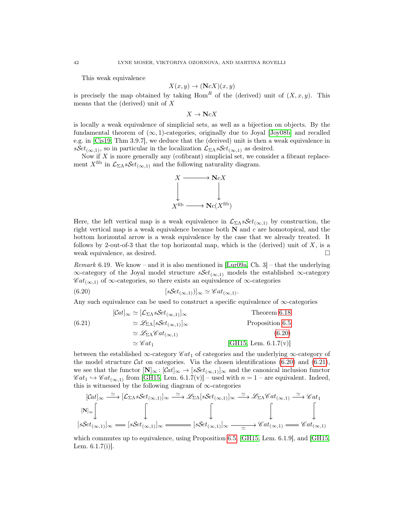This weak equivalence

$$
X(x, y) \to (\mathbf{N}cX)(x, y)
$$

is precisely the map obtained by taking Hom<sup>R</sup> of the (derived) unit of  $(X, x, y)$ . This means that the (derived) unit of  $X$ 

 $X \to NcX$ 

is locally a weak equivalence of simplicial sets, as well as a bijection on objects. By the fundamental theorem of  $(\infty, 1)$ -categories, originally due to Joyal [\[Joy08b\]](#page-61-13) and recalled e.g. in [\[Cis19,](#page-60-25) Thm 3.9.7], we deduce that the (derived) unit is then a weak equivalence in  $sSet_{(\infty,1)}$ , so in particular in the localization  $\mathcal{L}_{\Sigma\Lambda} sSet_{(\infty,1)}$  as desired.

Now if  $X$  is more generally any (cofibrant) simplicial set, we consider a fibrant replacement  $X^{\text{fib}}$  in  $\mathcal{L}_{\Sigma\Lambda} s\mathcal{S}et_{(\infty,1)}$  and the following naturality diagram.



Here, the left vertical map is a weak equivalence in  $\mathcal{L}_{\Sigma\Lambda} s\mathcal{S}et_{(\infty,1)}$  by construction, the right vertical map is a weak equivalence because both  $N$  and c are homotopical, and the bottom horizontal arrow is a weak equivalence by the case that we already treated. It follows by 2-out-of-3 that the top horizontal map, which is the (derived) unit of  $X$ , is a weak equivalence, as desired.  $\Box$ 

<span id="page-43-0"></span>*Remark* 6.19. We know – and it is also mentioned in [\[Lur09a,](#page-61-8) Ch. 3] – that the underlying  $\infty$ -category of the Joyal model structure  $sSet_{(\infty,1)}$  models the established  $\infty$ -category  $\mathscr{C}at_{(\infty,1)}$  of  $\infty$ -categories, so there exists an equivalence of  $\infty$ -categories

<span id="page-43-1"></span>
$$
(6.20) \t\t\t [sSet_{(\infty,1)})]_\infty \simeq \mathscr{C}at_{(\infty,1)}.
$$

Any such equivalence can be used to construct a specific equivalence of  $\infty$ -categories

<span id="page-43-2"></span>(6.21)  
\n
$$
[\mathcal{C}at]_{\infty} \simeq [\mathcal{L}_{\Sigma\Lambda} sSet_{(\infty,1)}]_{\infty}
$$
  
\n
$$
\simeq \mathcal{L}_{\Sigma\Lambda} [sSet_{(\infty,1)}]_{\infty}
$$
  
\n
$$
\simeq \mathcal{L}_{\Sigma\Lambda} \mathcal{C}at_{(\infty,1)}
$$
  
\n
$$
\simeq \mathcal{C}_{\Lambda} \mathcal{C}at_{(\infty,1)}
$$
  
\n
$$
\simeq \mathcal{C}_{\Lambda} \mathcal{C}at_{(\infty,1)}
$$
  
\n[**GH15, Lem. 6.1.7(v)**]

between the established  $\infty$ -category  $\mathscr{C}at_1$  of categories and the underlying  $\infty$ -category of the model structure  $\mathcal{C}at$  on categories. Via the chosen identifications [\(6.20\)](#page-43-1) and [\(6.21\)](#page-43-2), we see that the functor  $[N]_{\infty} : [\mathcal{C}at]_{\infty} \to [s\mathcal{S}et_{(\infty,1)}]_{\infty}$  and the canonical inclusion functor  $\mathscr{C}at_1 \hookrightarrow \mathscr{C}at_{(\infty,1)}$  from [\[GH15,](#page-60-12) Lem. 6.1.7(v)] – used with  $n = 1$  – are equivalent. Indeed, this is witnessed by the following diagram of  $\infty$ -categories

$$
[\mathcal{C}at]_{\infty} \xrightarrow{\simeq} [\mathcal{L}_{\Sigma\Lambda} sSet_{(\infty,1)}]_{\infty} \xrightarrow{\simeq} \mathcal{L}_{\Sigma\Lambda} [sSet_{(\infty,1)}]_{\infty} \xrightarrow{\simeq} \mathcal{L}_{\Sigma\Lambda} \mathcal{C}at_{(\infty,1)} \xrightarrow{\simeq} \mathcal{C}at_1
$$
  
\n
$$
[sSet_{(\infty,1)}]_{\infty} \xrightarrow{[sSet_{(\infty,1)}]_{\infty}} [sSet_{(\infty,1)}]_{\infty} \xrightarrow{\simeq} \mathcal{C}at_{(\infty,1)} \xrightarrow{\simeq} \mathcal{C}at_{(\infty,1)}
$$

which commutes up to equivalence, using Proposition [6.5,](#page-39-3) [\[GH15,](#page-60-12) Lem. 6.1.9], and [\[GH15,](#page-60-12) Lem. 6.1.7(i)].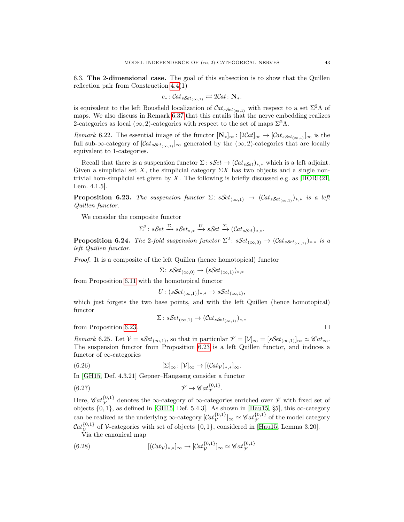<span id="page-44-2"></span>6.3. The 2-dimensional case. The goal of this subsection is to show that the Quillen reflection pair from Construction [4.4\(](#page-28-0)1)

$$
c_*: \mathcal{C}at_{s\mathcal{S}et_{(\infty,1)}} \rightleftarrows 2\mathcal{C}at: \mathbf{N}_*.
$$

is equivalent to the left Bousfield localization of  $\mathcal{C}at_{sSet_{(\infty,1)}}$  with respect to a set  $\Sigma^2\Lambda$  of maps. We also discuss in Remark [6.37](#page-48-0) that this entails that the nerve embedding realizes 2-categories as local  $(\infty, 2)$ -categories with respect to the set of maps  $\Sigma^2 \Lambda$ .

Remark 6.22. The essential image of the functor  $[\mathbf{N}_\ast]_\infty : [2Cat]_\infty \to [Cat_{sSet_{(\infty,1)}}]_\infty$  is the full sub-∞-category of  $[\mathcal{C}at_{sSet_{(\infty,1)}}]_{\infty}$  generated by the  $(\infty,2)$ -categories that are locally equivalent to 1-categories.

Recall that there is a suspension functor  $\Sigma$ :  $sSet \rightarrow (Cat_{sSet})_{*,*}$  which is a left adjoint. Given a simplicial set X, the simplicial category  $\Sigma X$  has two objects and a single non-trivial hom-simplicial set given by X. The following is briefly discussed e.g. as [\[HORR21,](#page-61-5) Lem. 4.1.5].

<span id="page-44-3"></span>**Proposition 6.23.** The suspension functor  $\Sigma$ :  $sSet_{(\infty,1)} \rightarrow (Cat_{sSet_{(\infty,1)}})_{*,*}$  is a left Quillen functor.

We consider the composite functor

$$
\Sigma^2 \colon \mathit{sSet} \xrightarrow{\Sigma} \mathit{sSet}_{*,*} \xrightarrow{U} \mathit{sSet} \xrightarrow{\Sigma} (\mathcal{C}at_s \mathit{Set})_{*,*}.
$$

<span id="page-44-1"></span>**Proposition 6.24.** The 2-fold suspension functor  $\Sigma^2$ :  $sSet_{(\infty,0)} \rightarrow (Cat_{sSet_{(\infty,1)}})_{*,*}$  is a left Quillen functor.

Proof. It is a composite of the left Quillen (hence homotopical) functor

$$
\Sigma \colon \mathcal{S}et_{(\infty,0)} \to (\mathcal{S}et_{(\infty,1)})_{*,*}
$$

from Proposition [6.11](#page-41-3) with the homotopical functor

$$
U: (sSet_{(\infty,1)})_{*,*} \to sSet_{(\infty,1)},
$$

which just forgets the two base points, and with the left Quillen (hence homotopical) functor

<span id="page-44-5"></span><span id="page-44-4"></span>
$$
\Sigma \colon \mathcal{S}et_{(\infty,1)} \to (\mathcal{C}at_{\mathcal{S}et_{(\infty,1)}})_{*,*}
$$

from Proposition [6.23.](#page-44-3)  $\Box$ 

<span id="page-44-0"></span>Remark 6.25. Let  $V = sSet_{(\infty,1)}$ , so that in particular  $\mathcal{V} = [\mathcal{V}]_{\infty} = [sSet_{(\infty,1)}]_{\infty} \simeq \mathcal{C}at_{\infty}$ . The suspension functor from Proposition [6.23](#page-44-3) is a left Quillen functor, and induces a functor of ∞-categories

$$
(6.26) \t\t [\Sigma]_{\infty} : [\mathcal{V}]_{\infty} \to [(\mathcal{C}at_{\mathcal{V}})_{*,*}]_{\infty}.
$$

In [\[GH15,](#page-60-12) Def. 4.3.21] Gepner–Haugseng consider a functor

(6.27) 
$$
\mathscr{V} \to \mathscr{C}at_{\mathscr{V}}^{\{0,1\}}.
$$

Here,  $\mathscr{C}at_{\mathscr{V}}^{\{0,1\}}$  denotes the  $\infty$ -category of  $\infty$ -categories enriched over  $\mathscr{V}$  with fixed set of objects  $\{0, 1\}$ , as defined in [\[GH15,](#page-60-12) Def. 5.4.3]. As shown in [\[Hau15,](#page-61-29) §5], this  $\infty$ -category can be realized as the underlying  $\infty$ -category  $[\mathcal{C}at_{\mathcal{V}}^{\{0,1\}}]_{\infty} \simeq \mathcal{C}at_{\mathcal{V}}^{\{0,1\}}$  of the model category  $Cat_{\mathcal{V}}^{\{0,1\}}$  of V-categories with set of objects  $\{0,1\}$ , considered in [\[Hau15,](#page-61-29) Lemma 3.20].

<span id="page-44-6"></span>Via the canonical map

(6.28) 
$$
[(\mathcal{C}at_{\mathcal{V}})_{*,*}]_{\infty} \to [\mathcal{C}at_{\mathcal{V}}^{\{0,1\}}]_{\infty} \simeq \mathcal{C}at_{\mathcal{V}}^{\{0,1\}}
$$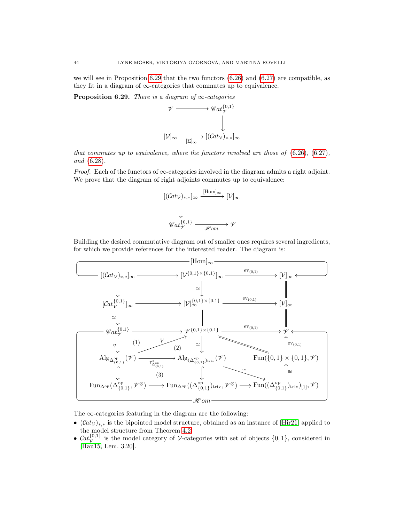we will see in Proposition [6.29](#page-45-0) that the two functors  $(6.26)$  and  $(6.27)$  are compatible, as they fit in a diagram of  $\infty$ -categories that commutes up to equivalence.

<span id="page-45-0"></span>**Proposition 6.29.** There is a diagram of  $\infty$ -categories



that commutes up to equivalence, where the functors involved are those of  $(6.26)$ ,  $(6.27)$ , and [\(6.28\)](#page-44-6).

*Proof.* Each of the functors of  $\infty$ -categories involved in the diagram admits a right adjoint. We prove that the diagram of right adjoints commutes up to equivalence:



Building the desired commutative diagram out of smaller ones requires several ingredients, for which we provide references for the interested reader. The diagram is:



The  $\infty$ -categories featuring in the diagram are the following:

- $(\mathcal{C}at_V)_{*,*}$  is the bipointed model structure, obtained as an instance of [\[Hir21\]](#page-61-27) applied to the model structure from Theorem [4.2.](#page-27-0)
- $Cat_{\mathcal{V}}^{\{0,1\}}$  is the model category of *V*-categories with set of objects  $\{0,1\}$ , considered in [\[Hau15,](#page-61-29) Lem. 3.20].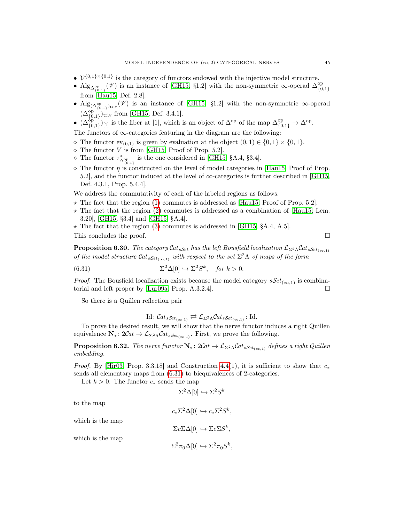- $\mathcal{V}^{\{0,1\} \times \{0,1\}}$  is the category of functors endowed with the injective model structure.
- Alg<sub>∆<sup>op</sup></sub> ( $\mathscr V$ ) is an instance of [\[GH15,](#page-60-12) §1.2] with the non-symmetric ∞-operad  $\Delta_{\{0\}}^{op}$  ${0,1}$ from [\[Hau15,](#page-61-29) Def. 2.8].
- Alg<sub>( $\Delta_{\{0,1\}}^{\text{op}}(V)$  is an instance of [\[GH15,](#page-60-12) §1.2] with the non-symmetric  $\infty$ -operad</sub>  $(\Delta_{\{0,1\}}^{\text{op}})_{\text{triv}}$  from [\[GH15,](#page-60-12) Def. 3.4.1].
- $(\Delta_{\{0,1\}}^{\text{op}})_{[1]}$  is the fiber at [1], which is an object of  $\Delta^{\text{op}}$  of the map  $\Delta_{\{0,1\}}^{\text{op}} \to \Delta^{\text{op}}$ .

The functors of  $\infty$ -categories featuring in the diagram are the following:

- $\Diamond$  The functor  $ev_{(0,1)}$  is given by evaluation at the object  $(0,1) \in \{0,1\} \times \{0,1\}.$
- $\diamond$  The functor V is from [\[GH15,](#page-60-12) Proof of Prop. 5.2].
- $\circ$  The functor  $\tau^*_{\Delta_{\{0,1\}}^{op}}$  is the one considered in [\[GH15,](#page-60-12) §A.4, §3.4].
- $\Diamond$  The functor  $\eta$  is constructed on the level of model categories in [\[Hau15,](#page-61-29) Proof of Prop. 5.2], and the functor induced at the level of  $\infty$ -categories is further described in [\[GH15,](#page-60-12) Def. 4.3.1, Prop. 5.4.4].

We address the commutativity of each of the labeled regions as follows.

- $\star$  The fact that the region [\(1\)](#page-8-0) commutes is addressed as [\[Hau15,](#page-61-29) Proof of Prop. 5.2].
- $\star$  The fact that the region [\(2\)](#page-8-0) commutes is addressed as a combination of [\[Hau15,](#page-61-29) Lem. 3.20], [\[GH15,](#page-60-12) §3.4] and [\[GH15,](#page-60-12) §A.4].
- $\star$  The fact that the region [\(3\)](#page-8-0) commutes is addressed in [\[GH15,](#page-60-12) §A.4, A.5].

This concludes the proof. □

**Proposition 6.30.** The category Cat<sub>sSet</sub> has the left Bousfield localization  $\mathcal{L}_{\Sigma^2\Lambda}$ Cat<sub>sSet(∞,1)</sub> of the model structure  $\mathcal{C}at_{sSet_{(\infty,1)}}$  with respect to the set  $\Sigma^2\Lambda$  of maps of the form

(6.31) 
$$
\Sigma^2 \Delta[0] \hookrightarrow \Sigma^2 S^k, \quad \text{for } k > 0.
$$

*Proof.* The Bousfield localization exists because the model category  $sSet_{(\infty,1)}$  is combina-torial and left proper by [\[Lur09a,](#page-61-8) Prop.  $A.3.2.4$ ]. □

So there is a Quillen reflection pair

<span id="page-46-0"></span>Id: 
$$
\mathcal{C}at_{sSet_{(\infty,1)}} \rightleftarrows \mathcal{L}_{\Sigma^2 \Lambda} \mathcal{C}at_{sSet_{(\infty,1)}}
$$
: Id.

To prove the desired result, we will show that the nerve functor induces a right Quillen equivalence  $\mathbf{N}_* \colon 2\mathcal{C}at \to \mathcal{L}_{\Sigma^2\Lambda} \mathcal{C}at_{s\mathcal{S}et_{(\infty,1)}}$ . First, we prove the following.

<span id="page-46-1"></span>**Proposition 6.32.** The nerve functor  $N_*$ :  $2Cat \to \mathcal{L}_{\Sigma^2\Lambda} Cat_{sSet_{(\infty,1)}}$  defines a right Quillen embedding.

*Proof.* By [\[Hir03,](#page-61-7) Prop. 3.3.18] and Construction [4.4\(](#page-28-0)1), it is sufficient to show that  $c_*$ sends all elementary maps from [\(6.31\)](#page-46-0) to biequivalences of 2-categories.

Let  $k > 0$ . The functor  $c_*$  sends the map

$$
\Sigma^2 \Delta[0] \hookrightarrow \Sigma^2 S^k
$$

to the map

$$
c_* \Sigma^2 \Delta[0] \hookrightarrow c_* \Sigma^2 S^k,
$$
  

$$
\Sigma c \Sigma \Delta[0] \hookrightarrow \Sigma c \Sigma S^k,
$$
  

$$
\Sigma^2 \pi_0 \Delta[0] \hookrightarrow \Sigma^2 \pi_0 S^k,
$$

which is the map

which is the map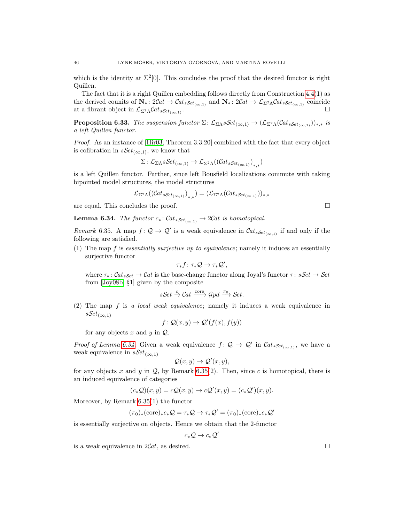which is the identity at  $\Sigma^2[0]$ . This concludes the proof that the desired functor is right Quillen.

The fact that it is a right Quillen embedding follows directly from Construction [4.4\(](#page-28-0)1) as the derived counits of  $\mathbf{N}_* : 2Cat \to \mathcal{C}at_{sSet_{(\infty,1)}}$  and  $\mathbf{N}_* : 2Cat \to \mathcal{L}_{\Sigma^2} \Lambda \mathcal{C}at_{sSet_{(\infty,1)}}$  coincide at a fibrant object in  $\mathcal{L}_{\Sigma^2\Lambda}$ Cat<sub>sSet(∞,1)</sub>.

<span id="page-47-3"></span>**Proposition 6.33.** The suspension functor  $\Sigma: \mathcal{L}_{\Sigma \Lambda} sSet_{(\infty,1)} \to (\mathcal{L}_{\Sigma^2 \Lambda} (Cat_{sSet_{(\infty,1)}}))_{*,*}$  is a left Quillen functor.

Proof. As an instance of [\[Hir03,](#page-61-7) Theorem 3.3.20] combined with the fact that every object is cofibration in  $sSet_{(\infty,1)}$ , we know that

$$
\Sigma\colon \mathcal{L}_{\Sigma\Lambda} s\mathcal{S}et_{(\infty,1)} \to \mathcal{L}_{\Sigma^2\Lambda}((\mathcal{C}at_s s_{\mathcal{S}et_{(\infty,1)}})_{*,*})
$$

is a left Quillen functor. Further, since left Bousfield localizations commute with taking bipointed model structures, the model structures

$$
\mathcal{L}_{\Sigma^2\Lambda}((\mathcal{C}\mathit{at}_{sSet_{(\infty,1)}})_{*,*})=(\mathcal{L}_{\Sigma^2\Lambda}(\mathcal{C}\mathit{at}_{sSet_{(\infty,1)}}))_{*,*}
$$

are equal. This concludes the proof.  $\Box$ 

<span id="page-47-1"></span>**Lemma 6.34.** The functor  $c_*: \mathcal{C}at_s_{\mathcal{S}et_{(\infty,1)}} \to 2\mathcal{C}at$  is homotopical.

<span id="page-47-2"></span>Remark 6.35. A map  $f: \mathcal{Q} \to \mathcal{Q}'$  is a weak equivalence in  $\mathcal{C}at_{sSet_{(\infty,1)}}$  if and only if the following are satisfied.

(1) The map f is essentially surjective up to equivalence; namely it induces an essentially surjective functor

$$
\tau_*f\colon \tau_*\mathcal{Q}\to \tau_*\mathcal{Q}',
$$

where  $\tau_* : \mathcal{C}at_{sSet} \to \mathcal{C}at$  is the base-change functor along Joyal's functor  $\tau : sSet \to \mathcal{S}et$ from [\[Joy08b,](#page-61-13) §1] given by the composite

$$
s\mathcal{S}et \xrightarrow{c} \mathcal{C}at \xrightarrow{\text{core}} \mathcal{G}pd \xrightarrow{\pi_0} \mathcal{S}et.
$$

(2) The map f is a local weak equivalence; namely it induces a weak equivalence in  $sSet_{(\infty,1)}$ 

$$
f\colon \mathcal{Q}(x,y) \to \mathcal{Q}'(f(x),f(y))
$$

for any objects  $x$  and  $y$  in  $Q$ .

*Proof of Lemma [6.34.](#page-47-1)* Given a weak equivalence  $f: \mathcal{Q} \to \mathcal{Q}'$  in  $\mathcal{C}at_{sSet_{(\infty,1)}},$  we have a weak equivalence in  $sSet_{(\infty,1)}$ 

$$
\mathcal{Q}(x,y) \to \mathcal{Q}'(x,y),
$$

for any objects x and y in  $Q$ , by Remark [6.35\(](#page-47-2)2). Then, since c is homotopical, there is an induced equivalence of categories

$$
(c_*\mathcal{Q})(x,y)=c\mathcal{Q}(x,y)\rightarrow c\mathcal{Q}'(x,y)=(c_*\mathcal{Q}')(x,y).
$$

Moreover, by Remark [6.35\(](#page-47-2)1) the functor

$$
(\pi_0)_*(\mathrm{core})_*c_*\mathcal{Q} = \tau_*\mathcal{Q} \to \tau_*\mathcal{Q}' = (\pi_0)_*(\mathrm{core})_*c_*\mathcal{Q}'
$$

is essentially surjective on objects. Hence we obtain that the 2-functor

$$
c_*\mathcal{Q}\to c_*\mathcal{Q}
$$

′

<span id="page-47-0"></span>is a weak equivalence in  $2Cat$ , as desired.  $\Box$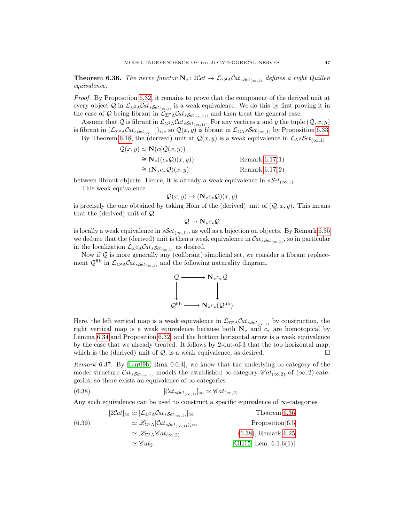**Theorem 6.36.** The nerve functor  $N_* \colon 2Cat \to \mathcal{L}_{\Sigma^2\Lambda} Cat_{sSet_{(\infty,1)}}$  defines a right Quillen equivalence.

Proof. By Proposition [6.32,](#page-46-1) it remains to prove that the component of the derived unit at every object Q in  $\mathcal{L}_{\Sigma^2\Lambda}$ Cat<sub>sSet(∞,1)</sub> is a weak equivalence. We do this by first proving it in the case of Q being fibrant in  $\mathcal{L}_{\Sigma^2\Lambda}$ Cat<sub>sSet(∞,1)</sub>, and then treat the general case.

Assume that Q is fibrant in  $\mathcal{L}_{\Sigma^2\Lambda}$ Cat<sub>sSet</sup>( $\infty,1$ ). For any vertices x and y the tuple  $(\mathcal{Q}, x, y)$ </sub> is fibrant in  $(\mathcal{L}_{\Sigma^2\Lambda}\mathcal{C}at_{sSet_{(\infty,1)}})_{*,*}$  so  $\mathcal{Q}(x,y)$  is fibrant in  $\mathcal{L}_{\Sigma\Lambda}sSet_{(\infty,1)}$  by Proposition [6.33.](#page-47-3) By Theorem [6.18,](#page-42-0) the (derived) unit at  $\mathcal{Q}(x, y)$  is a weak equivalence in  $\mathcal{L}_{\Lambda} s\mathcal{S}et_{(\infty,1)}$ 

$$
Q(x, y) \simeq \mathbf{N}(c(Q(x, y)))
$$
  
\n
$$
\cong \mathbf{N}_{*}((c_{*}Q)(x, y))
$$
  
\n
$$
\cong (\mathbf{N}_{*}c_{*}Q)(x, y).
$$
  
\nRemark 6.17(1)  
\nRemark 6.17(2)

between fibrant objects. Hence, it is already a weak equivalence in  $sSet_{(\infty,1)}$ .

This weak equivalence

$$
\mathcal{Q}(x, y) \to (\mathbf{N}_{*}c_{*}\mathcal{Q})(x, y)
$$

is precisely the one obtained by taking Hom of the (derived) unit of  $(Q, x, y)$ . This means that the (derived) unit of  $Q$ 

$$
\mathcal{Q}\to N_*\mathit{c}_*\mathcal{Q}
$$

is locally a weak equivalence in  $sSet_{(\infty,1)}$ , as well as a bijection on objects. By Remark [6.35](#page-47-2) we deduce that the (derived) unit is then a weak equivalence in  $\mathcal{C}at_{sSet_{(\infty,1)}},$  so in particular in the localization  $\mathcal{L}_{\Sigma^2\Lambda}$ *Cat*<sub>sSet(∞,1)</sub> as desired.

Now if  $Q$  is more generally any (cofibrant) simplicial set, we consider a fibrant replacement  $\mathcal{Q}^{\text{fib}}$  in  $\mathcal{L}_{\Sigma^2\Lambda}\mathcal{C}at_{s\mathcal{S}et_{(\infty,1)}}$  and the following naturality diagram.



Here, the left vertical map is a weak equivalence in  $\mathcal{L}_{\Sigma^2\Lambda}$ Cat<sub>sSet<sub>(∞,1)</sub> by construction, the</sub> right vertical map is a weak equivalence because both  $N_*$  and  $c_*$  are homotopical by Lemma [6.34](#page-47-1) and Proposition [6.32,](#page-46-1) and the bottom horizontal arrow is a weak equivalence by the case that we already treated. It follows by 2-out-of-3 that the top horizontal map, which is the (derived) unit of  $\mathcal{Q}$ , is a weak equivalence, as desired.  $\Box$ 

<span id="page-48-0"></span>Remark 6.37. By [\[Lur09b,](#page-61-1) Rmk 0.0.4], we know that the underlying  $\infty$ -category of the model structure  $\mathcal{C}at_{sSet_{(\infty,1)}}$  models the established  $\infty$ -category  $\mathscr{C}at_{(\infty,2)}$  of  $(\infty,2)$ -categories, so there exists an equivalence of  $\infty$ -categories

<span id="page-48-1"></span>(6.38) 
$$
[\mathcal{C}at_{sSet_{(\infty,1)}}]_{\infty} \simeq \mathcal{C}at_{(\infty,2)}.
$$

Any such equivalence can be used to construct a specific equivalence of  $\infty$ -categories

<span id="page-48-2"></span>

|        | $[2Cat]_{\infty} \simeq [\mathcal{L}_{\Sigma^2\Lambda} Cat_{sSet_{(\infty,1)}}]_{\infty}$ | Theorem 6.36             |
|--------|-------------------------------------------------------------------------------------------|--------------------------|
| (6.39) | $\approx \mathscr{L}_{\Sigma^2 \Lambda}[\mathcal{C}at_{sSet_{(\infty,1)}}]_{\infty}$      | Proposition 6.5          |
|        | $\simeq \mathscr{L}_{\Sigma^2\Lambda} \mathscr{C}at_{(\infty,2)}$                         | $(6.38)$ , Remark $6.25$ |
|        | $\simeq \mathscr{C}at_2$                                                                  | [GH15, Lem. $6.1.6(1)$ ] |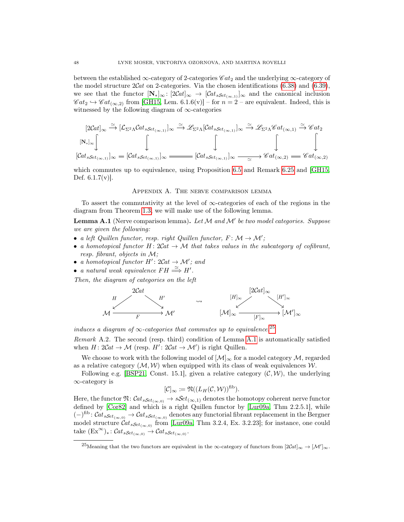between the established ∞-category of 2-categories  $\mathscr{C}at_2$  and the underlying ∞-category of the model structure  $2Cat$  on 2-categories. Via the chosen identifications  $(6.38)$  and  $(6.39)$ , we see that the functor  $[N_*]_{\infty} : [2Cat]_{\infty} \to [Cat_{sSet_{(\infty,1)}}]_{\infty}$  and the canonical inclusion  $\mathscr{C}at_2 \hookrightarrow \mathscr{C}at_{(\infty,2)}$  from [\[GH15,](#page-60-12) Lem. 6.1.6(v)] – for  $n = 2$  – are equivalent. Indeed, this is witnessed by the following diagram of ∞-categories

$$
[2Cat]_{\infty} \xrightarrow{\simeq} [\mathcal{L}_{\Sigma^2 \Lambda} Cat_{sSet_{(\infty,1)}}]_{\infty} \xrightarrow{\simeq} \mathscr{L}_{\Sigma^2 \Lambda} [Cat_{sSet_{(\infty,1)}}]_{\infty} \xrightarrow{\simeq} \mathscr{L}_{\Sigma^2 \Lambda} \mathscr{C}at_{(\infty,1)} \xrightarrow{\simeq} \mathscr{C}at_2
$$
  
\n
$$
[\mathcal{C}at_{sSet_{(\infty,1)}}]_{\infty} = [Cat_{sSet_{(\infty,1)}}]_{\infty} \xrightarrow{\simeq} [Cat_{sSet_{(\infty,1)}}]_{\infty} \xrightarrow{\simeq} \mathscr{C}at_{(\infty,2)} \xrightarrow{\simeq} \mathscr{C}at_{(\infty,2)}
$$

which commutes up to equivalence, using Proposition [6.5](#page-39-3) and Remark [6.25](#page-44-0) and [\[GH15,](#page-60-12) Def.  $6.1.7(v)$ .

#### Appendix A. The nerve comparison lemma

<span id="page-49-0"></span>To assert the commutativity at the level of  $\infty$ -categories of each of the regions in the diagram from Theorem [1.3,](#page-7-0) we will make use of the following lemma.

<span id="page-49-1"></span>**Lemma A.1** (Nerve comparison lemma). Let  $M$  and  $M'$  be two model categories. Suppose we are given the following:

- a left Quillen functor, resp. right Quillen functor,  $F \colon \mathcal{M} \to \mathcal{M}'$ ;
- a homotopical functor  $H: 2Cat \rightarrow \mathcal{M}$  that takes values in the subcategory of cofibrant, resp. fibrant, objects in M;
- a homotopical functor  $H'$ :  $2Cat \rightarrow M'$ ; and
- a natural weak equivalence  $FH \stackrel{\simeq}{\Longrightarrow} H'.$

Then, the diagram of categories on the left



induces a diagram of  $\infty$ -categories that commutes up to equivalence.<sup>[25](#page-49-2)</sup>

Remark A.2. The second (resp. third) condition of Lemma [A.1](#page-49-1) is automatically satisfied when  $H: 2Cat \to M$  (resp.  $H': 2Cat \to M'$ ) is right Quillen.

We choose to work with the following model of  $[\mathcal{M}]_{\infty}$  for a model category M, regarded as a relative category  $(M, W)$  when equipped with its class of weak equivalences W.

Following e.g. [\[BSP21,](#page-60-7) Const. 15.1], given a relative category  $(C, W)$ , the underlying ∞-category is

$$
[\mathcal{C}]_{\infty} := \mathfrak{N}((L_H(\mathcal{C}, \mathcal{W}))^{\text{fib}}).
$$

Here, the functor  $\mathfrak{N}: \mathcal{C}at_{sSet_{(\infty,0)}} \to sSet_{(\infty,1)}$  denotes the homotopy coherent nerve functor defined by [\[Cor82\]](#page-60-26) and which is a right Quillen functor by [\[Lur09a,](#page-61-8) Thm 2.2.5.1], while  $(-)^{\text{fib}}$ :  $\mathcal{C}at_{s\mathcal{S}et_{(\infty,0)}} \to \mathcal{C}at_{s\mathcal{S}et_{(\infty,0)}}$  denotes any functorial fibrant replacement in the Bergner model structure  $\mathcal{C}at_{sSet_{(\infty,0)}}$  from [\[Lur09a,](#page-61-8) Thm 3.2.4, Ex. 3.2.23]; for instance, one could take  $(\text{Ex}^{\infty})_*: \mathcal{C}at_{sSet_{(\infty,0)}} \to \mathcal{C}at_{sSet_{(\infty,0)}}.$ 

<span id="page-49-2"></span><sup>&</sup>lt;sup>25</sup>Meaning that the two functors are equivalent in the ∞-category of functors from  $[2Cat]_{\infty} \to [\mathcal{M}']_{\infty}$ .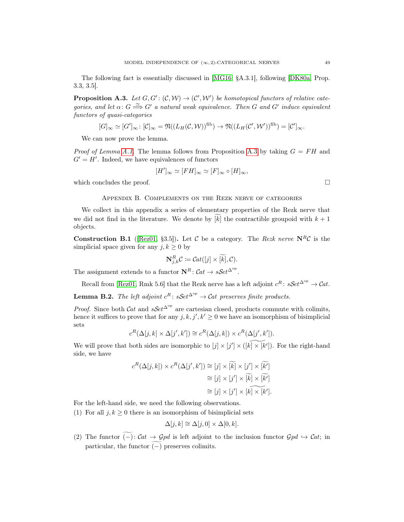The following fact is essentially discussed in [\[MG16,](#page-61-9) §A.3.1], following [\[DK80a,](#page-60-13) Prop. 3.3, 3.5].

<span id="page-50-2"></span>**Proposition A.3.** Let  $G, G' : (C, W) \to (C', W')$  be homotopical functors of relative categories, and let  $\alpha: G \stackrel{\simeq}{\Longrightarrow} G'$  a natural weak equivalence. Then G and G' induce equivalent functors of quasi-categories

$$
[G]_{\infty} \simeq [G']_{\infty} : [\mathcal{C}]_{\infty} = \mathfrak{N}((L_H(\mathcal{C}, \mathcal{W}))^{\text{fib}}) \to \mathfrak{N}((L_H(\mathcal{C}', \mathcal{W}'))^{\text{fib}}) = [\mathcal{C}']_{\infty}.
$$

We can now prove the lemma.

*Proof of Lemma [A.1.](#page-49-1)* The lemma follows from Proposition [A.3](#page-50-2) by taking  $G = FH$  and  $G' = H'$ . Indeed, we have equivalences of functors

$$
[H']_{\infty} \simeq [FH]_{\infty} \simeq [F]_{\infty} \circ [H]_{\infty},
$$

which concludes the proof.  $\Box$ 

#### Appendix B. Complements on the Rezk nerve of categories

<span id="page-50-0"></span>We collect in this appendix a series of elementary properties of the Rezk nerve that we did not find in the literature. We denote by  $[k]$  the contractible groupoid with  $k + 1$ objects.

**Construction B.1** ([\[Rez01,](#page-62-6) §3.5]). Let C be a category. The Rezk nerve  $N^R\mathcal{C}$  is the simplicial space given for any  $j, k \geq 0$  by

$$
\mathbf{N}_{j,k}^R \mathcal{C} \coloneqq \mathcal{C}at([j] \times [k], \mathcal{C}).
$$

The assignment extends to a functor  $\mathbf{N}^R$ :  $\mathcal{C}at \to s\mathcal{S}et^{\Delta^{op}}$ .

Recall from [\[Rez01,](#page-62-6) Rmk 5.6] that the Rezk nerve has a left adjoint  $c^R$ :  $sSet^{\Delta^{op}} \to \mathcal{C}at$ .

<span id="page-50-1"></span>**Lemma B.2.** The left adjoint  $c^R$ :  $sSet^{\Delta^{op}} \to \mathcal{C}at$  preserves finite products.

*Proof.* Since both Cat and  $sSet^{\Delta^{op}}$  are cartesian closed, products commute with colimits, hence it suffices to prove that for any  $j, k, j', k' \geq 0$  we have an isomorphism of bisimplicial sets

$$
c^R(\Delta[j,k] \times \Delta[j',k']) \cong c^R(\Delta[j,k]) \times c^R(\Delta[j',k']).
$$

We will prove that both sides are isomorphic to  $[j] \times [j'] \times ([\widehat{k} \times [k'])$ . For the right-hand side, we have

$$
c^{R}(\Delta[j,k]) \times c^{R}(\Delta[j',k']) \cong [j] \times [\widetilde{k}] \times [j'] \times [\widetilde{k'}]
$$

$$
\cong [j] \times [j'] \times [\widetilde{k}] \times [\widetilde{k'}]
$$

$$
\cong [j] \times [j'] \times [k] \times [k'].
$$

For the left-hand side, we need the following observations.

(1) For all  $j, k \geq 0$  there is an isomorphism of bisimplicial sets

$$
\Delta[j,k] \cong \Delta[j,0] \times \Delta[0,k].
$$

(2) The functor  $\widetilde{(-)}: \mathcal{C}at \to \mathcal{G}pd$  is left adjoint to the inclusion functor  $\mathcal{G}pd \hookrightarrow \mathcal{C}at$ ; in particular, the functor  $\widetilde{(-)}$  preserves colimits.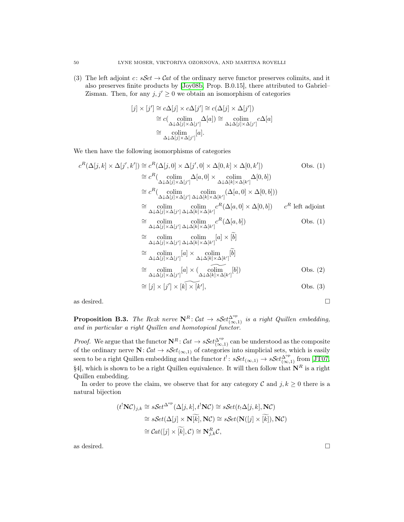(3) The left adjoint c:  $sSet \rightarrow Cat$  of the ordinary nerve functor preserves colimits, and it also preserves finite products by [\[Joy08b,](#page-61-13) Prop. B.0.15], there attributed to Gabriel– Zisman. Then, for any  $j, j' \geq 0$  we obtain an isomorphism of categories

$$
[j] \times [j'] \cong c\Delta[j] \times c\Delta[j'] \cong c(\Delta[j] \times \Delta[j'])
$$
  
\n
$$
\cong c(\underset{\Delta \downarrow \Delta[j] \times \Delta[j']}{\text{colim}} \Delta[a]) \cong \underset{\Delta \downarrow \Delta[j] \times \Delta[j']}{\text{colim}} c\Delta[a]
$$
  
\n
$$
\cong \underset{\Delta \downarrow \Delta[j] \times \Delta[j']}{\text{colim}} [a].
$$

We then have the following isomorphisms of categories

$$
c^{R}(\Delta[j,k] \times \Delta[j',k']) \cong c^{R}(\Delta[j,0] \times \Delta[j',0] \times \Delta[0,k] \times \Delta[0,k'])
$$
Obs. (1)  
\n
$$
\cong c^{R}(\underset{\Delta \downarrow \Delta[j] \times \Delta[j']} {\text{colim}} \Delta[a,0] \times \underset{\Delta \downarrow \Delta[k] \times \Delta[k']} {\text{colim}} \Delta[0,b])
$$
  
\n
$$
\cong c^{R}(\underset{\Delta \downarrow \Delta[j] \times \Delta[j']} {\text{colim}} \underset{\Delta \downarrow \Delta[k] \times \Delta[k']} {\text{colim}} \Delta[a,0] \times \Delta[0,b]))
$$
  
\n
$$
\cong \underset{\Delta \downarrow \Delta[j] \times \Delta[j']} {\text{colim}} \underset{\Delta \downarrow \Delta[k] \times \Delta[k']} {\text{colim}} c^{R}(\Delta[a,0] \times \Delta[0,b])
$$
  $c^{R} \text{ left adjoint}$   
\n
$$
\cong \underset{\Delta \downarrow \Delta[j] \times \Delta[j']} {\text{colim}} \underset{\Delta \downarrow \Delta[k] \times \Delta[k']} {\text{colim}} c^{R}(\Delta[a,b])
$$
Obs. (1)  
\n
$$
\cong \underset{\Delta \downarrow \Delta[j] \times \Delta[j']} {\text{colim}} \underset{\Delta \downarrow \Delta[k] \times \Delta[k']} {\text{colim}} [a] \times [\tilde{b}]
$$
  
\n
$$
\cong \underset{\Delta \downarrow \Delta[j] \times \Delta[j']} {\text{colim}} [a] \times \underset{\Delta \downarrow \Delta[k] \times \Delta[k']} {\text{colim}} [\tilde{b}]
$$
  
\n
$$
\cong \underset{\Delta \downarrow \Delta[j] \times \Delta[j']} {\text{colim}} [a] \times (\underset{\Delta \downarrow \Delta[k] \times \Delta[k']} {\text{colim}} [\tilde{b}])
$$
Obs. (2)  
\n
$$
\cong [j] \times [j'] \times [k] \times [k'],
$$
Obs. (3)

as desired.  $\Box$ 

<span id="page-51-0"></span>**Proposition B.3.** The Rezk nerve  $N^R$ :  $Cat \rightarrow sSet_{(\infty,1)}^{\Delta^{op}}$  is a right Quillen embedding, and in particular a right Quillen and homotopical functor.

*Proof.* We argue that the functor  $N^R$ :  $Cat \to sSet_{(\infty,1)}^{\Delta^{op}}$  can be understood as the composite of the ordinary nerve  $N: Cat \to sSet_{(\infty,1)}$  of categories into simplicial sets, which is easily seen to be a right Quillen embedding and the functor  $t^! \colon sSet_{(\infty,1)} \to sSet_{(\infty,1)}^{\Delta^{\text{op}}}$  from [\[JT07,](#page-61-25) §4], which is shown to be a right Quillen equivalence. It will then follow that  $\mathbf{N}^R$  is a right Quillen embedding.

In order to prove the claim, we observe that for any category  $\mathcal C$  and  $j, k \geq 0$  there is a natural bijection

$$
(t1NC)j,k \cong sSet^{\Delta^{op}}(\Delta[j,k], t1NC) \cong sSet(t_!\Delta[j,k], NC)
$$
  
\cong sSet( $\Delta[j] \times \mathbf{N}[k], NC$ ) \cong sSet( $\mathbf{N}([j] \times [k]), NC$ )  
\cong Cat([j] \times [k], C) \cong \mathbf{N}\_{j,k}^R C,

as desired.  $\Box$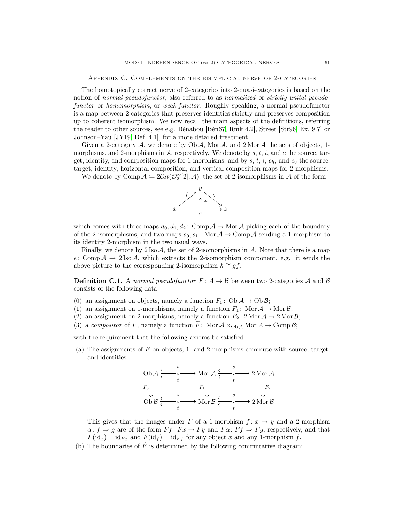Appendix C. Complements on the bisimplicial nerve of 2-categories

<span id="page-52-0"></span>The homotopically correct nerve of 2-categories into 2-quasi-categories is based on the notion of normal pseudofunctor, also referred to as normalized or strictly unital pseudofunctor or homomorphism, or weak functor. Roughly speaking, a normal pseudofunctor is a map between 2-categories that preserves identities strictly and preserves composition up to coherent isomorphism. We now recall the main aspects of the definitions, referring the reader to other sources, see e.g. Bénabou [\[Bén67,](#page-60-27) Rmk 4.2], Street [\[Str96,](#page-62-11) Ex. 9.7] or Johnson–Yau [\[JY19,](#page-61-30) Def. 4.1], for a more detailed treatment.

Given a 2-category  $A$ , we denote by Ob  $A$ , Mor  $A$ , and 2 Mor  $A$  the sets of objects, 1morphisms, and 2-morphisms in  $\mathcal{A}$ , respectively. We denote by s, t, i, and c the source, target, identity, and composition maps for 1-morphisms, and by s, t, i,  $c_h$ , and  $c_v$  the source, target, identity, horizontal composition, and vertical composition maps for 2-morphisms.

We denote by Comp  $\mathcal{A} := 2\mathcal{C}at(\mathcal{O}_2^{\sim}[2], \mathcal{A})$ , the set of 2-isomorphisms in  $\mathcal{A}$  of the form



which comes with three maps  $d_0, d_1, d_2$ : Comp  $\mathcal A \to \mathcal M$ or  $\mathcal A$  picking each of the boundary of the 2-isomorphisms, and two maps  $s_0, s_1$ : Mor  $A \to \text{Comp } A$  sending a 1-morphism to its identity 2-morphism in the two usual ways.

Finally, we denote by  $2 \text{ Iso } A$ , the set of 2-isomorphisms in  $A$ . Note that there is a map e: Comp  $A \to 2$  Iso A, which extracts the 2-isomorphism component, e.g. it sends the above picture to the corresponding 2-isomorphism  $h \cong gf$ .

<span id="page-52-1"></span>**Definition C.1.** A normal pseudofunctor  $F: A \rightarrow B$  between two 2-categories A and B consists of the following data

- (0) an assignment on objects, namely a function  $F_0$ : Ob  $A \to \text{Ob } \mathcal{B}$ ;
- (1) an assignment on 1-morphisms, namely a function  $F_1$ : Mor  $A \to \text{Mor } \mathcal{B}$ ;
- (2) an assignment on 2-morphisms, namely a function  $F_2$ :  $2 \text{ Mor } A \rightarrow 2 \text{ Mor } B;$
- (3) a compositor of F, namely a function  $\tilde{F}$ : Mor  $\mathcal{A} \times_{Ob \mathcal{A}} M$  Mor  $\mathcal{A} \to Comp \mathcal{B}$ ;

with the requirement that the following axioms be satisfied.

(a) The assignments of  $F$  on objects, 1- and 2-morphisms commute with source, target, and identities:



This gives that the images under F of a 1-morphism  $f: x \to y$  and a 2-morphism  $\alpha: f \Rightarrow g$  are of the form  $F f: F x \rightarrow F y$  and  $F \alpha: F f \Rightarrow F g$ , respectively, and that  $F(\mathrm{id}_x) = \mathrm{id}_{Fx}$  and  $F(\mathrm{id}_f) = \mathrm{id}_{Ff}$  for any object x and any 1-morphism f.

(b) The boundaries of  $\widetilde{F}$  is determined by the following commutative diagram: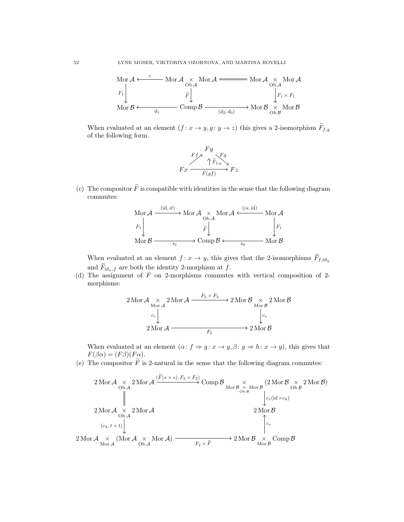

When evaluated at an element  $(f: x \to y, g: y \to z)$  this gives a 2-isomorphism  $\widetilde{F}_{f,g}$ of the following form.



(c) The compositor  $\tilde{F}$  is compatible with identities in the sense that the following diagram commutes:

$$
\begin{array}{ccc}\n\text{Mor } \mathcal{A} \xrightarrow{\quad (\text{id}, it)} & \text{Mor } \mathcal{A} \xrightarrow{\quad \text{Ob } \mathcal{A}} \text{Mor } \mathcal{A} \xleftarrow{\quad (is, id)} & \text{Mor } \mathcal{A} \\
F_1 \downarrow & \tilde{F} \downarrow & \downarrow \\
\text{Mor } \mathcal{B} \xrightarrow{\quad \text{S}_1} & \text{Comp } \mathcal{B} \xleftarrow{\quad \text{S}_0} & \text{Mor } \mathcal{B}\n\end{array}
$$

When evaluated at an element  $f: x \to y$ , this gives that the 2-isomorphisms  $\widetilde{F}_{f, id_u}$ and  $F_{id_r,f}$  are both the identity 2-morphism at f.

(d) The assignment of  $F$  on 2-morphisms commutes with vertical composition of 2morphisms:

$$
2 \operatorname{Mor} \mathcal{A} \underset{c_v}{\times} 2 \operatorname{Mor} \mathcal{A} \xrightarrow{F_2 \times F_2} 2 \operatorname{Mor} \mathcal{B} \underset{c_v}{\times} 2 \operatorname{Mor} \mathcal{B}
$$
  
 
$$
2 \operatorname{Mor} \mathcal{A} \xrightarrow{F_2} 2 \operatorname{Mor} \mathcal{B}
$$
  
 
$$
2 \operatorname{Mor} \mathcal{A} \xrightarrow{F_2} 2 \operatorname{Mor} \mathcal{B}
$$

When evaluated at an element  $(\alpha: f \Rightarrow g: x \rightarrow y, \beta: g \Rightarrow h: x \rightarrow y)$ , this gives that  $F(\beta \alpha) = (F\beta)(F\alpha).$ 

(e) The compositor  $\tilde{F}$  is 2-natural in the sense that the following diagram commutes:

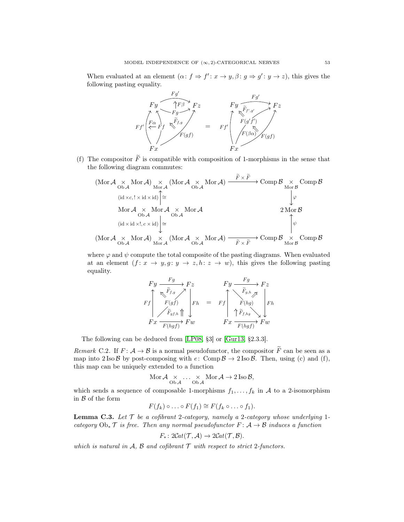When evaluated at an element  $(\alpha: f \Rightarrow f': x \rightarrow y, \beta: g \Rightarrow g': y \rightarrow z)$ , this gives the following pasting equality.



(f) The compositor  $\tilde{F}$  is compatible with composition of 1-morphisms in the sense that the following diagram commutes:

$$
\begin{array}{ccc}\n\text{(Mor } \mathcal{A} & \times & \text{Mor } \mathcal{A}) & \times & \text{(Mor } \mathcal{A} & \times & \text{Mor } \mathcal{A}) & \xrightarrow{F \times F} & \text{Comp } \mathcal{B} & \times & \text{Comp } \mathcal{B} \\
&\text{(id } \times c, ! \times \text{id} \times \text{id}) & \xrightarrow{\cong} & \downarrow{\varphi} \\
&\text{Mor } \mathcal{A} & \times & \text{Mor } \mathcal{A} & \times & \text{Mor } \mathcal{B} \\
&\text{(id } \times \text{id} \times !, c \times \text{id}) & \xrightarrow{\cong} & \text{Mor } \mathcal{B} \\
&\text{(id } \times \text{id} \times !, c \times \text{id}) & \xrightarrow{\cong} & \text{Mor } \mathcal{B} \\
&\text{(Mor } \mathcal{A} & \times & \text{Mor } \mathcal{A}) & \times & \text{(Mor } \mathcal{A} & \times & \text{Mor } \mathcal{A}) & \xrightarrow{\cong} & \text{Comp } \mathcal{B} & \times & \text{Comp } \mathcal{B} \\
&\text{(Mor } \mathcal{A} & \times & \text{Mor } \mathcal{A}) & \times & \text{(Mor } \mathcal{A} & \times & \text{Mor } \mathcal{A}) & \xrightarrow{\cong} & \text{Comp } \mathcal{B} & \times & \text{Comp } \mathcal{B} \\
&\text{(Mor } \mathcal{A} & \times & \text{Mor } \mathcal{A}) & \times & \text{(Mor } \mathcal{A} & \times & \text{Mor } \mathcal{A}) & \xrightarrow{\cong} & \text{Comp } \mathcal{B} & \times & \text{Comp } \mathcal{B} \\
&\text{(Mor } \mathcal{A} & \times & \text{Mor } \mathcal{A}) & \times & \text{(Mor } \mathcal{A} & \times & \text{Mor } \mathcal{A} & \xrightarrow{\cong} & \text{Comp } \mathcal{B} & \times & \text{Comp } \mathcal{B} \\
&\text{(Mor } \mathcal{A} & \times & \text{Mor } \mathcal{A}) & \times & \text{(Mor } \mathcal{A} & \times & \text{Mor } \mathcal{A} & \xrightarrow{\cong} & \text{Comp } \mathcal{B} & \times & \text{Comp } \mathcal{B} \\
&\text{(Mor } \mathcal{A} & \times & \text{Mor } \
$$

where  $\varphi$  and  $\psi$  compute the total composite of the pasting diagrams. When evaluated at an element  $(f: x \to y, g: y \to z, h: z \to w)$ , this gives the following pasting equality.

$$
\begin{array}{ccc}\nFy & \xrightarrow{Fg} & Fz \\
Ff & \xrightarrow{F_{f,g}} & Fz \\
F(gf) & Fh & = & Ff \\
\hline\nFf_{gf,h} \uparrow & Fh & = & Ff \\
Fx & \xrightarrow{F(hgf)} & Fw & & Fx \\
\end{array}\n\begin{array}{c}\nFg & \xrightarrow{Fg} & Fz \\
\hline\nFf_{h,g} & \xrightarrow{F(hg)} & Fh \\
\uparrow & \xrightarrow{F(hgf)} & Fw\n\end{array}
$$

The following can be deduced from [\[LP08,](#page-61-4) §3] or [\[Gur13,](#page-60-17) §2.3.3].

<span id="page-54-0"></span>Remark C.2. If  $F: A \to B$  is a normal pseudofunctor, the compositor  $\widetilde{F}$  can be seen as a map into 2 Iso  $\beta$  by post-composing with  $e: \text{Comp } \beta \to 2 \text{Iso } \beta$ . Then, using (c) and (f), this map can be uniquely extended to a function

$$
\operatorname{Mor} {\mathcal{A}} \underset{\operatorname{Ob} {\mathcal{A}}} \times \ldots \underset{\operatorname{Ob} {\mathcal{A}}} \times \operatorname{Mor} {\mathcal{A}} \to 2\operatorname{Iso} {\mathcal{B}},
$$

which sends a sequence of composable 1-morphisms  $f_1, \ldots, f_k$  in A to a 2-isomorphism in  $\mathcal B$  of the form

$$
F(f_k)\circ\ldots\circ F(f_1)\cong F(f_k\circ\ldots\circ f_1).
$$

<span id="page-54-1"></span>**Lemma C.3.** Let  $\mathcal{T}$  be a cofibrant 2-category, namely a 2-category whose underlying 1category  $Ob_*\mathcal{T}$  is free. Then any normal pseudofunctor  $F: \mathcal{A} \to \mathcal{B}$  induces a function

$$
F_*\colon 2\mathcal{C}\mathrm{at}(\mathcal{T},\mathcal{A})\to 2\mathcal{C}\mathrm{at}(\mathcal{T},\mathcal{B}).
$$

which is natural in  $A$ ,  $B$  and cofibrant  $T$  with respect to strict 2-functors.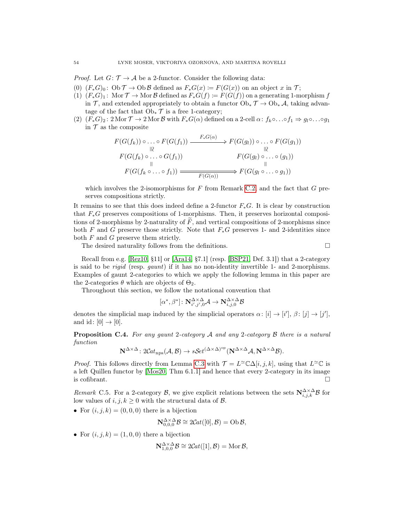*Proof.* Let  $G: \mathcal{T} \to \mathcal{A}$  be a 2-functor. Consider the following data:

- (0)  $(F_*G)_0$ : Ob  $\mathcal{T} \to \text{Ob }\mathcal{B}$  defined as  $F_*G(x) \coloneqq F(G(x))$  on an object x in  $\mathcal{T}$ ;
- (1)  $(F_*G)_1$ : Mor  $\mathcal{T} \to \mathcal{M}$ or  $\mathcal{B}$  defined as  $F_*G(f) := F(G(f))$  on a generating 1-morphism f in T, and extended appropriately to obtain a functor  $Ob_* \mathcal{T} \to Ob_* \mathcal{A}$ , taking advantage of the fact that  $Ob_* \mathcal{T}$  is a free 1-category;
- (2)  $(F_*G)_2$ : 2 Mor  $\mathcal{T} \to 2$  Mor  $\mathcal{B}$  with  $F_*G(\alpha)$  defined on a 2-cell  $\alpha: f_k \circ \ldots \circ f_1 \Rightarrow g_l \circ \ldots \circ g_1$ in  $\mathcal T$  as the composite

$$
F(G(f_k)) \circ \dots \circ F(G(f_1)) \xrightarrow{F_*G(\alpha)} F(G(g_l)) \circ \dots \circ F(G(g_1))
$$
  
\n
$$
F(G(f_k) \circ \dots \circ G(f_1)) \xrightarrow{\text{II}} F(G(g_l) \circ \dots \circ (g_1))
$$
  
\n
$$
F(G(f_k \circ \dots \circ f_1)) \xrightarrow{\text{II}} F(G(\alpha)) \xrightarrow{\text{II}} F(G(g_l \circ \dots \circ g_1))
$$

which involves the 2-isomorphisms for  $F$  from Remark [C.2,](#page-54-0) and the fact that  $G$  preserves compositions strictly.

It remains to see that this does indeed define a 2-functor  $F_*G$ . It is clear by construction that F∗G preserves compositions of 1-morphisms. Then, it preserves horizontal compositions of 2-morphisms by 2-naturality of  $F$ , and vertical compositions of 2-morphisms since both F and G preserve those strictly. Note that  $F_*G$  preserves 1- and 2-identities since both  $F$  and  $G$  preserve them strictly.

The desired naturality follows from the definitions.  $\Box$ 

Recall from e.g. [\[Rez10,](#page-62-4) §11] or [\[Ara14,](#page-60-1) §7.1] (resp. [\[BSP21,](#page-60-7) Def. 3.1]) that a 2-category is said to be rigid (resp. gaunt) if it has no non-identity invertible 1- and 2-morphisms. Examples of gaunt 2-categories to which we apply the following lemma in this paper are the 2-categories  $\theta$  which are objects of  $\Theta_2$ .

Throughout this section, we follow the notational convention that

$$
[\alpha^*,\beta^*]\colon\mathbf{N}^{\Delta{\times}\Delta}_{i',j',0}\mathcal{A}\to\mathbf{N}^{\Delta{\times}\Delta}_{i,j,0}\mathcal{B}
$$

denotes the simplicial map induced by the simplicial operators  $\alpha: [i] \to [i'], \beta: [j] \to [j'],$ and id:  $[0] \rightarrow [0]$ .

Proposition C.4. For any gaunt 2-category A and any 2-category B there is a natural function

$$
\mathbf{N}^{\Delta \times \Delta} \colon 2\mathcal{C}at_{\text{nps}}(\mathcal{A}, \mathcal{B}) \to s\mathcal{S}et^{(\Delta \times \Delta)^{\text{op}}}(\mathbf{N}^{\Delta \times \Delta} \mathcal{A}, \mathbf{N}^{\Delta \times \Delta} \mathcal{B}).
$$

*Proof.* This follows directly from Lemma [C.3](#page-54-1) with  $\mathcal{T} = L^{\infty} \mathbb{C} \Delta[i, j, k]$ , using that  $L^{\infty} \mathbb{C}$  is a left Quillen functor by [\[Mos20,](#page-61-3) Thm 6.1.1] and hence that every 2-category in its image is cofibrant.  $\Box$ 

Remark C.5. For a 2-category B, we give explicit relations between the sets  $N_{i,j,k}^{\Delta\times\Delta}$ B for low values of  $i, j, k \geq 0$  with the structural data of  $\mathcal{B}$ .

• For  $(i, j, k) = (0, 0, 0)$  there is a bijection

$$
\mathbf{N}_{0,0,0}^{\Delta \times \Delta} \mathcal{B} \cong 2\mathcal{C}at([0],\mathcal{B}) = \mathrm{Ob}\,\mathcal{B},
$$

• For  $(i, j, k) = (1, 0, 0)$  there a bijection

$$
\mathbf{N}_{1,0,0}^{\Delta \times \Delta} \mathcal{B} \cong 2\mathcal{C}at([1],\mathcal{B}) = \text{Mor}\,\mathcal{B},
$$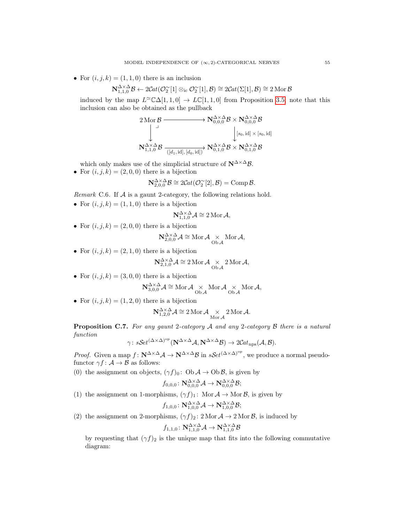• For  $(i, j, k) = (1, 1, 0)$  there is an inclusion

$$
\mathbf{N}^{\Delta\times\Delta}_{1,1,0}{\cal B} \leftarrow 2\mathcal{C}\mathit{at}(\mathcal{O}^\sim_2[1]\otimes_{\mathrm{i}\mathrm{c}}\mathcal{O}^\sim_2[1],{\cal B}) \cong 2\mathcal{C}\mathit{at}(\Sigma[1],{\cal B}) \cong 2\operatorname{Mor}{\cal B}
$$

induced by the map  $L^{\infty}(\Delta[1,1,0] \to L\mathbb{C}[1,1,0]$  from Proposition [3.5;](#page-13-2) note that this inclusion can also be obtained as the pullback

$$
\begin{array}{ccc}2\operatorname{Mor}\mathcal{B} & \longrightarrow & \mathbf{N}_{0,0,0}^{\Delta\times\Delta}\mathcal{B}\times\mathbf{N}_{0,0,0}^{\Delta\times\Delta}\mathcal{B}\\ \downarrow & & \downarrow [s_0,\operatorname{id}]\times[s_0,\operatorname{id}]\\ \mathbf{N}_{1,1,0}^{\Delta\times\Delta}\mathcal{B} & \xrightarrow([d_1,\operatorname{id}],[d_0,\operatorname{id}])& \mathbf{N}_{0,1,0}^{\Delta\times\Delta}\mathcal{B}\times\mathbf{N}_{0,1,0}^{\Delta\times\Delta}\mathcal{B}\end{array}
$$

- which only makes use of the simplicial structure of  $\mathbb{N}^{\Delta \times \Delta} \mathcal{B}$ .
- For  $(i, j, k) = (2, 0, 0)$  there is a bijection

$$
\mathbf{N}_{2,0,0}^{\Delta \times \Delta} \mathcal{B} \cong 2\mathcal{C}at(\mathcal{O}_2^{\sim}[2],\mathcal{B}) = \text{Comp}\,\mathcal{B}.
$$

- Remark C.6. If  $A$  is a gaunt 2-category, the following relations hold.
- For  $(i, j, k) = (1, 1, 0)$  there is a bijection

$$
\mathbf{N}^{\Delta \times \Delta}_{1,1,0} \mathcal{A} \cong 2 \operatorname{Mor} \mathcal{A},
$$

• For  $(i, j, k) = (2, 0, 0)$  there is a bijection

$$
\mathbf{N}^{\Delta\times\Delta}_{2,0,0}\mathcal{A}\cong\operatorname{Mor}\mathcal{A}\underset{\operatorname{Ob}\mathcal{A}}{\times}\operatorname{Mor}\mathcal{A},
$$

• For  $(i, j, k) = (2, 1, 0)$  there is a bijection

$$
\mathbf{N}_{2,1,0}^{\Delta \times \Delta} \mathcal{A} \cong 2 \operatorname{Mor} \mathcal{A} \underset{\mathrm{Ob}\,\mathcal{A}}{\times} 2 \operatorname{Mor} \mathcal{A},
$$

• For  $(i, j, k) = (3, 0, 0)$  there is a bijection

$$
\mathbf{N}^{\Delta\times\Delta}_{3,0,0}\mathcal{A}\cong \operatorname{Mor} \mathcal{A} \underset{\operatorname{Ob}\mathcal{A}}{\times} \operatorname{Mor} \mathcal{A} \underset{\operatorname{Ob}\mathcal{A}}{\times} \operatorname{Mor} \mathcal{A},
$$

• For  $(i, j, k) = (1, 2, 0)$  there is a bijection

$$
\mathbf{N}_{1,2,0}^{\Delta \times \Delta} \mathcal{A} \cong 2 \operatorname{Mor} \mathcal{A} \underset{\operatorname{Mor} \mathcal{A}}{\times} 2 \operatorname{Mor} \mathcal{A}.
$$

Proposition C.7. For any gaunt 2-category A and any 2-category B there is a natural function

$$
\gamma\colon s\mathcal{S}et^{(\Delta\times\Delta)^{\rm op}}(\mathbf{N}^{\Delta\times\Delta}\mathcal{A},\mathbf{N}^{\Delta\times\Delta}\mathcal{B})\to 2\mathcal{C}\mathcal{a}t_{\rm nps}(\mathcal{A},\mathcal{B}).
$$

*Proof.* Given a map  $f: \mathbf{N}^{\Delta \times \Delta} \mathcal{A} \to \mathbf{N}^{\Delta \times \Delta} \mathcal{B}$  in  $s\mathcal{S}et^{(\Delta \times \Delta)^{op}}$ , we produce a normal pseudofunctor  $\gamma f: \mathcal{A} \to \mathcal{B}$  as follows:

(0) the assignment on objects,  $(\gamma f)_0$ : Ob  $\mathcal{A} \to \text{Ob }\mathcal{B}$ , is given by

$$
f_{0,0,0}\colon\mathbf N_{0,0,0}^{\Delta\times\Delta}\mathcal A\to\mathbf N_{0,0,0}^{\Delta\times\Delta}\mathcal B;
$$

(1) the assignment on 1-morphisms,  $(\gamma f)_1$ : Mor  $A \to \text{Mor } \mathcal{B}$ , is given by

$$
f_{1,0,0}\colon\mathbf N_{1,0,0}^{\Delta\times\Delta}\mathcal A\to\mathbf N_{1,0,0}^{\Delta\times\Delta}\mathcal B;
$$

(2) the assignment on 2-morphisms,  $(\gamma f)_2$ : 2 Mor  $A \to 2$  Mor  $B$ , is induced by

$$
f_{1,1,0}\colon\mathbf{N}_{1,1,0}^{\Delta\times\Delta}\mathcal{A}\to\mathbf{N}_{1,1,0}^{\Delta\times\Delta}\mathcal{B}
$$

by requesting that  $(\gamma f)_2$  is the unique map that fits into the following commutative diagram: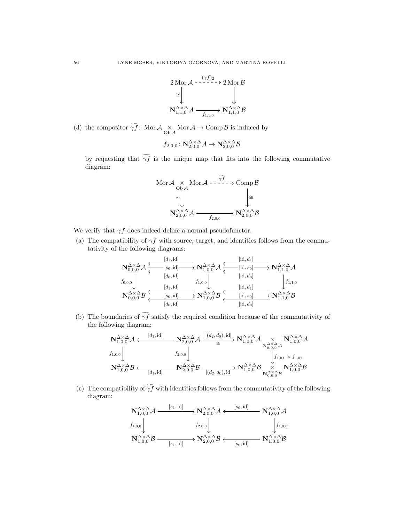

(3) the compositor  $\gamma f$ : Mor  $\mathcal{A} \underset{\text{Ob }\mathcal{A}}{\times}$  Mor  $\mathcal{A} \to \text{Comp }\mathcal{B}$  is induced by

$$
f_{2,0,0}\colon\mathbf{N}_{2,0,0}^{\Delta\times\Delta}\mathcal{A}\to\mathbf{N}_{2,0,0}^{\Delta\times\Delta}\mathcal{B}
$$

by requesting that  $\widetilde{\gamma f}$  is the unique map that fits into the following commutative diagram:

$$
\begin{array}{ccc}\n\text{Mor } \mathcal{A} & \times & \text{Mor } \mathcal{A} - \frac{\gamma f}{f} - \gamma \text{ Comp } \mathcal{B} \\
& \cong & \downarrow & \downarrow \\
\mathbf{N}_{2,0,0}^{\Delta \times \Delta} \mathcal{A} & \xrightarrow{f_{2,0,0}} \mathbf{N}_{2,0,0}^{\Delta \times \Delta} \mathcal{B}\n\end{array}
$$

We verify that  $\gamma f$  does indeed define a normal pseudofunctor.

(a) The compatibility of  $\gamma f$  with source, target, and identities follows from the commutativity of the following diagrams:

$$
\begin{array}{ccc}\n\mathbf{N}_{0,0,0}^{\Delta\times\Delta}\mathcal{A} & \xrightarrow{[d_1,id]}\n\mathbf{N}_{1,0,0}^{\Delta\times\Delta}\mathcal{A} & \xrightarrow{[id,d_1]}\n\mathbf{N}_{1,1,0}^{\Delta\times\Delta}\mathcal{A} & \xrightarrow{[id,d_0]}\n\mathbf{N}_{1,1,0}^{\Delta\times\Delta}\mathcal{A} \\
f_{0,0,0} & \xrightarrow{[d_0,id]}\n\mathbf{N}_{0,0,0}^{\Delta\times\Delta}\mathcal{B} & \xrightarrow{[id_1,id]}\n\mathbf{N}_{1,0,0}^{\Delta\times\Delta}\mathcal{B} & \xrightarrow{[id,d_1]}\n\mathbf{N}_{1,1,0}^{\Delta\times\Delta}\mathcal{B} \\
\xrightarrow{[id_0,id]}\n\mathbf{N}_{1,0,0}^{\Delta\times\Delta}\mathcal{B} & \xrightarrow{[id,d_0]}\n\mathbf{N}_{1,1,0}^{\Delta\times\Delta}\mathcal{B} & \xrightarrow{[id,d_0]}\n\mathbf{N}_{1,1,0}^{\Delta\times\Delta}\mathcal{B} & \xrightarrow{[id,d_0]}\n\end{array}
$$

(b) The boundaries of  $\widetilde{\gamma f}$  satisfy the required condition because of the commutativity of the following diagram:

$$
\mathbf{N}^{\Delta\times\Delta}_{1,0,0}\mathcal{A}\xleftarrow{[d_1,id]}\mathbf{N}^{\Delta\times\Delta}_{2,0,0}\mathcal{A}\xrightarrow{[(d_2,d_0),id]}\mathbf{N}^{\Delta\times\Delta}_{1,0,0}\mathcal{A}\xrightarrow{\times}_{\mathbf{N}^{\Delta\times\Delta}_{0,0,0}\mathcal{A}}\mathbf{N}^{\Delta\times\Delta}_{1,0,0}\mathcal{A}
$$
\n
$$
f_{1,0,0}\downarrow\qquad\qquad f_{2,0,0}\downarrow\qquad\qquad f_{2,0,0}\downarrow\qquad\qquad f_{1,0,0}\times f_{1,0,0}
$$
\n
$$
\mathbf{N}^{\Delta\times\Delta}_{1,0,0}\mathcal{B}\xleftarrow{[d_1,id]}\mathbf{N}^{\Delta\times\Delta}_{2,0,0}\mathcal{B}\xrightarrow{[(d_2,d_0),id]}\mathbf{N}^{\Delta\times\Delta}_{1,0,0}\mathcal{B}\xrightarrow{\times}_{\mathbf{N}^{\Delta\times\Delta}_{0,0,\mathcal{B}}}\mathbf{N}^{\Delta\times\Delta}_{1,0,0}\mathcal{B}
$$

(c) The compatibility of  $\widetilde{\gamma f}$  with identities follows from the commutativity of the following diagram:

$$
\begin{array}{ccc}\n\mathbf{N}_{1,0,0}^{\Delta\times\Delta}\mathcal{A} & \xrightarrow{[s_1,\mathrm{id}]} & \mathbf{N}_{2,0,0}^{\Delta\times\Delta}\mathcal{A} \longleftarrow & \mathbf{N}_{1,0,0}^{\Delta\times\Delta}\mathcal{A} \\
f_{1,0,0} & & & f_{2,0,0} \downarrow & & \downarrow f_{1,0,0} \\
\mathbf{N}_{1,0,0}^{\Delta\times\Delta}\mathcal{B} & \xrightarrow{[s_1,\mathrm{id}]} & \mathbf{N}_{2,0,0}^{\Delta\times\Delta}\mathcal{B} \longleftarrow & \mathbf{N}_{1,0,0}^{\Delta\times\Delta}\mathcal{B}\n\end{array}
$$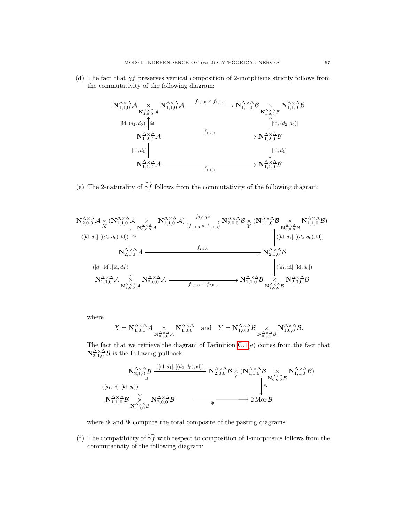(d) The fact that  $\gamma f$  preserves vertical composition of 2-morphisms strictly follows from the commutativity of the following diagram:



(e) The 2-naturality of  $\widetilde{\gamma f}$  follows from the commutativity of the following diagram:



where

$$
X = \mathbf{N}_{1,0,0}^{\Delta \times \Delta} \mathcal{A} \underset{\mathbf{N}_{0,0,0}^{\Delta \times \Delta} \mathcal{A}}{\times} \mathbf{N}_{1,0,0}^{\Delta \times \Delta} \text{ and } Y = \mathbf{N}_{1,0,0}^{\Delta \times \Delta} \mathcal{B} \underset{\mathbf{N}_{0,0,0}^{\Delta \times \Delta} \mathcal{B}}{\times} \mathbf{N}_{1,0,0}^{\Delta \times \Delta} \mathcal{B}.
$$

The fact that we retrieve the diagram of Definition [C.1\(](#page-52-1)e) comes from the fact that  $\mathbf{N}_{2,1,0}^{\Delta \times \Delta} \mathcal{B}$  is the following pullback

$$
\begin{CD} \mathbf{N}^{\Delta\times\Delta}_{2,1,0}\mathcal{B} \xrightarrow{\left( [\mathrm{id},d_1],\, [(d_2,d_0),\mathrm{id}] \right)} \mathbf{N}^{\Delta\times\Delta}_{2,0,0}\mathcal{B} \underset{Y}{\times} (\mathbf{N}^{\Delta\times\Delta}_{1,1,0}\mathcal{B} \underset{N_{0,0,0}^{\Delta\times\Delta}\mathcal{B}{\times}}{\times} \mathbf{N}^{\Delta\times\Delta}_{1,1,0}\mathcal{B}) \\ \left( [d_1,\mathrm{id}], [\mathrm{id},d_0] \right) \xrightarrow{\mathbf{N}^{\Delta\times\Delta}_{1,1,0}\mathcal{B}} \mathbf{N}^{\Delta\times\Delta}_{2,0,0}\mathcal{B} \xrightarrow{\Psi} 2 \mathrm{Mor}\,\mathcal{B} \end{CD}
$$

where  $\Phi$  and  $\Psi$  compute the total composite of the pasting diagrams.

(f) The compatibility of  $\widetilde{\gamma f}$  with respect to composition of 1-morphisms follows from the commutativity of the following diagram: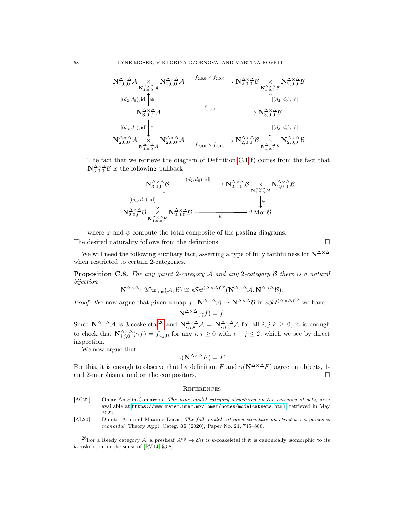

The fact that we retrieve the diagram of Definition [C.1\(](#page-52-1)f) comes from the fact that  $\mathbf{N}_{3,0,0}^{\Delta \times \Delta} \mathcal{B}$  is the following pullback



where  $\varphi$  and  $\psi$  compute the total composite of the pasting diagrams. The desired naturality follows from the definitions.  $\Box$ 

We will need the following auxiliary fact, asserting a type of fully faithfulness for  $N^{\Delta \times \Delta}$ when restricted to certain 2-categories.

<span id="page-59-2"></span>**Proposition C.8.** For any gaunt 2-category A and any 2-category B there is a natural bijection

$$
\mathbf{N}^{\Delta \times \Delta} \colon 2\mathcal{C}at_{\text{nps}}(\mathcal{A}, \mathcal{B}) \cong s\mathcal{S}et^{(\Delta \times \Delta)^{\text{op}}}(\mathbf{N}^{\Delta \times \Delta}\mathcal{A}, \mathbf{N}^{\Delta \times \Delta}\mathcal{B}).
$$

*Proof.* We now argue that given a map  $f: \mathbb{N}^{\Delta \times \Delta} \mathcal{A} \to \mathbb{N}^{\Delta \times \Delta} \mathcal{B}$  in  $sSet^{(\Delta \times \Delta)^{\text{op}}}$  we have

$$
\mathbf{N}^{\Delta \times \Delta}(\gamma f) = f.
$$

Since  $\mathbb{N}^{\Delta \times \Delta}$  as 3-coskeletal<sup>[26](#page-59-4)</sup> and  $\mathbb{N}_{i,j,k}^{\Delta \times \Delta}$  are  $\mathbb{N}_{i,j,0}^{\Delta \times \Delta}$  and  $i,j,k \geq 0$ , it is enough to check that  $N_{i,j,0}^{\Delta \times \Delta}(\gamma f) = f_{i,j,0}$  for any  $i, j \geq 0$  with  $i + j \leq 2$ , which we see by direct inspection.

We now argue that

$$
\gamma(\mathbf{N}^{\Delta \times \Delta} F) = F.
$$

For this, it is enough to observe that by definition F and  $\gamma(\mathbf{N}^{\Delta \times \Delta} F)$  agree on objects, 1and 2-morphisms, and on the compositors.  $\Box$ 

#### <span id="page-59-0"></span>**REFERENCES**

- <span id="page-59-3"></span>[AC22] Omar Antolín-Camarena, The nine model category structures on the category of sets, note available at <https://www.matem.unam.mx/~omar/notes/modelcatsets.html>, retrieved in May 2022.
- <span id="page-59-1"></span>[AL20] Dimitri Ara and Maxime Lucas, The folk model category structure on strict  $\omega$ -categories is monoidal, Theory Appl. Categ.  $35$  (2020), Paper No. 21, 745–808.

<span id="page-59-4"></span><sup>&</sup>lt;sup>26</sup>For a Reedy category A, a presheaf  $A^{op} \to Set$  is k-coskeletal if it is canonically isomorphic to its k-coskeleton, in the sense of [\[RV14,](#page-62-12) §3.8].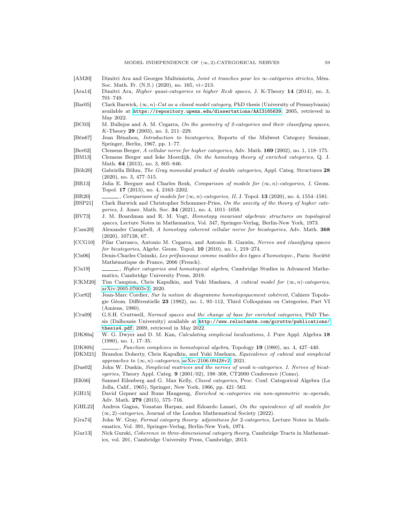- <span id="page-60-18"></span>[AM20] Dimitri Ara and Georges Maltsiniotis, Joint et tranches pour les ∞-catégories strictes, Mém. Soc. Math. Fr. (N.S.) (2020), no. 165, vi+213.
- <span id="page-60-1"></span>[Ara14] Dimitri Ara, Higher quasi-categories vs higher Rezk spaces, J. K-Theory 14 (2014), no. 3, 701–749.
- <span id="page-60-0"></span>[Bar05] Clark Barwick,  $(\infty, n)$ -Cat as a closed model category, PhD thesis (University of Pennsylvania) available at <https://repository.upenn.edu/dissertations/AAI3165639>, 2005, retrieved in May 2022.
- <span id="page-60-10"></span>[BC03] M. Bullejos and A. M. Cegarra, On the geometry of 2-categories and their classifying spaces, K-Theory 29 (2003), no. 3, 211–229.
- <span id="page-60-27"></span>[Bén67] Jean Bénabou, Introduction to bicategories, Reports of the Midwest Category Seminar, Springer, Berlin, 1967, pp. 1–77.
- <span id="page-60-15"></span>[Ber02] Clemens Berger, A cellular nerve for higher categories, Adv. Math. 169 (2002), no. 1, 118–175.
- <span id="page-60-20"></span>[BM13] Clemens Berger and Ieke Moerdijk, On the homotopy theory of enriched categories, Q. J. Math. 64 (2013), no. 3, 805–846.
- <span id="page-60-19"></span>[Böh20] Gabriella Böhm, The Gray monoidal product of double categories, Appl. Categ. Structures 28 (2020), no. 3, 477–515.
- <span id="page-60-4"></span>[BR13] Julia E. Bergner and Charles Rezk, Comparison of models for  $(\infty, n)$ -categories, I, Geom. Topol. 17 (2013), no. 4, 2163–2202.
- <span id="page-60-5"></span>[BR20] , Comparison of models for  $(\infty, n)$ -categories, II, J. Topol. 13 (2020), no. 4, 1554–1581.
- <span id="page-60-7"></span>[BSP21] Clark Barwick and Christopher Schommer-Pries, On the unicity of the theory of higher categories, J. Amer. Math. Soc. 34 (2021), no. 4, 1011–1058.
- <span id="page-60-24"></span>[BV73] J. M. Boardman and R. M. Vogt, Homotopy invariant algebraic structures on topological spaces, Lecture Notes in Mathematics, Vol. 347, Springer-Verlag, Berlin-New York, 1973.
- <span id="page-60-8"></span>[Cam20] Alexander Campbell, A homotopy coherent cellular nerve for bicategories, Adv. Math. 368 (2020), 107138, 67.
- <span id="page-60-11"></span>[CCG10] Pilar Carrasco, Antonio M. Cegarra, and Antonio R. Garzón, Nerves and classifying spaces for bicategories, Algebr. Geom. Topol. 10 (2010), no. 1, 219–274.
- <span id="page-60-23"></span>[Cis06] Denis-Charles Cisinski, Les préfaisceaux comme modèles des types d'homotopie., Paris: Société Mathématique de France, 2006 (French).
- <span id="page-60-25"></span>[Cis19] , Higher categories and homotopical algebra, Cambridge Studies in Advanced Mathematics, Cambridge University Press, 2019.
- <span id="page-60-2"></span>[CKM20] Tim Campion, Chris Kapulkin, and Yuki Maehara, A cubical model for  $(\infty, n)$ -categories, [arXiv:2005.07603v2,](https://arxiv.org/abs/2005.07603v2) 2020.
- <span id="page-60-26"></span>[Cor82] Jean-Marc Cordier, Sur la notion de diagramme homotopiquement cohérent, Cahiers Topologie Géom. Différentielle 23 (1982), no. 1, 93–112, Third Colloquium on Categories, Part VI (Amiens, 1980).
- <span id="page-60-21"></span>[Cru09] G.S.H. Cruttwell, Normed spaces and the change of base for enriched categories, PhD Thesis (Dalhousie University) available at [http://www.reluctantm.com/gcruttw/publications/](http://www.reluctantm.com/gcruttw/publications/thesis4.pdf) [thesis4.pdf](http://www.reluctantm.com/gcruttw/publications/thesis4.pdf), 2009, retrieved in May 2022.
- <span id="page-60-13"></span>[DK80a] W. G. Dwyer and D. M. Kan, Calculating simplicial localizations, J. Pure Appl. Algebra 18 (1980), no. 1, 17–35.
- <span id="page-60-14"></span>[DK80b] , Function complexes in homotopical algebra, Topology 19 (1980), no. 4, 427-440.
- <span id="page-60-3"></span>[DKM21] Brandon Doherty, Chris Kapulkin, and Yuki Maehara, Equivalence of cubical and simplicial approaches to  $(\infty, n)$ -categories, [arXiv:2106.09428v2,](https://arxiv.org/abs/2106.09428v2) 2021.
- <span id="page-60-9"></span>[Dus02] John W. Duskin, Simplicial matrices and the nerves of weak n-categories. I. Nerves of bicategories, Theory Appl. Categ. 9 (2001/02), 198-308, CT2000 Conference (Como).
- <span id="page-60-22"></span>[EK66] Samuel Eilenberg and G. Max Kelly, Closed categories, Proc. Conf. Categorical Algebra (La Jolla, Calif., 1965), Springer, New York, 1966, pp. 421–562.
- <span id="page-60-12"></span>[GH15] David Gepner and Rune Haugseng, Enriched ∞-categories via non-symmetric ∞-operads, Adv. Math. 279 (2015), 575–716.
- <span id="page-60-6"></span>[GHL22] Andrea Gagna, Yonatan Harpaz, and Edoardo Lanari, On the equivalence of all models for  $(\infty, 2)$ -categories, Journal of the London Mathematical Society (2022).
- <span id="page-60-16"></span>[Gra74] John W. Gray, Formal category theory: adjointness for 2-categories, Lecture Notes in Mathematics, Vol. 391, Springer-Verlag, Berlin-New York, 1974.
- <span id="page-60-17"></span>[Gur13] Nick Gurski, Coherence in three-dimensional category theory, Cambridge Tracts in Mathematics, vol. 201, Cambridge University Press, Cambridge, 2013.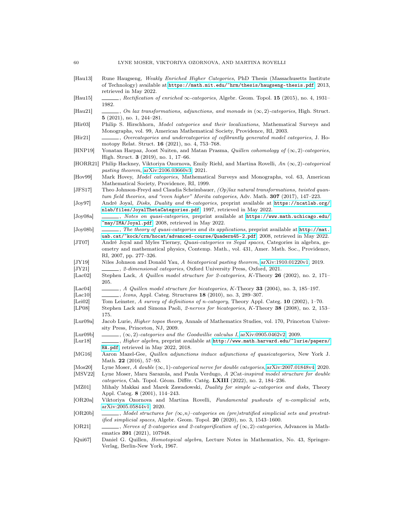<span id="page-61-29"></span><span id="page-61-27"></span><span id="page-61-25"></span><span id="page-61-23"></span><span id="page-61-20"></span><span id="page-61-19"></span><span id="page-61-17"></span><span id="page-61-13"></span><span id="page-61-12"></span><span id="page-61-11"></span><span id="page-61-7"></span><span id="page-61-6"></span><span id="page-61-5"></span>

| [Hau13]                        | Rune Haugseng, Weakly Enriched Higher Categories, PhD Thesis (Massachusetts Institute<br>of Technology) available at https://math.mit.edu/~hrm/thesis/haugseng-thesis.pdf, 2013,<br>retrieved in May 2022.                |
|--------------------------------|---------------------------------------------------------------------------------------------------------------------------------------------------------------------------------------------------------------------------|
| [Hau15]                        | $\ldots$ , Rectification of enriched $\infty$ -categories, Algebr. Geom. Topol. 15 (2015), no. 4, 1931–<br>1982.                                                                                                          |
| Hau21                          | , On lax transformations, adjunctions, and monads in $(\infty, 2)$ -categories, High. Struct.<br>$5(2021)$ , no. 1, 244-281.                                                                                              |
| [His 03]                       | Philip S. Hirschhorn, <i>Model categories and their localizations</i> , Mathematical Surveys and<br>Monographs, vol. 99, American Mathematical Society, Providence, RI, 2003.                                             |
| Hir21                          | motopy Relat. Struct. 16 (2021), no. 4, 753–768.                                                                                                                                                                          |
| HNP19                          | Yonatan Harpaz, Joost Nuiten, and Matan Prasma, <i>Quillen cohomology of</i> $(\infty, 2)$ -categories,<br>High. Struct. $3(2019)$ , no. 1, 17–66.                                                                        |
| [HORR21]                       | Philip Hackney, Viktoriya Ozornova, Emily Riehl, and Martina Rovelli, An $(\infty, 2)$ -categorical<br>pasting theorem, $arXiv:2106.03660v3$ , 2021.                                                                      |
| Hov99                          | Mark Hovey, <i>Model categories</i> , Mathematical Surveys and Monographs, vol. 63, American<br>Mathematical Society, Providence, RI, 1999.                                                                               |
| [JFS17]                        | Theo Johnson-Freyd and Claudia Scheimbauer, $\langle Op \rangle$ lax natural transformations, twisted quan-<br>tum field theories, and "even higher" Morita categories, Adv. Math. <b>307</b> (2017), 147–223.            |
| $ J_{Oy}97 $                   | André Joyal, Disks, Duality and $\Theta$ -categories, preprint available at https://ncatlab.org/<br>nlab/files/JoyalThetaCategories.pdf, 1997, retrieved in May 2022.                                                     |
| [Joy08a]                       | _, Notes on quasi-categories, preprint available at https://www.math.uchicago.edu/<br>~may/IMA/Joyal.pdf, 2008, retrieved in May 2022.                                                                                    |
| $[\mathrm{Joy08b}]$            | $\ldots$ , The theory of quasi-categories and its applications, preprint available at $\text{http://mat.}$<br>uab.cat/"kock/crm/hocat/advanced-course/Quadern45-2.pdf, 2008, retrieved in May 2022.                       |
| [JT07]                         | André Joyal and Myles Tierney, <i>Quasi-categories vs Segal spaces</i> , Categories in algebra, ge-<br>ometry and mathematical physics, Contemp. Math., vol. 431, Amer. Math. Soc., Providence,<br>RI, 2007, pp. 277-326. |
| [JY19]                         | Niles Johnson and Donald Yau, A bicategorical pasting theorem, arXiv:1910.01220v1, 2019.                                                                                                                                  |
| [JY21]                         | ., 2-dimensional categories, Oxford University Press, Oxford, 2021.                                                                                                                                                       |
| $ {\rm Lac02} $                | Stephen Lack, A Quillen model structure for 2-categories, K-Theory 26 (2002), no. 2, 171-<br>205.                                                                                                                         |
| [Lac04]                        | $\ldots$ , A Quillen model structure for bicategories, K-Theory 33 (2004), no. 3, 185–197.                                                                                                                                |
| $ {\rm Lac10} $                | Leons, Appl. Categ. Structures 18 (2010), no. 3, 289–307.                                                                                                                                                                 |
| [Lei02]<br>[LP08]              | Tom Leinster, A survey of definitions of n-category, Theory Appl. Categ. 10 (2002), 1-70.<br>Stephen Lack and Simona Paoli, 2-nerves for bicategories, K-Theory 38 (2008), no. 2, 153–                                    |
| Lur09a                         | 175.<br>Jacob Lurie, <i>Higher topos theory</i> , Annals of Mathematics Studies, vol. 170, Princeton Univer-<br>sity Press, Princeton, NJ, 2009.                                                                          |
| $\left[ \text{Lur09b} \right]$ | $\ldots$ , $(\infty, 2)$ -categories and the Goodwillie calculus I, arXiv:0905.0462v2, 2009.                                                                                                                              |
| Lur18                          | , <i>Higher algebra</i> , preprint available at http://www.math.harvard.edu/~lurie/papers/<br>HA.pdf, retrieved in May 2022, 2018.                                                                                        |
| [ $MG16$ ]                     | Aaron Mazel-Gee, Quillen adjunctions induce adjunctions of quasicategories, New York J.<br>Math. 22 $(2016)$ , 57-93.                                                                                                     |
| [ $Mos20$ ]                    | Lyne Moser, A double $(\infty, 1)$ -categorical nerve for double categories, arXiv:2007.01848v4, 2020.                                                                                                                    |
| [MSV22]                        | Lyne Moser, Maru Sarazola, and Paula Verdugo, A 2Cat-inspired model structure for double<br>categories, Cah. Topol. Géom. Différ. Catég. LXIII (2022), no. 2, 184–236.                                                    |
| [MZ01]                         | Mihaly Makkai and Marek Zawadowski, <i>Duality for simple <math>\omega</math>-categories and disks</i> , Theory<br>Appl. Categ. 8 (2001), 114-243.                                                                        |
| [OR20a]                        | Viktoriya Ozornova and Martina Rovelli, Fundamental pushouts of n-complicial sets,<br>arXiv:2005.05844v1, 2020.                                                                                                           |
| [OR20b]                        | $\Box$ , Model structures for $(\infty, n)$ -categories on (pre)stratified simplicial sets and prestrat-<br><i>ified simplicial spaces</i> , Algebr. Geom. Topol. $20$ (2020), no. 3, 1543–1600.                          |
| OR21                           | $\_\_$ , Nerves of 2-categories and 2-categorification of $(\infty, 2)$ -categories, Advances in Math-<br>ematics <b>391</b> (2021), 107948.                                                                              |
| lOui67L                        | Daniel G. Quillen. <i>Homotonical algebra</i> . Lecture Notes in Mathematics. No. 43. Springer-                                                                                                                           |

<span id="page-61-30"></span><span id="page-61-28"></span><span id="page-61-26"></span><span id="page-61-24"></span><span id="page-61-22"></span><span id="page-61-21"></span><span id="page-61-18"></span><span id="page-61-16"></span><span id="page-61-15"></span><span id="page-61-14"></span><span id="page-61-10"></span><span id="page-61-9"></span><span id="page-61-8"></span><span id="page-61-4"></span><span id="page-61-3"></span><span id="page-61-2"></span><span id="page-61-1"></span><span id="page-61-0"></span>[Qui67] Daniel G. Quillen, Homotopical algebra, Lecture Notes in Mathematics, No. 43, Springer-Verlag, Berlin-New York, 1967.